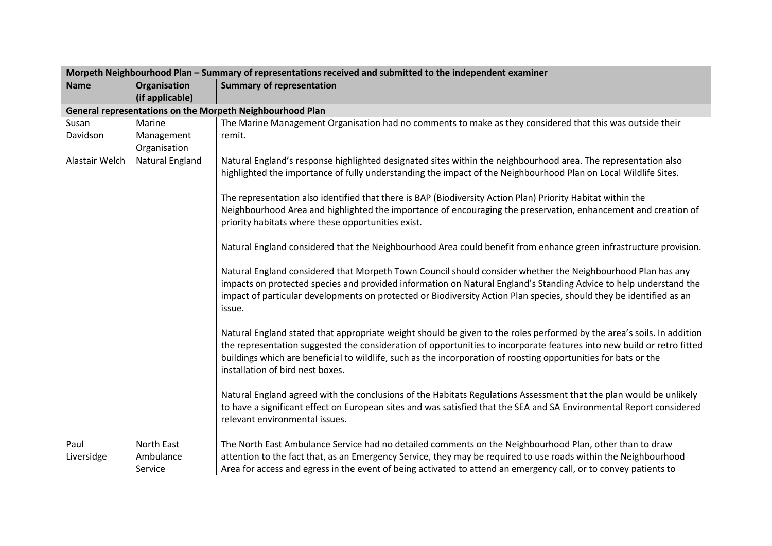| Morpeth Neighbourhood Plan – Summary of representations received and submitted to the independent examiner |                 |                                                                                                                                                     |
|------------------------------------------------------------------------------------------------------------|-----------------|-----------------------------------------------------------------------------------------------------------------------------------------------------|
| <b>Name</b>                                                                                                | Organisation    | <b>Summary of representation</b>                                                                                                                    |
|                                                                                                            | (if applicable) |                                                                                                                                                     |
|                                                                                                            |                 | General representations on the Morpeth Neighbourhood Plan                                                                                           |
| Susan                                                                                                      | Marine          | The Marine Management Organisation had no comments to make as they considered that this was outside their                                           |
| Davidson                                                                                                   | Management      | remit.                                                                                                                                              |
|                                                                                                            | Organisation    |                                                                                                                                                     |
| Alastair Welch                                                                                             | Natural England | Natural England's response highlighted designated sites within the neighbourhood area. The representation also                                      |
|                                                                                                            |                 | highlighted the importance of fully understanding the impact of the Neighbourhood Plan on Local Wildlife Sites.                                     |
|                                                                                                            |                 | The representation also identified that there is BAP (Biodiversity Action Plan) Priority Habitat within the                                         |
|                                                                                                            |                 | Neighbourhood Area and highlighted the importance of encouraging the preservation, enhancement and creation of                                      |
|                                                                                                            |                 | priority habitats where these opportunities exist.                                                                                                  |
|                                                                                                            |                 | Natural England considered that the Neighbourhood Area could benefit from enhance green infrastructure provision.                                   |
|                                                                                                            |                 | Natural England considered that Morpeth Town Council should consider whether the Neighbourhood Plan has any                                         |
|                                                                                                            |                 | impacts on protected species and provided information on Natural England's Standing Advice to help understand the                                   |
|                                                                                                            |                 | impact of particular developments on protected or Biodiversity Action Plan species, should they be identified as an<br>issue.                       |
|                                                                                                            |                 | Natural England stated that appropriate weight should be given to the roles performed by the area's soils. In addition                              |
|                                                                                                            |                 | the representation suggested the consideration of opportunities to incorporate features into new build or retro fitted                              |
|                                                                                                            |                 | buildings which are beneficial to wildlife, such as the incorporation of roosting opportunities for bats or the<br>installation of bird nest boxes. |
|                                                                                                            |                 | Natural England agreed with the conclusions of the Habitats Regulations Assessment that the plan would be unlikely                                  |
|                                                                                                            |                 | to have a significant effect on European sites and was satisfied that the SEA and SA Environmental Report considered                                |
|                                                                                                            |                 | relevant environmental issues.                                                                                                                      |
| Paul                                                                                                       | North East      | The North East Ambulance Service had no detailed comments on the Neighbourhood Plan, other than to draw                                             |
| Liversidge                                                                                                 | Ambulance       | attention to the fact that, as an Emergency Service, they may be required to use roads within the Neighbourhood                                     |
|                                                                                                            | Service         | Area for access and egress in the event of being activated to attend an emergency call, or to convey patients to                                    |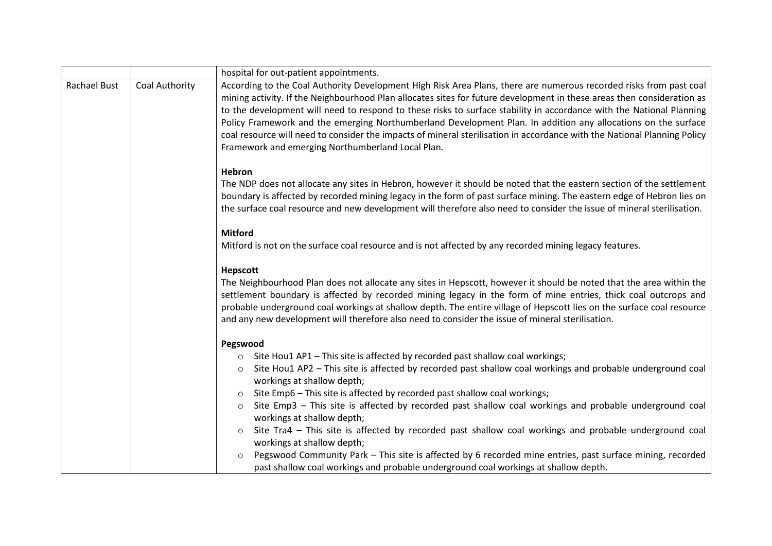|              |                       | hospital for out-patient appointments.                                                                                                                                                                                                                                                                                                                                                                                                                                                                                                                                                                                                                                                                                                                    |
|--------------|-----------------------|-----------------------------------------------------------------------------------------------------------------------------------------------------------------------------------------------------------------------------------------------------------------------------------------------------------------------------------------------------------------------------------------------------------------------------------------------------------------------------------------------------------------------------------------------------------------------------------------------------------------------------------------------------------------------------------------------------------------------------------------------------------|
| Rachael Bust | <b>Coal Authority</b> | According to the Coal Authority Development High Risk Area Plans, there are numerous recorded risks from past coal<br>mining activity. If the Neighbourhood Plan allocates sites for future development in these areas then consideration as<br>to the development will need to respond to these risks to surface stability in accordance with the National Planning<br>Policy Framework and the emerging Northumberland Development Plan. In addition any allocations on the surface<br>coal resource will need to consider the impacts of mineral sterilisation in accordance with the National Planning Policy<br>Framework and emerging Northumberland Local Plan.                                                                                    |
|              |                       | <b>Hebron</b>                                                                                                                                                                                                                                                                                                                                                                                                                                                                                                                                                                                                                                                                                                                                             |
|              |                       | The NDP does not allocate any sites in Hebron, however it should be noted that the eastern section of the settlement<br>boundary is affected by recorded mining legacy in the form of past surface mining. The eastern edge of Hebron lies on<br>the surface coal resource and new development will therefore also need to consider the issue of mineral sterilisation.                                                                                                                                                                                                                                                                                                                                                                                   |
|              |                       | <b>Mitford</b>                                                                                                                                                                                                                                                                                                                                                                                                                                                                                                                                                                                                                                                                                                                                            |
|              |                       | Mitford is not on the surface coal resource and is not affected by any recorded mining legacy features.                                                                                                                                                                                                                                                                                                                                                                                                                                                                                                                                                                                                                                                   |
|              |                       | Hepscott<br>The Neighbourhood Plan does not allocate any sites in Hepscott, however it should be noted that the area within the<br>settlement boundary is affected by recorded mining legacy in the form of mine entries, thick coal outcrops and<br>probable underground coal workings at shallow depth. The entire village of Hepscott lies on the surface coal resource<br>and any new development will therefore also need to consider the issue of mineral sterilisation.                                                                                                                                                                                                                                                                            |
|              |                       | Pegswood                                                                                                                                                                                                                                                                                                                                                                                                                                                                                                                                                                                                                                                                                                                                                  |
|              |                       | Site Hou1 AP1 - This site is affected by recorded past shallow coal workings;<br>$\circ$<br>Site Hou1 AP2 - This site is affected by recorded past shallow coal workings and probable underground coal<br>O<br>workings at shallow depth;<br>Site Emp6 - This site is affected by recorded past shallow coal workings;<br>$\circ$<br>Site Emp3 – This site is affected by recorded past shallow coal workings and probable underground coal<br>$\circ$<br>workings at shallow depth;<br>Site Tra4 - This site is affected by recorded past shallow coal workings and probable underground coal<br>$\circ$<br>workings at shallow depth;<br>Pegswood Community Park - This site is affected by 6 recorded mine entries, past surface mining, recorded<br>O |
|              |                       | past shallow coal workings and probable underground coal workings at shallow depth.                                                                                                                                                                                                                                                                                                                                                                                                                                                                                                                                                                                                                                                                       |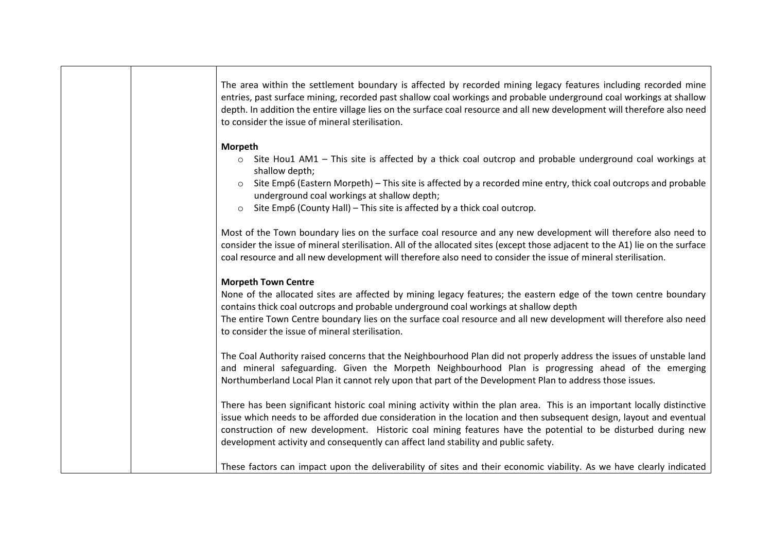The area within the settlement boundary is affected by recorded mining legacy features including recorded mine entries, past surface mining, recorded past shallow coal workings and probable underground coal workings at shallow depth. In addition the entire village lies on the surface coal resource and all new development will therefore also need to consider the issue of mineral sterilisation.

## **Morpeth**

- o Site Hou1 AM1 This site is affected by a thick coal outcrop and probable underground coal workings at shallow depth;
- o Site Emp6 (Eastern Morpeth) This site is affected by a recorded mine entry, thick coal outcrops and probable underground coal workings at shallow depth;
- o Site Emp6 (County Hall) This site is affected by a thick coal outcrop.

Most of the Town boundary lies on the surface coal resource and any new development will therefore also need to consider the issue of mineral sterilisation. All of the allocated sites (except those adjacent to the A1) lie on the surface coal resource and all new development will therefore also need to consider the issue of mineral sterilisation.

## **Morpeth Town Centre**

None of the allocated sites are affected by mining legacy features; the eastern edge of the town centre boundary contains thick coal outcrops and probable underground coal workings at shallow depth The entire Town Centre boundary lies on the surface coal resource and all new development will therefore also need to consider the issue of mineral sterilisation.

The Coal Authority raised concerns that the Neighbourhood Plan did not properly address the issues of unstable land and mineral safeguarding. Given the Morpeth Neighbourhood Plan is progressing ahead of the emerging Northumberland Local Plan it cannot rely upon that part of the Development Plan to address those issues.

There has been significant historic coal mining activity within the plan area. This is an important locally distinctive issue which needs to be afforded due consideration in the location and then subsequent design, layout and eventual construction of new development. Historic coal mining features have the potential to be disturbed during new development activity and consequently can affect land stability and public safety.

These factors can impact upon the deliverability of sites and their economic viability. As we have clearly indicated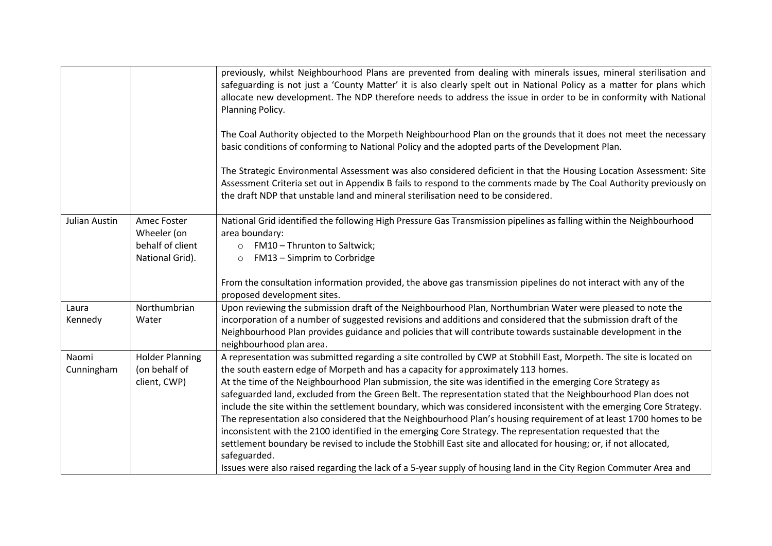|                     |                                                                   | previously, whilst Neighbourhood Plans are prevented from dealing with minerals issues, mineral sterilisation and<br>safeguarding is not just a 'County Matter' it is also clearly spelt out in National Policy as a matter for plans which<br>allocate new development. The NDP therefore needs to address the issue in order to be in conformity with National<br>Planning Policy.<br>The Coal Authority objected to the Morpeth Neighbourhood Plan on the grounds that it does not meet the necessary<br>basic conditions of conforming to National Policy and the adopted parts of the Development Plan.<br>The Strategic Environmental Assessment was also considered deficient in that the Housing Location Assessment: Site                                                                                                                                                                                                                                                                                                                            |
|---------------------|-------------------------------------------------------------------|---------------------------------------------------------------------------------------------------------------------------------------------------------------------------------------------------------------------------------------------------------------------------------------------------------------------------------------------------------------------------------------------------------------------------------------------------------------------------------------------------------------------------------------------------------------------------------------------------------------------------------------------------------------------------------------------------------------------------------------------------------------------------------------------------------------------------------------------------------------------------------------------------------------------------------------------------------------------------------------------------------------------------------------------------------------|
|                     |                                                                   | Assessment Criteria set out in Appendix B fails to respond to the comments made by The Coal Authority previously on<br>the draft NDP that unstable land and mineral sterilisation need to be considered.                                                                                                                                                                                                                                                                                                                                                                                                                                                                                                                                                                                                                                                                                                                                                                                                                                                      |
| Julian Austin       | Amec Foster<br>Wheeler (on<br>behalf of client<br>National Grid). | National Grid identified the following High Pressure Gas Transmission pipelines as falling within the Neighbourhood<br>area boundary:<br>FM10 - Thrunton to Saltwick;<br>$\circ$<br>FM13 - Simprim to Corbridge<br>$\circ$                                                                                                                                                                                                                                                                                                                                                                                                                                                                                                                                                                                                                                                                                                                                                                                                                                    |
|                     |                                                                   | From the consultation information provided, the above gas transmission pipelines do not interact with any of the<br>proposed development sites.                                                                                                                                                                                                                                                                                                                                                                                                                                                                                                                                                                                                                                                                                                                                                                                                                                                                                                               |
| Laura<br>Kennedy    | Northumbrian<br>Water                                             | Upon reviewing the submission draft of the Neighbourhood Plan, Northumbrian Water were pleased to note the<br>incorporation of a number of suggested revisions and additions and considered that the submission draft of the<br>Neighbourhood Plan provides guidance and policies that will contribute towards sustainable development in the<br>neighbourhood plan area.                                                                                                                                                                                                                                                                                                                                                                                                                                                                                                                                                                                                                                                                                     |
| Naomi<br>Cunningham | <b>Holder Planning</b><br>(on behalf of<br>client, CWP)           | A representation was submitted regarding a site controlled by CWP at Stobhill East, Morpeth. The site is located on<br>the south eastern edge of Morpeth and has a capacity for approximately 113 homes.<br>At the time of the Neighbourhood Plan submission, the site was identified in the emerging Core Strategy as<br>safeguarded land, excluded from the Green Belt. The representation stated that the Neighbourhood Plan does not<br>include the site within the settlement boundary, which was considered inconsistent with the emerging Core Strategy.<br>The representation also considered that the Neighbourhood Plan's housing requirement of at least 1700 homes to be<br>inconsistent with the 2100 identified in the emerging Core Strategy. The representation requested that the<br>settlement boundary be revised to include the Stobhill East site and allocated for housing; or, if not allocated,<br>safeguarded.<br>Issues were also raised regarding the lack of a 5-year supply of housing land in the City Region Commuter Area and |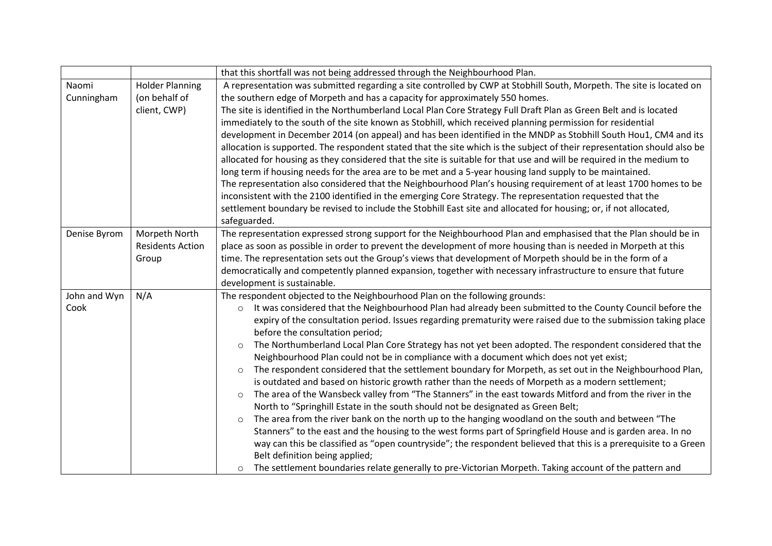|              |                         | that this shortfall was not being addressed through the Neighbourhood Plan.                                                                                                                                                     |
|--------------|-------------------------|---------------------------------------------------------------------------------------------------------------------------------------------------------------------------------------------------------------------------------|
| Naomi        | <b>Holder Planning</b>  | A representation was submitted regarding a site controlled by CWP at Stobhill South, Morpeth. The site is located on                                                                                                            |
| Cunningham   | (on behalf of           | the southern edge of Morpeth and has a capacity for approximately 550 homes.                                                                                                                                                    |
|              | client, CWP)            | The site is identified in the Northumberland Local Plan Core Strategy Full Draft Plan as Green Belt and is located                                                                                                              |
|              |                         | immediately to the south of the site known as Stobhill, which received planning permission for residential                                                                                                                      |
|              |                         | development in December 2014 (on appeal) and has been identified in the MNDP as Stobhill South Hou1, CM4 and its                                                                                                                |
|              |                         | allocation is supported. The respondent stated that the site which is the subject of their representation should also be                                                                                                        |
|              |                         | allocated for housing as they considered that the site is suitable for that use and will be required in the medium to                                                                                                           |
|              |                         | long term if housing needs for the area are to be met and a 5-year housing land supply to be maintained.                                                                                                                        |
|              |                         | The representation also considered that the Neighbourhood Plan's housing requirement of at least 1700 homes to be                                                                                                               |
|              |                         | inconsistent with the 2100 identified in the emerging Core Strategy. The representation requested that the                                                                                                                      |
|              |                         | settlement boundary be revised to include the Stobhill East site and allocated for housing; or, if not allocated,                                                                                                               |
|              |                         | safeguarded.                                                                                                                                                                                                                    |
| Denise Byrom | Morpeth North           | The representation expressed strong support for the Neighbourhood Plan and emphasised that the Plan should be in                                                                                                                |
|              | <b>Residents Action</b> | place as soon as possible in order to prevent the development of more housing than is needed in Morpeth at this                                                                                                                 |
|              | Group                   | time. The representation sets out the Group's views that development of Morpeth should be in the form of a                                                                                                                      |
|              |                         | democratically and competently planned expansion, together with necessary infrastructure to ensure that future                                                                                                                  |
|              |                         | development is sustainable.                                                                                                                                                                                                     |
| John and Wyn | N/A                     | The respondent objected to the Neighbourhood Plan on the following grounds:                                                                                                                                                     |
| Cook         |                         | It was considered that the Neighbourhood Plan had already been submitted to the County Council before the<br>$\circ$                                                                                                            |
|              |                         | expiry of the consultation period. Issues regarding prematurity were raised due to the submission taking place                                                                                                                  |
|              |                         | before the consultation period;                                                                                                                                                                                                 |
|              |                         | The Northumberland Local Plan Core Strategy has not yet been adopted. The respondent considered that the<br>$\circ$                                                                                                             |
|              |                         | Neighbourhood Plan could not be in compliance with a document which does not yet exist;                                                                                                                                         |
|              |                         | The respondent considered that the settlement boundary for Morpeth, as set out in the Neighbourhood Plan,<br>$\circ$                                                                                                            |
|              |                         | is outdated and based on historic growth rather than the needs of Morpeth as a modern settlement;                                                                                                                               |
|              |                         | The area of the Wansbeck valley from "The Stanners" in the east towards Mitford and from the river in the<br>$\circ$                                                                                                            |
|              |                         | North to "Springhill Estate in the south should not be designated as Green Belt;                                                                                                                                                |
|              |                         | The area from the river bank on the north up to the hanging woodland on the south and between "The<br>$\circ$                                                                                                                   |
|              |                         | Stanners" to the east and the housing to the west forms part of Springfield House and is garden area. In no<br>way can this be classified as "open countryside"; the respondent believed that this is a prerequisite to a Green |
|              |                         | Belt definition being applied;                                                                                                                                                                                                  |
|              |                         | The settlement boundaries relate generally to pre-Victorian Morpeth. Taking account of the pattern and                                                                                                                          |
|              |                         | $\circ$                                                                                                                                                                                                                         |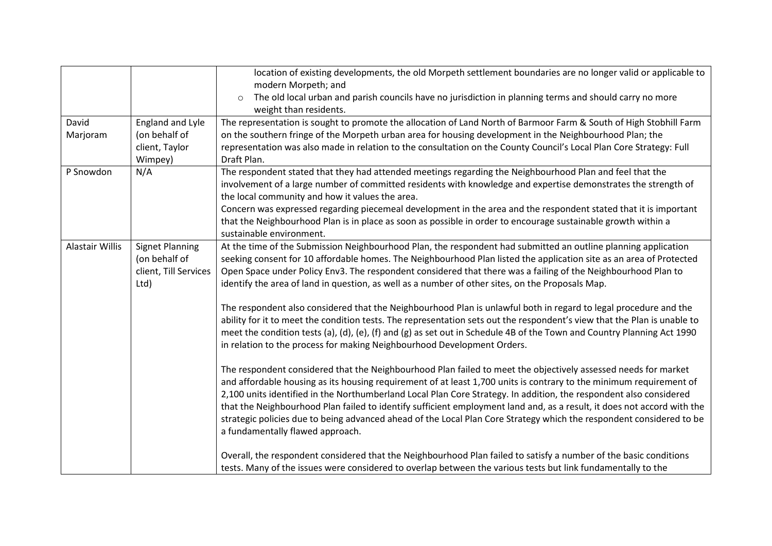|                        |                                                                          | location of existing developments, the old Morpeth settlement boundaries are no longer valid or applicable to<br>modern Morpeth; and<br>The old local urban and parish councils have no jurisdiction in planning terms and should carry no more<br>$\circ$                                                                                                                                                                                                                                                                                                                                                                                         |
|------------------------|--------------------------------------------------------------------------|----------------------------------------------------------------------------------------------------------------------------------------------------------------------------------------------------------------------------------------------------------------------------------------------------------------------------------------------------------------------------------------------------------------------------------------------------------------------------------------------------------------------------------------------------------------------------------------------------------------------------------------------------|
|                        |                                                                          | weight than residents.                                                                                                                                                                                                                                                                                                                                                                                                                                                                                                                                                                                                                             |
| David                  | England and Lyle                                                         | The representation is sought to promote the allocation of Land North of Barmoor Farm & South of High Stobhill Farm                                                                                                                                                                                                                                                                                                                                                                                                                                                                                                                                 |
| Marjoram               | (on behalf of                                                            | on the southern fringe of the Morpeth urban area for housing development in the Neighbourhood Plan; the                                                                                                                                                                                                                                                                                                                                                                                                                                                                                                                                            |
|                        | client, Taylor                                                           | representation was also made in relation to the consultation on the County Council's Local Plan Core Strategy: Full<br>Draft Plan.                                                                                                                                                                                                                                                                                                                                                                                                                                                                                                                 |
| P Snowdon              | Wimpey)<br>N/A                                                           |                                                                                                                                                                                                                                                                                                                                                                                                                                                                                                                                                                                                                                                    |
|                        |                                                                          | The respondent stated that they had attended meetings regarding the Neighbourhood Plan and feel that the<br>involvement of a large number of committed residents with knowledge and expertise demonstrates the strength of<br>the local community and how it values the area.                                                                                                                                                                                                                                                                                                                                                                      |
|                        |                                                                          | Concern was expressed regarding piecemeal development in the area and the respondent stated that it is important<br>that the Neighbourhood Plan is in place as soon as possible in order to encourage sustainable growth within a<br>sustainable environment.                                                                                                                                                                                                                                                                                                                                                                                      |
| <b>Alastair Willis</b> | <b>Signet Planning</b><br>(on behalf of<br>client, Till Services<br>Ltd) | At the time of the Submission Neighbourhood Plan, the respondent had submitted an outline planning application<br>seeking consent for 10 affordable homes. The Neighbourhood Plan listed the application site as an area of Protected<br>Open Space under Policy Env3. The respondent considered that there was a failing of the Neighbourhood Plan to<br>identify the area of land in question, as well as a number of other sites, on the Proposals Map.                                                                                                                                                                                         |
|                        |                                                                          | The respondent also considered that the Neighbourhood Plan is unlawful both in regard to legal procedure and the<br>ability for it to meet the condition tests. The representation sets out the respondent's view that the Plan is unable to<br>meet the condition tests (a), (d), (e), (f) and (g) as set out in Schedule 4B of the Town and Country Planning Act 1990<br>in relation to the process for making Neighbourhood Development Orders.                                                                                                                                                                                                 |
|                        |                                                                          | The respondent considered that the Neighbourhood Plan failed to meet the objectively assessed needs for market<br>and affordable housing as its housing requirement of at least 1,700 units is contrary to the minimum requirement of<br>2,100 units identified in the Northumberland Local Plan Core Strategy. In addition, the respondent also considered<br>that the Neighbourhood Plan failed to identify sufficient employment land and, as a result, it does not accord with the<br>strategic policies due to being advanced ahead of the Local Plan Core Strategy which the respondent considered to be<br>a fundamentally flawed approach. |
|                        |                                                                          | Overall, the respondent considered that the Neighbourhood Plan failed to satisfy a number of the basic conditions<br>tests. Many of the issues were considered to overlap between the various tests but link fundamentally to the                                                                                                                                                                                                                                                                                                                                                                                                                  |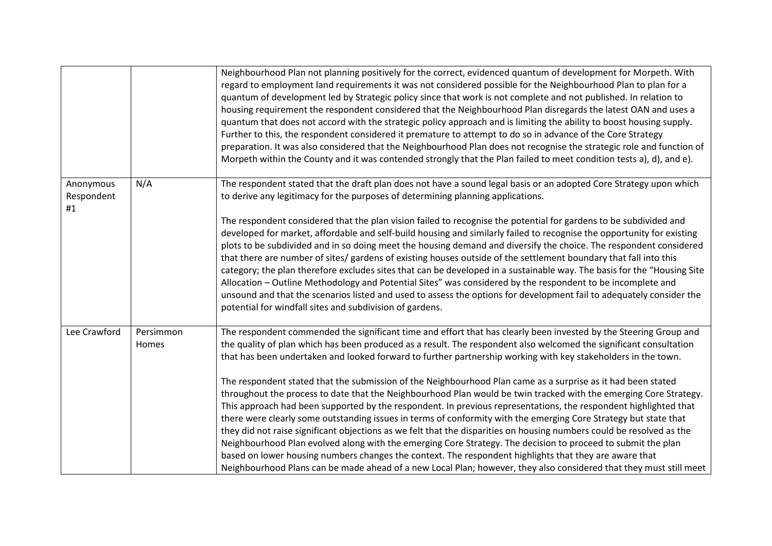|                               |                    | Neighbourhood Plan not planning positively for the correct, evidenced quantum of development for Morpeth. With<br>regard to employment land requirements it was not considered possible for the Neighbourhood Plan to plan for a<br>quantum of development led by Strategic policy since that work is not complete and not published. In relation to<br>housing requirement the respondent considered that the Neighbourhood Plan disregards the latest OAN and uses a<br>quantum that does not accord with the strategic policy approach and is limiting the ability to boost housing supply.<br>Further to this, the respondent considered it premature to attempt to do so in advance of the Core Strategy<br>preparation. It was also considered that the Neighbourhood Plan does not recognise the strategic role and function of<br>Morpeth within the County and it was contended strongly that the Plan failed to meet condition tests a), d), and e).                                                                                                                                                                                                                                                                                                                                                 |
|-------------------------------|--------------------|----------------------------------------------------------------------------------------------------------------------------------------------------------------------------------------------------------------------------------------------------------------------------------------------------------------------------------------------------------------------------------------------------------------------------------------------------------------------------------------------------------------------------------------------------------------------------------------------------------------------------------------------------------------------------------------------------------------------------------------------------------------------------------------------------------------------------------------------------------------------------------------------------------------------------------------------------------------------------------------------------------------------------------------------------------------------------------------------------------------------------------------------------------------------------------------------------------------------------------------------------------------------------------------------------------------|
| Anonymous<br>Respondent<br>#1 | N/A                | The respondent stated that the draft plan does not have a sound legal basis or an adopted Core Strategy upon which<br>to derive any legitimacy for the purposes of determining planning applications.                                                                                                                                                                                                                                                                                                                                                                                                                                                                                                                                                                                                                                                                                                                                                                                                                                                                                                                                                                                                                                                                                                          |
|                               |                    | The respondent considered that the plan vision failed to recognise the potential for gardens to be subdivided and<br>developed for market, affordable and self-build housing and similarly failed to recognise the opportunity for existing<br>plots to be subdivided and in so doing meet the housing demand and diversify the choice. The respondent considered<br>that there are number of sites/ gardens of existing houses outside of the settlement boundary that fall into this<br>category; the plan therefore excludes sites that can be developed in a sustainable way. The basis for the "Housing Site<br>Allocation - Outline Methodology and Potential Sites" was considered by the respondent to be incomplete and<br>unsound and that the scenarios listed and used to assess the options for development fail to adequately consider the<br>potential for windfall sites and subdivision of gardens.                                                                                                                                                                                                                                                                                                                                                                                           |
| Lee Crawford                  | Persimmon<br>Homes | The respondent commended the significant time and effort that has clearly been invested by the Steering Group and<br>the quality of plan which has been produced as a result. The respondent also welcomed the significant consultation<br>that has been undertaken and looked forward to further partnership working with key stakeholders in the town.<br>The respondent stated that the submission of the Neighbourhood Plan came as a surprise as it had been stated<br>throughout the process to date that the Neighbourhood Plan would be twin tracked with the emerging Core Strategy.<br>This approach had been supported by the respondent. In previous representations, the respondent highlighted that<br>there were clearly some outstanding issues in terms of conformity with the emerging Core Strategy but state that<br>they did not raise significant objections as we felt that the disparities on housing numbers could be resolved as the<br>Neighbourhood Plan evolved along with the emerging Core Strategy. The decision to proceed to submit the plan<br>based on lower housing numbers changes the context. The respondent highlights that they are aware that<br>Neighbourhood Plans can be made ahead of a new Local Plan; however, they also considered that they must still meet |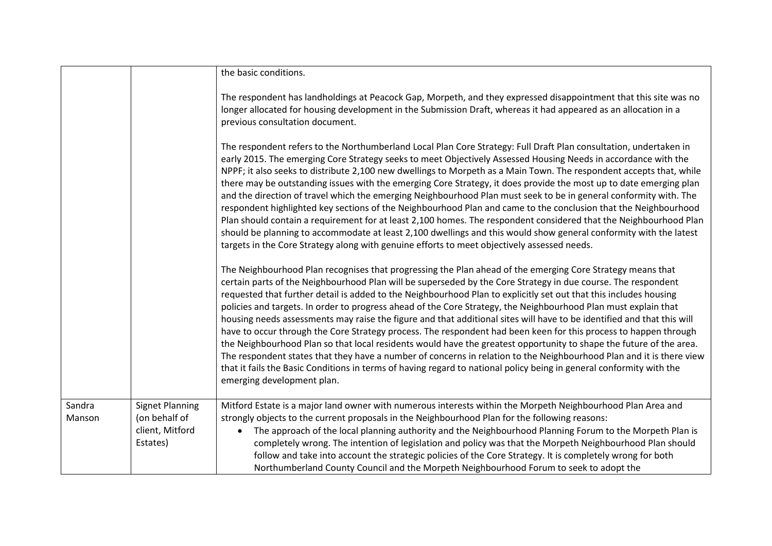|        |                                              | the basic conditions.                                                                                                                                                                                                                                                                                                                                                                                                                                                                                                                                                                                                                                                                                                                                                                                                                                                                                                                                                                                                                                                                                                  |
|--------|----------------------------------------------|------------------------------------------------------------------------------------------------------------------------------------------------------------------------------------------------------------------------------------------------------------------------------------------------------------------------------------------------------------------------------------------------------------------------------------------------------------------------------------------------------------------------------------------------------------------------------------------------------------------------------------------------------------------------------------------------------------------------------------------------------------------------------------------------------------------------------------------------------------------------------------------------------------------------------------------------------------------------------------------------------------------------------------------------------------------------------------------------------------------------|
|        |                                              | The respondent has landholdings at Peacock Gap, Morpeth, and they expressed disappointment that this site was no<br>longer allocated for housing development in the Submission Draft, whereas it had appeared as an allocation in a<br>previous consultation document.                                                                                                                                                                                                                                                                                                                                                                                                                                                                                                                                                                                                                                                                                                                                                                                                                                                 |
|        |                                              | The respondent refers to the Northumberland Local Plan Core Strategy: Full Draft Plan consultation, undertaken in<br>early 2015. The emerging Core Strategy seeks to meet Objectively Assessed Housing Needs in accordance with the<br>NPPF; it also seeks to distribute 2,100 new dwellings to Morpeth as a Main Town. The respondent accepts that, while<br>there may be outstanding issues with the emerging Core Strategy, it does provide the most up to date emerging plan<br>and the direction of travel which the emerging Neighbourhood Plan must seek to be in general conformity with. The<br>respondent highlighted key sections of the Neighbourhood Plan and came to the conclusion that the Neighbourhood<br>Plan should contain a requirement for at least 2,100 homes. The respondent considered that the Neighbourhood Plan<br>should be planning to accommodate at least 2,100 dwellings and this would show general conformity with the latest<br>targets in the Core Strategy along with genuine efforts to meet objectively assessed needs.                                                      |
|        |                                              | The Neighbourhood Plan recognises that progressing the Plan ahead of the emerging Core Strategy means that<br>certain parts of the Neighbourhood Plan will be superseded by the Core Strategy in due course. The respondent<br>requested that further detail is added to the Neighbourhood Plan to explicitly set out that this includes housing<br>policies and targets. In order to progress ahead of the Core Strategy, the Neighbourhood Plan must explain that<br>housing needs assessments may raise the figure and that additional sites will have to be identified and that this will<br>have to occur through the Core Strategy process. The respondent had been keen for this process to happen through<br>the Neighbourhood Plan so that local residents would have the greatest opportunity to shape the future of the area.<br>The respondent states that they have a number of concerns in relation to the Neighbourhood Plan and it is there view<br>that it fails the Basic Conditions in terms of having regard to national policy being in general conformity with the<br>emerging development plan. |
| Sandra | <b>Signet Planning</b>                       | Mitford Estate is a major land owner with numerous interests within the Morpeth Neighbourhood Plan Area and                                                                                                                                                                                                                                                                                                                                                                                                                                                                                                                                                                                                                                                                                                                                                                                                                                                                                                                                                                                                            |
| Manson | (on behalf of<br>client, Mitford<br>Estates) | strongly objects to the current proposals in the Neighbourhood Plan for the following reasons:<br>The approach of the local planning authority and the Neighbourhood Planning Forum to the Morpeth Plan is<br>$\bullet$<br>completely wrong. The intention of legislation and policy was that the Morpeth Neighbourhood Plan should<br>follow and take into account the strategic policies of the Core Strategy. It is completely wrong for both<br>Northumberland County Council and the Morpeth Neighbourhood Forum to seek to adopt the                                                                                                                                                                                                                                                                                                                                                                                                                                                                                                                                                                             |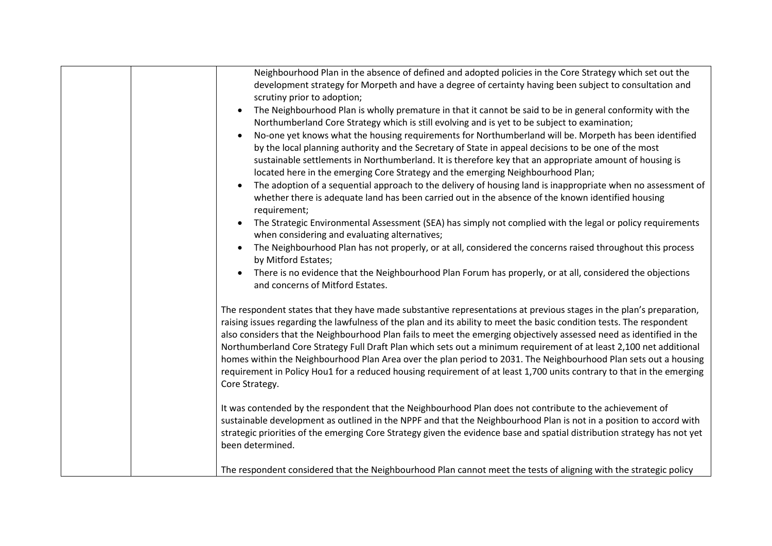| Neighbourhood Plan in the absence of defined and adopted policies in the Core Strategy which set out the                                                                                                                                      |
|-----------------------------------------------------------------------------------------------------------------------------------------------------------------------------------------------------------------------------------------------|
| development strategy for Morpeth and have a degree of certainty having been subject to consultation and                                                                                                                                       |
| scrutiny prior to adoption;                                                                                                                                                                                                                   |
| The Neighbourhood Plan is wholly premature in that it cannot be said to be in general conformity with the<br>$\bullet$                                                                                                                        |
| Northumberland Core Strategy which is still evolving and is yet to be subject to examination;                                                                                                                                                 |
| No-one yet knows what the housing requirements for Northumberland will be. Morpeth has been identified                                                                                                                                        |
| by the local planning authority and the Secretary of State in appeal decisions to be one of the most                                                                                                                                          |
| sustainable settlements in Northumberland. It is therefore key that an appropriate amount of housing is                                                                                                                                       |
| located here in the emerging Core Strategy and the emerging Neighbourhood Plan;<br>The adoption of a sequential approach to the delivery of housing land is inappropriate when no assessment of<br>$\bullet$                                  |
| whether there is adequate land has been carried out in the absence of the known identified housing<br>requirement;                                                                                                                            |
| The Strategic Environmental Assessment (SEA) has simply not complied with the legal or policy requirements<br>$\bullet$<br>when considering and evaluating alternatives;                                                                      |
| The Neighbourhood Plan has not properly, or at all, considered the concerns raised throughout this process<br>$\bullet$<br>by Mitford Estates;                                                                                                |
| There is no evidence that the Neighbourhood Plan Forum has properly, or at all, considered the objections<br>and concerns of Mitford Estates.                                                                                                 |
| The respondent states that they have made substantive representations at previous stages in the plan's preparation,                                                                                                                           |
| raising issues regarding the lawfulness of the plan and its ability to meet the basic condition tests. The respondent<br>also considers that the Neighbourhood Plan fails to meet the emerging objectively assessed need as identified in the |
| Northumberland Core Strategy Full Draft Plan which sets out a minimum requirement of at least 2,100 net additional                                                                                                                            |
| homes within the Neighbourhood Plan Area over the plan period to 2031. The Neighbourhood Plan sets out a housing                                                                                                                              |
| requirement in Policy Hou1 for a reduced housing requirement of at least 1,700 units contrary to that in the emerging                                                                                                                         |
| Core Strategy.                                                                                                                                                                                                                                |
| It was contended by the respondent that the Neighbourhood Plan does not contribute to the achievement of                                                                                                                                      |
| sustainable development as outlined in the NPPF and that the Neighbourhood Plan is not in a position to accord with                                                                                                                           |
| strategic priorities of the emerging Core Strategy given the evidence base and spatial distribution strategy has not yet<br>been determined.                                                                                                  |
|                                                                                                                                                                                                                                               |
| The respondent considered that the Neighbourhood Plan cannot meet the tests of aligning with the strategic policy                                                                                                                             |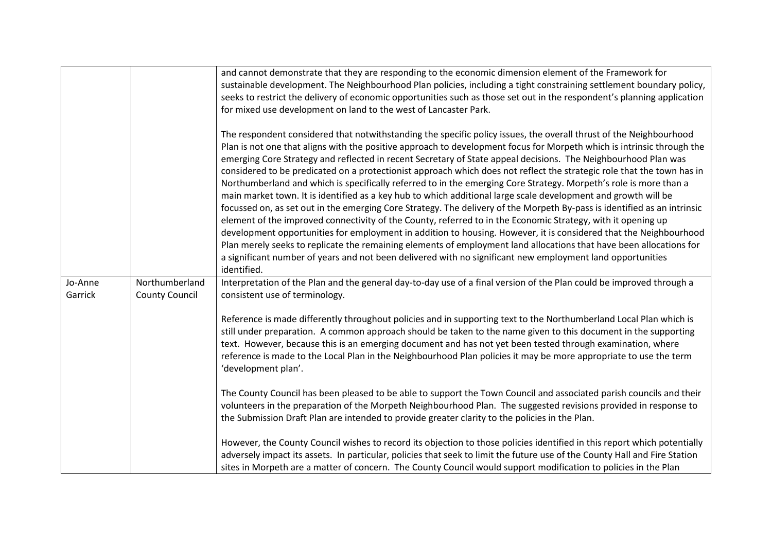|                    |                                         | and cannot demonstrate that they are responding to the economic dimension element of the Framework for<br>sustainable development. The Neighbourhood Plan policies, including a tight constraining settlement boundary policy,<br>seeks to restrict the delivery of economic opportunities such as those set out in the respondent's planning application<br>for mixed use development on land to the west of Lancaster Park.                                                                                                                                                                                                                                                                                                                                                                                                                                                                                                                                                                                                                                                                                                                                                                                                                                                                                                                        |
|--------------------|-----------------------------------------|------------------------------------------------------------------------------------------------------------------------------------------------------------------------------------------------------------------------------------------------------------------------------------------------------------------------------------------------------------------------------------------------------------------------------------------------------------------------------------------------------------------------------------------------------------------------------------------------------------------------------------------------------------------------------------------------------------------------------------------------------------------------------------------------------------------------------------------------------------------------------------------------------------------------------------------------------------------------------------------------------------------------------------------------------------------------------------------------------------------------------------------------------------------------------------------------------------------------------------------------------------------------------------------------------------------------------------------------------|
|                    |                                         | The respondent considered that notwithstanding the specific policy issues, the overall thrust of the Neighbourhood<br>Plan is not one that aligns with the positive approach to development focus for Morpeth which is intrinsic through the<br>emerging Core Strategy and reflected in recent Secretary of State appeal decisions. The Neighbourhood Plan was<br>considered to be predicated on a protectionist approach which does not reflect the strategic role that the town has in<br>Northumberland and which is specifically referred to in the emerging Core Strategy. Morpeth's role is more than a<br>main market town. It is identified as a key hub to which additional large scale development and growth will be<br>focussed on, as set out in the emerging Core Strategy. The delivery of the Morpeth By-pass is identified as an intrinsic<br>element of the improved connectivity of the County, referred to in the Economic Strategy, with it opening up<br>development opportunities for employment in addition to housing. However, it is considered that the Neighbourhood<br>Plan merely seeks to replicate the remaining elements of employment land allocations that have been allocations for<br>a significant number of years and not been delivered with no significant new employment land opportunities<br>identified. |
| Jo-Anne<br>Garrick | Northumberland<br><b>County Council</b> | Interpretation of the Plan and the general day-to-day use of a final version of the Plan could be improved through a<br>consistent use of terminology.                                                                                                                                                                                                                                                                                                                                                                                                                                                                                                                                                                                                                                                                                                                                                                                                                                                                                                                                                                                                                                                                                                                                                                                               |
|                    |                                         | Reference is made differently throughout policies and in supporting text to the Northumberland Local Plan which is<br>still under preparation. A common approach should be taken to the name given to this document in the supporting<br>text. However, because this is an emerging document and has not yet been tested through examination, where<br>reference is made to the Local Plan in the Neighbourhood Plan policies it may be more appropriate to use the term<br>'development plan'.                                                                                                                                                                                                                                                                                                                                                                                                                                                                                                                                                                                                                                                                                                                                                                                                                                                      |
|                    |                                         | The County Council has been pleased to be able to support the Town Council and associated parish councils and their<br>volunteers in the preparation of the Morpeth Neighbourhood Plan. The suggested revisions provided in response to<br>the Submission Draft Plan are intended to provide greater clarity to the policies in the Plan.                                                                                                                                                                                                                                                                                                                                                                                                                                                                                                                                                                                                                                                                                                                                                                                                                                                                                                                                                                                                            |
|                    |                                         | However, the County Council wishes to record its objection to those policies identified in this report which potentially<br>adversely impact its assets. In particular, policies that seek to limit the future use of the County Hall and Fire Station<br>sites in Morpeth are a matter of concern. The County Council would support modification to policies in the Plan                                                                                                                                                                                                                                                                                                                                                                                                                                                                                                                                                                                                                                                                                                                                                                                                                                                                                                                                                                            |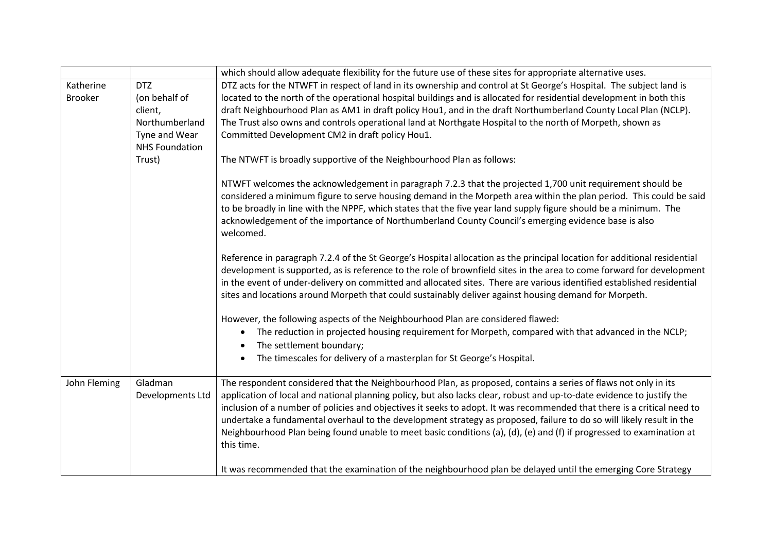|                             |                                                                    | which should allow adequate flexibility for the future use of these sites for appropriate alternative uses.                                                                                                                                                                                                                                                                                                                                                                                                                                                                                                                                                                                                                                                                                                                                                                                                                                                                                                                                                                                                                                                                                                                                                                 |
|-----------------------------|--------------------------------------------------------------------|-----------------------------------------------------------------------------------------------------------------------------------------------------------------------------------------------------------------------------------------------------------------------------------------------------------------------------------------------------------------------------------------------------------------------------------------------------------------------------------------------------------------------------------------------------------------------------------------------------------------------------------------------------------------------------------------------------------------------------------------------------------------------------------------------------------------------------------------------------------------------------------------------------------------------------------------------------------------------------------------------------------------------------------------------------------------------------------------------------------------------------------------------------------------------------------------------------------------------------------------------------------------------------|
| Katherine<br><b>Brooker</b> | DTZ<br>(on behalf of<br>client,<br>Northumberland<br>Tyne and Wear | DTZ acts for the NTWFT in respect of land in its ownership and control at St George's Hospital. The subject land is<br>located to the north of the operational hospital buildings and is allocated for residential development in both this<br>draft Neighbourhood Plan as AM1 in draft policy Hou1, and in the draft Northumberland County Local Plan (NCLP).<br>The Trust also owns and controls operational land at Northgate Hospital to the north of Morpeth, shown as<br>Committed Development CM2 in draft policy Hou1.                                                                                                                                                                                                                                                                                                                                                                                                                                                                                                                                                                                                                                                                                                                                              |
|                             | <b>NHS Foundation</b><br>Trust)                                    | The NTWFT is broadly supportive of the Neighbourhood Plan as follows:                                                                                                                                                                                                                                                                                                                                                                                                                                                                                                                                                                                                                                                                                                                                                                                                                                                                                                                                                                                                                                                                                                                                                                                                       |
|                             |                                                                    | NTWFT welcomes the acknowledgement in paragraph 7.2.3 that the projected 1,700 unit requirement should be<br>considered a minimum figure to serve housing demand in the Morpeth area within the plan period. This could be said<br>to be broadly in line with the NPPF, which states that the five year land supply figure should be a minimum. The<br>acknowledgement of the importance of Northumberland County Council's emerging evidence base is also<br>welcomed.<br>Reference in paragraph 7.2.4 of the St George's Hospital allocation as the principal location for additional residential<br>development is supported, as is reference to the role of brownfield sites in the area to come forward for development<br>in the event of under-delivery on committed and allocated sites. There are various identified established residential<br>sites and locations around Morpeth that could sustainably deliver against housing demand for Morpeth.<br>However, the following aspects of the Neighbourhood Plan are considered flawed:<br>The reduction in projected housing requirement for Morpeth, compared with that advanced in the NCLP;<br>$\bullet$<br>The settlement boundary;<br>The timescales for delivery of a masterplan for St George's Hospital. |
| John Fleming                | Gladman<br>Developments Ltd                                        | The respondent considered that the Neighbourhood Plan, as proposed, contains a series of flaws not only in its<br>application of local and national planning policy, but also lacks clear, robust and up-to-date evidence to justify the<br>inclusion of a number of policies and objectives it seeks to adopt. It was recommended that there is a critical need to<br>undertake a fundamental overhaul to the development strategy as proposed, failure to do so will likely result in the<br>Neighbourhood Plan being found unable to meet basic conditions (a), (d), (e) and (f) if progressed to examination at<br>this time.<br>It was recommended that the examination of the neighbourhood plan be delayed until the emerging Core Strategy                                                                                                                                                                                                                                                                                                                                                                                                                                                                                                                          |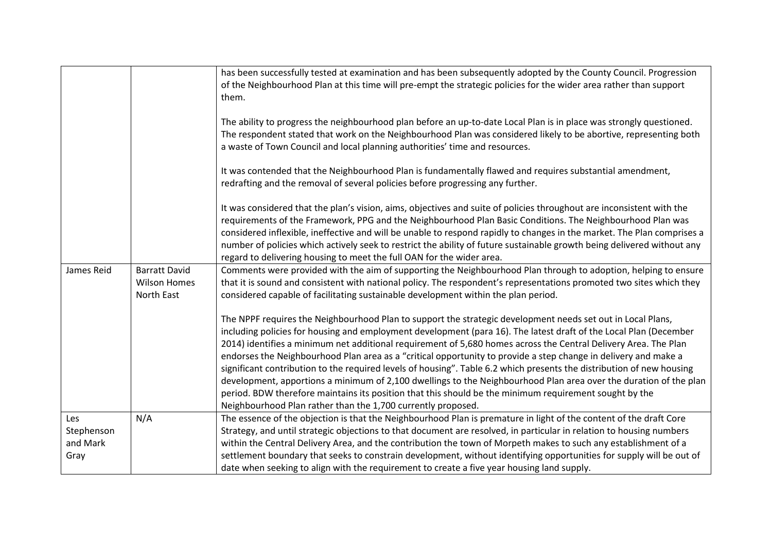|                                       |                                                           | has been successfully tested at examination and has been subsequently adopted by the County Council. Progression<br>of the Neighbourhood Plan at this time will pre-empt the strategic policies for the wider area rather than support<br>them.                                                                                                                                                                                                                                                                                                                                                                                                                                                                                                                                                                                                                                                |
|---------------------------------------|-----------------------------------------------------------|------------------------------------------------------------------------------------------------------------------------------------------------------------------------------------------------------------------------------------------------------------------------------------------------------------------------------------------------------------------------------------------------------------------------------------------------------------------------------------------------------------------------------------------------------------------------------------------------------------------------------------------------------------------------------------------------------------------------------------------------------------------------------------------------------------------------------------------------------------------------------------------------|
|                                       |                                                           | The ability to progress the neighbourhood plan before an up-to-date Local Plan is in place was strongly questioned.<br>The respondent stated that work on the Neighbourhood Plan was considered likely to be abortive, representing both<br>a waste of Town Council and local planning authorities' time and resources.                                                                                                                                                                                                                                                                                                                                                                                                                                                                                                                                                                        |
|                                       |                                                           | It was contended that the Neighbourhood Plan is fundamentally flawed and requires substantial amendment,<br>redrafting and the removal of several policies before progressing any further.                                                                                                                                                                                                                                                                                                                                                                                                                                                                                                                                                                                                                                                                                                     |
|                                       |                                                           | It was considered that the plan's vision, aims, objectives and suite of policies throughout are inconsistent with the<br>requirements of the Framework, PPG and the Neighbourhood Plan Basic Conditions. The Neighbourhood Plan was<br>considered inflexible, ineffective and will be unable to respond rapidly to changes in the market. The Plan comprises a<br>number of policies which actively seek to restrict the ability of future sustainable growth being delivered without any<br>regard to delivering housing to meet the full OAN for the wider area.                                                                                                                                                                                                                                                                                                                             |
| James Reid                            | <b>Barratt David</b><br><b>Wilson Homes</b><br>North East | Comments were provided with the aim of supporting the Neighbourhood Plan through to adoption, helping to ensure<br>that it is sound and consistent with national policy. The respondent's representations promoted two sites which they<br>considered capable of facilitating sustainable development within the plan period.                                                                                                                                                                                                                                                                                                                                                                                                                                                                                                                                                                  |
|                                       |                                                           | The NPPF requires the Neighbourhood Plan to support the strategic development needs set out in Local Plans,<br>including policies for housing and employment development (para 16). The latest draft of the Local Plan (December<br>2014) identifies a minimum net additional requirement of 5,680 homes across the Central Delivery Area. The Plan<br>endorses the Neighbourhood Plan area as a "critical opportunity to provide a step change in delivery and make a<br>significant contribution to the required levels of housing". Table 6.2 which presents the distribution of new housing<br>development, apportions a minimum of 2,100 dwellings to the Neighbourhood Plan area over the duration of the plan<br>period. BDW therefore maintains its position that this should be the minimum requirement sought by the<br>Neighbourhood Plan rather than the 1,700 currently proposed. |
| Les<br>Stephenson<br>and Mark<br>Gray | N/A                                                       | The essence of the objection is that the Neighbourhood Plan is premature in light of the content of the draft Core<br>Strategy, and until strategic objections to that document are resolved, in particular in relation to housing numbers<br>within the Central Delivery Area, and the contribution the town of Morpeth makes to such any establishment of a<br>settlement boundary that seeks to constrain development, without identifying opportunities for supply will be out of<br>date when seeking to align with the requirement to create a five year housing land supply.                                                                                                                                                                                                                                                                                                            |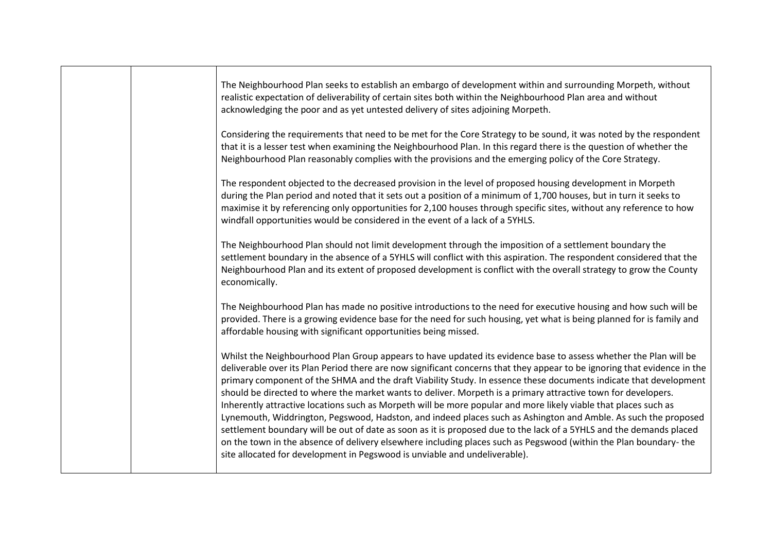| The Neighbourhood Plan seeks to establish an embargo of development within and surrounding Morpeth, without<br>realistic expectation of deliverability of certain sites both within the Neighbourhood Plan area and without<br>acknowledging the poor and as yet untested delivery of sites adjoining Morpeth.                                                                                                                                                                                                                                                                                                                                                                                                                                                                                                                                                                                                                                                                                                                                   |
|--------------------------------------------------------------------------------------------------------------------------------------------------------------------------------------------------------------------------------------------------------------------------------------------------------------------------------------------------------------------------------------------------------------------------------------------------------------------------------------------------------------------------------------------------------------------------------------------------------------------------------------------------------------------------------------------------------------------------------------------------------------------------------------------------------------------------------------------------------------------------------------------------------------------------------------------------------------------------------------------------------------------------------------------------|
| Considering the requirements that need to be met for the Core Strategy to be sound, it was noted by the respondent<br>that it is a lesser test when examining the Neighbourhood Plan. In this regard there is the question of whether the<br>Neighbourhood Plan reasonably complies with the provisions and the emerging policy of the Core Strategy.                                                                                                                                                                                                                                                                                                                                                                                                                                                                                                                                                                                                                                                                                            |
| The respondent objected to the decreased provision in the level of proposed housing development in Morpeth<br>during the Plan period and noted that it sets out a position of a minimum of 1,700 houses, but in turn it seeks to<br>maximise it by referencing only opportunities for 2,100 houses through specific sites, without any reference to how<br>windfall opportunities would be considered in the event of a lack of a 5YHLS.                                                                                                                                                                                                                                                                                                                                                                                                                                                                                                                                                                                                         |
| The Neighbourhood Plan should not limit development through the imposition of a settlement boundary the<br>settlement boundary in the absence of a 5YHLS will conflict with this aspiration. The respondent considered that the<br>Neighbourhood Plan and its extent of proposed development is conflict with the overall strategy to grow the County<br>economically.                                                                                                                                                                                                                                                                                                                                                                                                                                                                                                                                                                                                                                                                           |
| The Neighbourhood Plan has made no positive introductions to the need for executive housing and how such will be<br>provided. There is a growing evidence base for the need for such housing, yet what is being planned for is family and<br>affordable housing with significant opportunities being missed.                                                                                                                                                                                                                                                                                                                                                                                                                                                                                                                                                                                                                                                                                                                                     |
| Whilst the Neighbourhood Plan Group appears to have updated its evidence base to assess whether the Plan will be<br>deliverable over its Plan Period there are now significant concerns that they appear to be ignoring that evidence in the<br>primary component of the SHMA and the draft Viability Study. In essence these documents indicate that development<br>should be directed to where the market wants to deliver. Morpeth is a primary attractive town for developers.<br>Inherently attractive locations such as Morpeth will be more popular and more likely viable that places such as<br>Lynemouth, Widdrington, Pegswood, Hadston, and indeed places such as Ashington and Amble. As such the proposed<br>settlement boundary will be out of date as soon as it is proposed due to the lack of a 5YHLS and the demands placed<br>on the town in the absence of delivery elsewhere including places such as Pegswood (within the Plan boundary-the<br>site allocated for development in Pegswood is unviable and undeliverable). |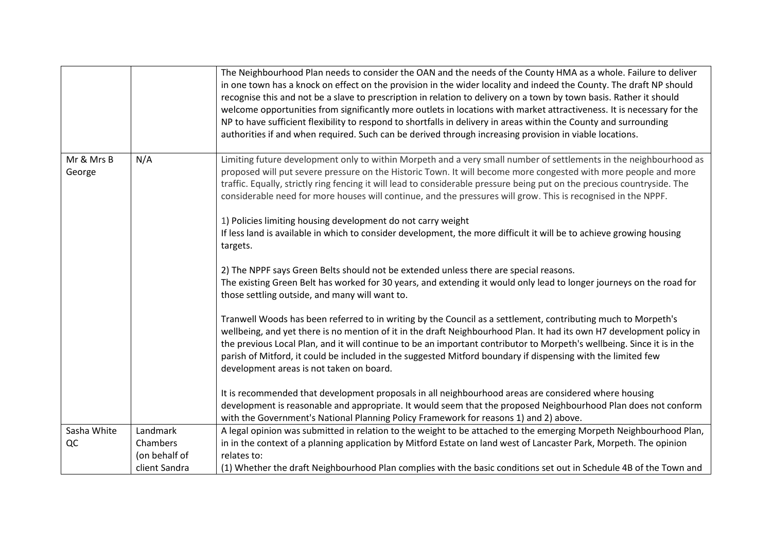|             |               | The Neighbourhood Plan needs to consider the OAN and the needs of the County HMA as a whole. Failure to deliver<br>in one town has a knock on effect on the provision in the wider locality and indeed the County. The draft NP should<br>recognise this and not be a slave to prescription in relation to delivery on a town by town basis. Rather it should |
|-------------|---------------|---------------------------------------------------------------------------------------------------------------------------------------------------------------------------------------------------------------------------------------------------------------------------------------------------------------------------------------------------------------|
|             |               | welcome opportunities from significantly more outlets in locations with market attractiveness. It is necessary for the                                                                                                                                                                                                                                        |
|             |               | NP to have sufficient flexibility to respond to shortfalls in delivery in areas within the County and surrounding                                                                                                                                                                                                                                             |
|             |               | authorities if and when required. Such can be derived through increasing provision in viable locations.                                                                                                                                                                                                                                                       |
| Mr & Mrs B  | N/A           | Limiting future development only to within Morpeth and a very small number of settlements in the neighbourhood as                                                                                                                                                                                                                                             |
| George      |               | proposed will put severe pressure on the Historic Town. It will become more congested with more people and more                                                                                                                                                                                                                                               |
|             |               | traffic. Equally, strictly ring fencing it will lead to considerable pressure being put on the precious countryside. The<br>considerable need for more houses will continue, and the pressures will grow. This is recognised in the NPPF.                                                                                                                     |
|             |               | 1) Policies limiting housing development do not carry weight                                                                                                                                                                                                                                                                                                  |
|             |               | If less land is available in which to consider development, the more difficult it will be to achieve growing housing                                                                                                                                                                                                                                          |
|             |               | targets.                                                                                                                                                                                                                                                                                                                                                      |
|             |               | 2) The NPPF says Green Belts should not be extended unless there are special reasons.                                                                                                                                                                                                                                                                         |
|             |               | The existing Green Belt has worked for 30 years, and extending it would only lead to longer journeys on the road for                                                                                                                                                                                                                                          |
|             |               | those settling outside, and many will want to.                                                                                                                                                                                                                                                                                                                |
|             |               | Tranwell Woods has been referred to in writing by the Council as a settlement, contributing much to Morpeth's                                                                                                                                                                                                                                                 |
|             |               | wellbeing, and yet there is no mention of it in the draft Neighbourhood Plan. It had its own H7 development policy in                                                                                                                                                                                                                                         |
|             |               | the previous Local Plan, and it will continue to be an important contributor to Morpeth's wellbeing. Since it is in the                                                                                                                                                                                                                                       |
|             |               | parish of Mitford, it could be included in the suggested Mitford boundary if dispensing with the limited few<br>development areas is not taken on board.                                                                                                                                                                                                      |
|             |               |                                                                                                                                                                                                                                                                                                                                                               |
|             |               | It is recommended that development proposals in all neighbourhood areas are considered where housing                                                                                                                                                                                                                                                          |
|             |               | development is reasonable and appropriate. It would seem that the proposed Neighbourhood Plan does not conform                                                                                                                                                                                                                                                |
|             |               | with the Government's National Planning Policy Framework for reasons 1) and 2) above.                                                                                                                                                                                                                                                                         |
| Sasha White | Landmark      | A legal opinion was submitted in relation to the weight to be attached to the emerging Morpeth Neighbourhood Plan,                                                                                                                                                                                                                                            |
| QC          | Chambers      | in in the context of a planning application by Mitford Estate on land west of Lancaster Park, Morpeth. The opinion                                                                                                                                                                                                                                            |
|             | (on behalf of | relates to:                                                                                                                                                                                                                                                                                                                                                   |
|             | client Sandra | (1) Whether the draft Neighbourhood Plan complies with the basic conditions set out in Schedule 4B of the Town and                                                                                                                                                                                                                                            |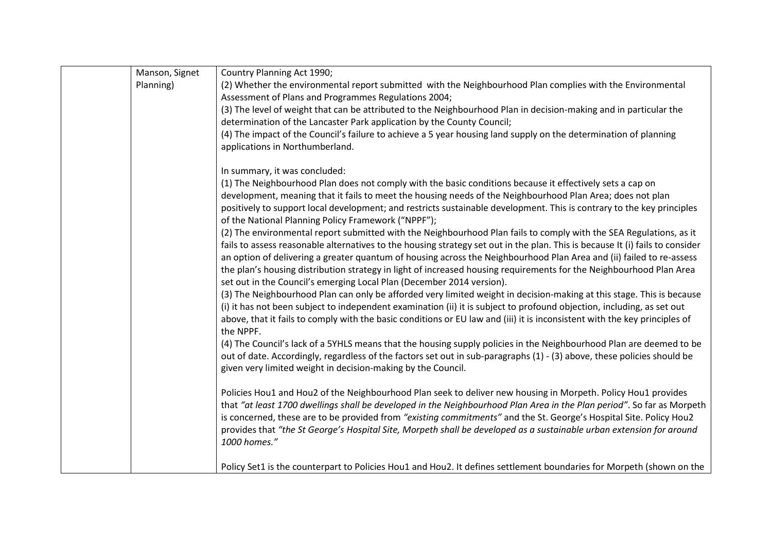| Manson, Signet | Country Planning Act 1990;                                                                                                                                                                                                                                                                                                                                                                                                                                                                                                                                                  |
|----------------|-----------------------------------------------------------------------------------------------------------------------------------------------------------------------------------------------------------------------------------------------------------------------------------------------------------------------------------------------------------------------------------------------------------------------------------------------------------------------------------------------------------------------------------------------------------------------------|
| Planning)      | (2) Whether the environmental report submitted with the Neighbourhood Plan complies with the Environmental                                                                                                                                                                                                                                                                                                                                                                                                                                                                  |
|                | Assessment of Plans and Programmes Regulations 2004;                                                                                                                                                                                                                                                                                                                                                                                                                                                                                                                        |
|                | (3) The level of weight that can be attributed to the Neighbourhood Plan in decision-making and in particular the                                                                                                                                                                                                                                                                                                                                                                                                                                                           |
|                | determination of the Lancaster Park application by the County Council;                                                                                                                                                                                                                                                                                                                                                                                                                                                                                                      |
|                | (4) The impact of the Council's failure to achieve a 5 year housing land supply on the determination of planning<br>applications in Northumberland.                                                                                                                                                                                                                                                                                                                                                                                                                         |
|                | In summary, it was concluded:                                                                                                                                                                                                                                                                                                                                                                                                                                                                                                                                               |
|                | (1) The Neighbourhood Plan does not comply with the basic conditions because it effectively sets a cap on                                                                                                                                                                                                                                                                                                                                                                                                                                                                   |
|                | development, meaning that it fails to meet the housing needs of the Neighbourhood Plan Area; does not plan<br>positively to support local development; and restricts sustainable development. This is contrary to the key principles<br>of the National Planning Policy Framework ("NPPF");                                                                                                                                                                                                                                                                                 |
|                | (2) The environmental report submitted with the Neighbourhood Plan fails to comply with the SEA Regulations, as it<br>fails to assess reasonable alternatives to the housing strategy set out in the plan. This is because It (i) fails to consider<br>an option of delivering a greater quantum of housing across the Neighbourhood Plan Area and (ii) failed to re-assess<br>the plan's housing distribution strategy in light of increased housing requirements for the Neighbourhood Plan Area<br>set out in the Council's emerging Local Plan (December 2014 version). |
|                | (3) The Neighbourhood Plan can only be afforded very limited weight in decision-making at this stage. This is because<br>(i) it has not been subject to independent examination (ii) it is subject to profound objection, including, as set out<br>above, that it fails to comply with the basic conditions or EU law and (iii) it is inconsistent with the key principles of<br>the NPPF.                                                                                                                                                                                  |
|                | (4) The Council's lack of a 5YHLS means that the housing supply policies in the Neighbourhood Plan are deemed to be<br>out of date. Accordingly, regardless of the factors set out in sub-paragraphs (1) - (3) above, these policies should be<br>given very limited weight in decision-making by the Council.                                                                                                                                                                                                                                                              |
|                | Policies Hou1 and Hou2 of the Neighbourhood Plan seek to deliver new housing in Morpeth. Policy Hou1 provides<br>that "at least 1700 dwellings shall be developed in the Neighbourhood Plan Area in the Plan period". So far as Morpeth<br>is concerned, these are to be provided from "existing commitments" and the St. George's Hospital Site. Policy Hou2<br>provides that "the St George's Hospital Site, Morpeth shall be developed as a sustainable urban extension for around<br>1000 homes."                                                                       |
|                | Policy Set1 is the counterpart to Policies Hou1 and Hou2. It defines settlement boundaries for Morpeth (shown on the                                                                                                                                                                                                                                                                                                                                                                                                                                                        |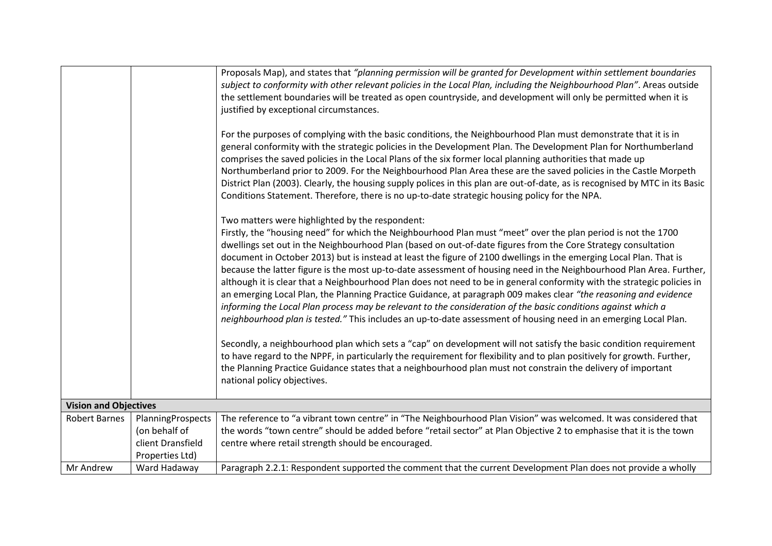|                              |                                                                            | Proposals Map), and states that "planning permission will be granted for Development within settlement boundaries<br>subject to conformity with other relevant policies in the Local Plan, including the Neighbourhood Plan". Areas outside<br>the settlement boundaries will be treated as open countryside, and development will only be permitted when it is<br>justified by exceptional circumstances.<br>For the purposes of complying with the basic conditions, the Neighbourhood Plan must demonstrate that it is in<br>general conformity with the strategic policies in the Development Plan. The Development Plan for Northumberland<br>comprises the saved policies in the Local Plans of the six former local planning authorities that made up<br>Northumberland prior to 2009. For the Neighbourhood Plan Area these are the saved policies in the Castle Morpeth<br>District Plan (2003). Clearly, the housing supply polices in this plan are out-of-date, as is recognised by MTC in its Basic<br>Conditions Statement. Therefore, there is no up-to-date strategic housing policy for the NPA.<br>Two matters were highlighted by the respondent:<br>Firstly, the "housing need" for which the Neighbourhood Plan must "meet" over the plan period is not the 1700<br>dwellings set out in the Neighbourhood Plan (based on out-of-date figures from the Core Strategy consultation<br>document in October 2013) but is instead at least the figure of 2100 dwellings in the emerging Local Plan. That is<br>because the latter figure is the most up-to-date assessment of housing need in the Neighbourhood Plan Area. Further,<br>although it is clear that a Neighbourhood Plan does not need to be in general conformity with the strategic policies in<br>an emerging Local Plan, the Planning Practice Guidance, at paragraph 009 makes clear "the reasoning and evidence<br>informing the Local Plan process may be relevant to the consideration of the basic conditions against which a |
|------------------------------|----------------------------------------------------------------------------|----------------------------------------------------------------------------------------------------------------------------------------------------------------------------------------------------------------------------------------------------------------------------------------------------------------------------------------------------------------------------------------------------------------------------------------------------------------------------------------------------------------------------------------------------------------------------------------------------------------------------------------------------------------------------------------------------------------------------------------------------------------------------------------------------------------------------------------------------------------------------------------------------------------------------------------------------------------------------------------------------------------------------------------------------------------------------------------------------------------------------------------------------------------------------------------------------------------------------------------------------------------------------------------------------------------------------------------------------------------------------------------------------------------------------------------------------------------------------------------------------------------------------------------------------------------------------------------------------------------------------------------------------------------------------------------------------------------------------------------------------------------------------------------------------------------------------------------------------------------------------------------------------------------------------------------------------------------------------------------------------------------------|
|                              |                                                                            | neighbourhood plan is tested." This includes an up-to-date assessment of housing need in an emerging Local Plan.<br>Secondly, a neighbourhood plan which sets a "cap" on development will not satisfy the basic condition requirement                                                                                                                                                                                                                                                                                                                                                                                                                                                                                                                                                                                                                                                                                                                                                                                                                                                                                                                                                                                                                                                                                                                                                                                                                                                                                                                                                                                                                                                                                                                                                                                                                                                                                                                                                                                |
|                              |                                                                            | to have regard to the NPPF, in particularly the requirement for flexibility and to plan positively for growth. Further,<br>the Planning Practice Guidance states that a neighbourhood plan must not constrain the delivery of important<br>national policy objectives.                                                                                                                                                                                                                                                                                                                                                                                                                                                                                                                                                                                                                                                                                                                                                                                                                                                                                                                                                                                                                                                                                                                                                                                                                                                                                                                                                                                                                                                                                                                                                                                                                                                                                                                                               |
| <b>Vision and Objectives</b> |                                                                            |                                                                                                                                                                                                                                                                                                                                                                                                                                                                                                                                                                                                                                                                                                                                                                                                                                                                                                                                                                                                                                                                                                                                                                                                                                                                                                                                                                                                                                                                                                                                                                                                                                                                                                                                                                                                                                                                                                                                                                                                                      |
| <b>Robert Barnes</b>         | PlanningProspects<br>(on behalf of<br>client Dransfield<br>Properties Ltd) | The reference to "a vibrant town centre" in "The Neighbourhood Plan Vision" was welcomed. It was considered that<br>the words "town centre" should be added before "retail sector" at Plan Objective 2 to emphasise that it is the town<br>centre where retail strength should be encouraged.                                                                                                                                                                                                                                                                                                                                                                                                                                                                                                                                                                                                                                                                                                                                                                                                                                                                                                                                                                                                                                                                                                                                                                                                                                                                                                                                                                                                                                                                                                                                                                                                                                                                                                                        |
| Mr Andrew                    | Ward Hadaway                                                               | Paragraph 2.2.1: Respondent supported the comment that the current Development Plan does not provide a wholly                                                                                                                                                                                                                                                                                                                                                                                                                                                                                                                                                                                                                                                                                                                                                                                                                                                                                                                                                                                                                                                                                                                                                                                                                                                                                                                                                                                                                                                                                                                                                                                                                                                                                                                                                                                                                                                                                                        |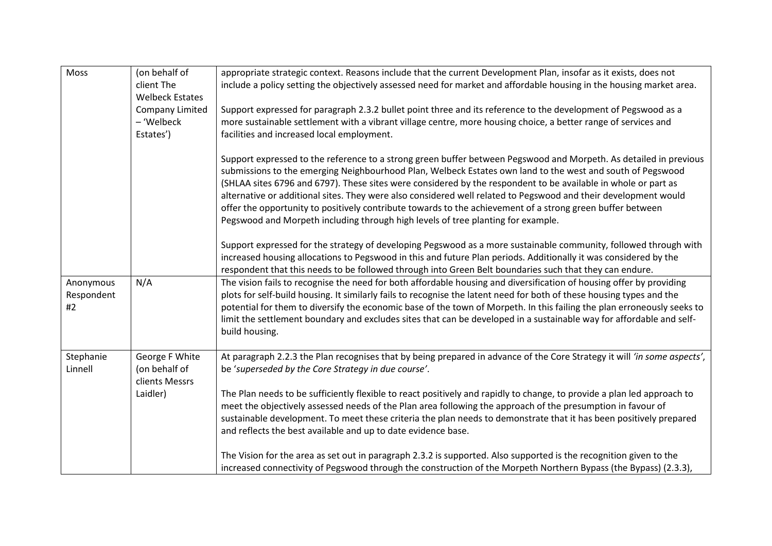| Moss                 | (on behalf of<br>client The                       | appropriate strategic context. Reasons include that the current Development Plan, insofar as it exists, does not<br>include a policy setting the objectively assessed need for market and affordable housing in the housing market area.                                                                                                                                                                                                                                                                                                                                                                                                                               |
|----------------------|---------------------------------------------------|------------------------------------------------------------------------------------------------------------------------------------------------------------------------------------------------------------------------------------------------------------------------------------------------------------------------------------------------------------------------------------------------------------------------------------------------------------------------------------------------------------------------------------------------------------------------------------------------------------------------------------------------------------------------|
|                      | <b>Welbeck Estates</b>                            |                                                                                                                                                                                                                                                                                                                                                                                                                                                                                                                                                                                                                                                                        |
|                      | <b>Company Limited</b>                            | Support expressed for paragraph 2.3.2 bullet point three and its reference to the development of Pegswood as a                                                                                                                                                                                                                                                                                                                                                                                                                                                                                                                                                         |
|                      | - 'Welbeck                                        | more sustainable settlement with a vibrant village centre, more housing choice, a better range of services and                                                                                                                                                                                                                                                                                                                                                                                                                                                                                                                                                         |
|                      | Estates')                                         | facilities and increased local employment.                                                                                                                                                                                                                                                                                                                                                                                                                                                                                                                                                                                                                             |
|                      |                                                   | Support expressed to the reference to a strong green buffer between Pegswood and Morpeth. As detailed in previous<br>submissions to the emerging Neighbourhood Plan, Welbeck Estates own land to the west and south of Pegswood<br>(SHLAA sites 6796 and 6797). These sites were considered by the respondent to be available in whole or part as<br>alternative or additional sites. They were also considered well related to Pegswood and their development would<br>offer the opportunity to positively contribute towards to the achievement of a strong green buffer between<br>Pegswood and Morpeth including through high levels of tree planting for example. |
|                      |                                                   | Support expressed for the strategy of developing Pegswood as a more sustainable community, followed through with<br>increased housing allocations to Pegswood in this and future Plan periods. Additionally it was considered by the<br>respondent that this needs to be followed through into Green Belt boundaries such that they can endure.                                                                                                                                                                                                                                                                                                                        |
| Anonymous            | N/A                                               | The vision fails to recognise the need for both affordable housing and diversification of housing offer by providing                                                                                                                                                                                                                                                                                                                                                                                                                                                                                                                                                   |
| Respondent           |                                                   | plots for self-build housing. It similarly fails to recognise the latent need for both of these housing types and the                                                                                                                                                                                                                                                                                                                                                                                                                                                                                                                                                  |
| #2                   |                                                   | potential for them to diversify the economic base of the town of Morpeth. In this failing the plan erroneously seeks to                                                                                                                                                                                                                                                                                                                                                                                                                                                                                                                                                |
|                      |                                                   | limit the settlement boundary and excludes sites that can be developed in a sustainable way for affordable and self-<br>build housing.                                                                                                                                                                                                                                                                                                                                                                                                                                                                                                                                 |
|                      |                                                   |                                                                                                                                                                                                                                                                                                                                                                                                                                                                                                                                                                                                                                                                        |
| Stephanie<br>Linnell | George F White<br>(on behalf of<br>clients Messrs | At paragraph 2.2.3 the Plan recognises that by being prepared in advance of the Core Strategy it will 'in some aspects',<br>be 'superseded by the Core Strategy in due course'.                                                                                                                                                                                                                                                                                                                                                                                                                                                                                        |
|                      | Laidler)                                          | The Plan needs to be sufficiently flexible to react positively and rapidly to change, to provide a plan led approach to                                                                                                                                                                                                                                                                                                                                                                                                                                                                                                                                                |
|                      |                                                   | meet the objectively assessed needs of the Plan area following the approach of the presumption in favour of                                                                                                                                                                                                                                                                                                                                                                                                                                                                                                                                                            |
|                      |                                                   | sustainable development. To meet these criteria the plan needs to demonstrate that it has been positively prepared                                                                                                                                                                                                                                                                                                                                                                                                                                                                                                                                                     |
|                      |                                                   | and reflects the best available and up to date evidence base.                                                                                                                                                                                                                                                                                                                                                                                                                                                                                                                                                                                                          |
|                      |                                                   | The Vision for the area as set out in paragraph 2.3.2 is supported. Also supported is the recognition given to the                                                                                                                                                                                                                                                                                                                                                                                                                                                                                                                                                     |
|                      |                                                   | increased connectivity of Pegswood through the construction of the Morpeth Northern Bypass (the Bypass) (2.3.3),                                                                                                                                                                                                                                                                                                                                                                                                                                                                                                                                                       |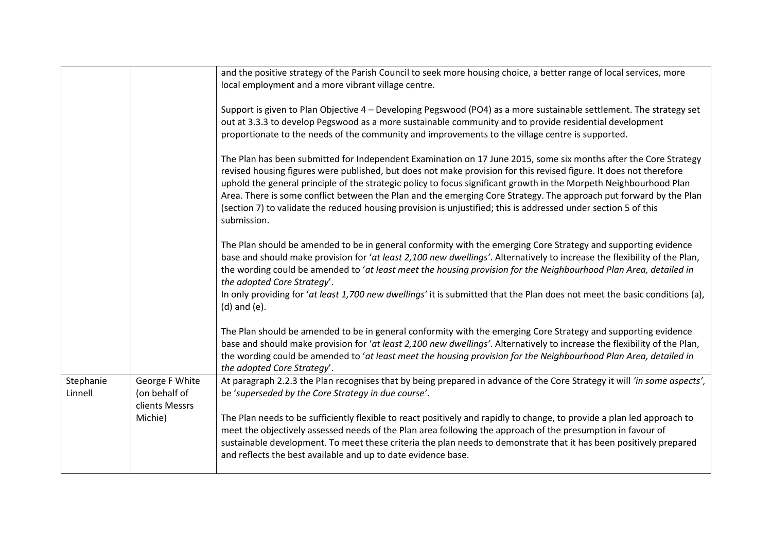|                                                   | and the positive strategy of the Parish Council to seek more housing choice, a better range of local services, more<br>local employment and a more vibrant village centre.                                                                                                                                                                                                                                                                                                                                                                                                                                           |
|---------------------------------------------------|----------------------------------------------------------------------------------------------------------------------------------------------------------------------------------------------------------------------------------------------------------------------------------------------------------------------------------------------------------------------------------------------------------------------------------------------------------------------------------------------------------------------------------------------------------------------------------------------------------------------|
|                                                   | Support is given to Plan Objective 4 - Developing Pegswood (PO4) as a more sustainable settlement. The strategy set<br>out at 3.3.3 to develop Pegswood as a more sustainable community and to provide residential development<br>proportionate to the needs of the community and improvements to the village centre is supported.                                                                                                                                                                                                                                                                                   |
|                                                   | The Plan has been submitted for Independent Examination on 17 June 2015, some six months after the Core Strategy<br>revised housing figures were published, but does not make provision for this revised figure. It does not therefore<br>uphold the general principle of the strategic policy to focus significant growth in the Morpeth Neighbourhood Plan<br>Area. There is some conflict between the Plan and the emerging Core Strategy. The approach put forward by the Plan<br>(section 7) to validate the reduced housing provision is unjustified; this is addressed under section 5 of this<br>submission. |
|                                                   | The Plan should be amended to be in general conformity with the emerging Core Strategy and supporting evidence<br>base and should make provision for 'at least 2,100 new dwellings'. Alternatively to increase the flexibility of the Plan,<br>the wording could be amended to 'at least meet the housing provision for the Neighbourhood Plan Area, detailed in<br>the adopted Core Strategy'.<br>In only providing for 'at least 1,700 new dwellings' it is submitted that the Plan does not meet the basic conditions (a),                                                                                        |
|                                                   | $(d)$ and $(e)$ .                                                                                                                                                                                                                                                                                                                                                                                                                                                                                                                                                                                                    |
|                                                   | The Plan should be amended to be in general conformity with the emerging Core Strategy and supporting evidence<br>base and should make provision for 'at least 2,100 new dwellings'. Alternatively to increase the flexibility of the Plan,<br>the wording could be amended to 'at least meet the housing provision for the Neighbourhood Plan Area, detailed in<br>the adopted Core Strategy'.                                                                                                                                                                                                                      |
| George F White<br>(on behalf of<br>clients Messrs | At paragraph 2.2.3 the Plan recognises that by being prepared in advance of the Core Strategy it will 'in some aspects',<br>be 'superseded by the Core Strategy in due course'.                                                                                                                                                                                                                                                                                                                                                                                                                                      |
| Michie)                                           | The Plan needs to be sufficiently flexible to react positively and rapidly to change, to provide a plan led approach to<br>meet the objectively assessed needs of the Plan area following the approach of the presumption in favour of<br>sustainable development. To meet these criteria the plan needs to demonstrate that it has been positively prepared<br>and reflects the best available and up to date evidence base.                                                                                                                                                                                        |
|                                                   |                                                                                                                                                                                                                                                                                                                                                                                                                                                                                                                                                                                                                      |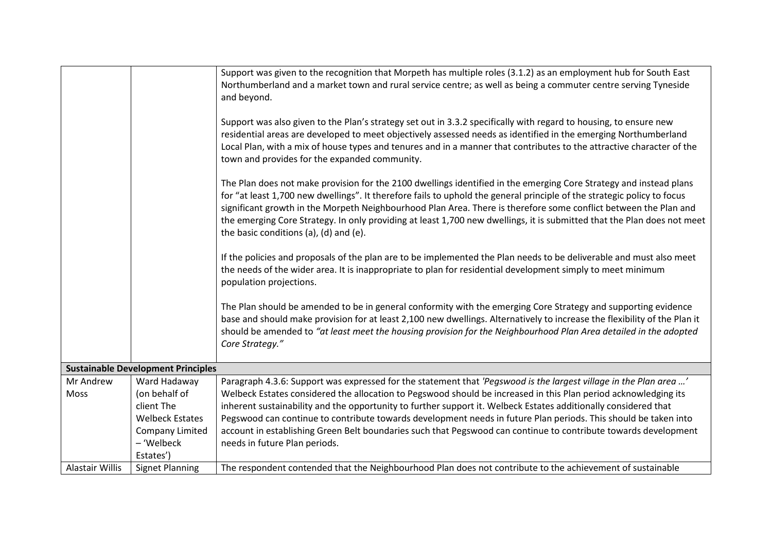|                 |                                           | Support was given to the recognition that Morpeth has multiple roles (3.1.2) as an employment hub for South East<br>Northumberland and a market town and rural service centre; as well as being a commuter centre serving Tyneside<br>and beyond.<br>Support was also given to the Plan's strategy set out in 3.3.2 specifically with regard to housing, to ensure new<br>residential areas are developed to meet objectively assessed needs as identified in the emerging Northumberland<br>Local Plan, with a mix of house types and tenures and in a manner that contributes to the attractive character of the<br>town and provides for the expanded community.<br>The Plan does not make provision for the 2100 dwellings identified in the emerging Core Strategy and instead plans<br>for "at least 1,700 new dwellings". It therefore fails to uphold the general principle of the strategic policy to focus<br>significant growth in the Morpeth Neighbourhood Plan Area. There is therefore some conflict between the Plan and<br>the emerging Core Strategy. In only providing at least 1,700 new dwellings, it is submitted that the Plan does not meet<br>the basic conditions (a), (d) and (e).<br>If the policies and proposals of the plan are to be implemented the Plan needs to be deliverable and must also meet<br>the needs of the wider area. It is inappropriate to plan for residential development simply to meet minimum<br>population projections.<br>The Plan should be amended to be in general conformity with the emerging Core Strategy and supporting evidence |
|-----------------|-------------------------------------------|--------------------------------------------------------------------------------------------------------------------------------------------------------------------------------------------------------------------------------------------------------------------------------------------------------------------------------------------------------------------------------------------------------------------------------------------------------------------------------------------------------------------------------------------------------------------------------------------------------------------------------------------------------------------------------------------------------------------------------------------------------------------------------------------------------------------------------------------------------------------------------------------------------------------------------------------------------------------------------------------------------------------------------------------------------------------------------------------------------------------------------------------------------------------------------------------------------------------------------------------------------------------------------------------------------------------------------------------------------------------------------------------------------------------------------------------------------------------------------------------------------------------------------------------------------------------------------------------------|
|                 |                                           | base and should make provision for at least 2,100 new dwellings. Alternatively to increase the flexibility of the Plan it<br>should be amended to "at least meet the housing provision for the Neighbourhood Plan Area detailed in the adopted<br>Core Strategy."                                                                                                                                                                                                                                                                                                                                                                                                                                                                                                                                                                                                                                                                                                                                                                                                                                                                                                                                                                                                                                                                                                                                                                                                                                                                                                                                |
|                 | <b>Sustainable Development Principles</b> |                                                                                                                                                                                                                                                                                                                                                                                                                                                                                                                                                                                                                                                                                                                                                                                                                                                                                                                                                                                                                                                                                                                                                                                                                                                                                                                                                                                                                                                                                                                                                                                                  |
| Mr Andrew       | Ward Hadaway                              | Paragraph 4.3.6: Support was expressed for the statement that 'Pegswood is the largest village in the Plan area '                                                                                                                                                                                                                                                                                                                                                                                                                                                                                                                                                                                                                                                                                                                                                                                                                                                                                                                                                                                                                                                                                                                                                                                                                                                                                                                                                                                                                                                                                |
| Moss            | (on behalf of                             | Welbeck Estates considered the allocation to Pegswood should be increased in this Plan period acknowledging its                                                                                                                                                                                                                                                                                                                                                                                                                                                                                                                                                                                                                                                                                                                                                                                                                                                                                                                                                                                                                                                                                                                                                                                                                                                                                                                                                                                                                                                                                  |
|                 | client The                                | inherent sustainability and the opportunity to further support it. Welbeck Estates additionally considered that                                                                                                                                                                                                                                                                                                                                                                                                                                                                                                                                                                                                                                                                                                                                                                                                                                                                                                                                                                                                                                                                                                                                                                                                                                                                                                                                                                                                                                                                                  |
|                 | <b>Welbeck Estates</b>                    | Pegswood can continue to contribute towards development needs in future Plan periods. This should be taken into                                                                                                                                                                                                                                                                                                                                                                                                                                                                                                                                                                                                                                                                                                                                                                                                                                                                                                                                                                                                                                                                                                                                                                                                                                                                                                                                                                                                                                                                                  |
|                 | <b>Company Limited</b>                    | account in establishing Green Belt boundaries such that Pegswood can continue to contribute towards development                                                                                                                                                                                                                                                                                                                                                                                                                                                                                                                                                                                                                                                                                                                                                                                                                                                                                                                                                                                                                                                                                                                                                                                                                                                                                                                                                                                                                                                                                  |
|                 | - 'Welbeck                                | needs in future Plan periods.                                                                                                                                                                                                                                                                                                                                                                                                                                                                                                                                                                                                                                                                                                                                                                                                                                                                                                                                                                                                                                                                                                                                                                                                                                                                                                                                                                                                                                                                                                                                                                    |
|                 | Estates')                                 |                                                                                                                                                                                                                                                                                                                                                                                                                                                                                                                                                                                                                                                                                                                                                                                                                                                                                                                                                                                                                                                                                                                                                                                                                                                                                                                                                                                                                                                                                                                                                                                                  |
| Alastair Willis | <b>Signet Planning</b>                    | The respondent contended that the Neighbourhood Plan does not contribute to the achievement of sustainable                                                                                                                                                                                                                                                                                                                                                                                                                                                                                                                                                                                                                                                                                                                                                                                                                                                                                                                                                                                                                                                                                                                                                                                                                                                                                                                                                                                                                                                                                       |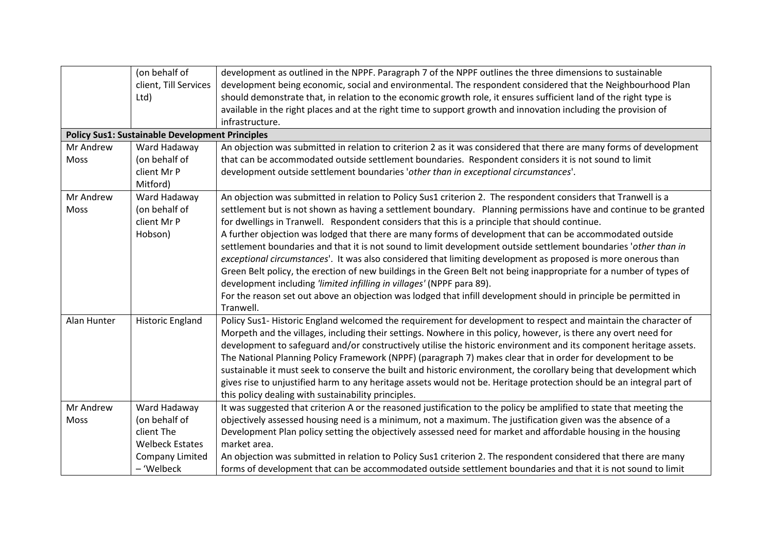| Mr Andrew<br>Moss | (on behalf of<br>client, Till Services<br>Ltd)<br><b>Policy Sus1: Sustainable Development Principles</b><br>Ward Hadaway<br>(on behalf of | development as outlined in the NPPF. Paragraph 7 of the NPPF outlines the three dimensions to sustainable<br>development being economic, social and environmental. The respondent considered that the Neighbourhood Plan<br>should demonstrate that, in relation to the economic growth role, it ensures sufficient land of the right type is<br>available in the right places and at the right time to support growth and innovation including the provision of<br>infrastructure.<br>An objection was submitted in relation to criterion 2 as it was considered that there are many forms of development<br>that can be accommodated outside settlement boundaries. Respondent considers it is not sound to limit                                                                                                                                                                                                                                                                                                     |
|-------------------|-------------------------------------------------------------------------------------------------------------------------------------------|-------------------------------------------------------------------------------------------------------------------------------------------------------------------------------------------------------------------------------------------------------------------------------------------------------------------------------------------------------------------------------------------------------------------------------------------------------------------------------------------------------------------------------------------------------------------------------------------------------------------------------------------------------------------------------------------------------------------------------------------------------------------------------------------------------------------------------------------------------------------------------------------------------------------------------------------------------------------------------------------------------------------------|
|                   | client Mr P<br>Mitford)                                                                                                                   | development outside settlement boundaries 'other than in exceptional circumstances'.                                                                                                                                                                                                                                                                                                                                                                                                                                                                                                                                                                                                                                                                                                                                                                                                                                                                                                                                    |
| Mr Andrew<br>Moss | Ward Hadaway<br>(on behalf of<br>client Mr P<br>Hobson)                                                                                   | An objection was submitted in relation to Policy Sus1 criterion 2. The respondent considers that Tranwell is a<br>settlement but is not shown as having a settlement boundary. Planning permissions have and continue to be granted<br>for dwellings in Tranwell. Respondent considers that this is a principle that should continue.<br>A further objection was lodged that there are many forms of development that can be accommodated outside<br>settlement boundaries and that it is not sound to limit development outside settlement boundaries 'other than in<br>exceptional circumstances'. It was also considered that limiting development as proposed is more onerous than<br>Green Belt policy, the erection of new buildings in the Green Belt not being inappropriate for a number of types of<br>development including 'limited infilling in villages' (NPPF para 89).<br>For the reason set out above an objection was lodged that infill development should in principle be permitted in<br>Tranwell. |
| Alan Hunter       | <b>Historic England</b>                                                                                                                   | Policy Sus1-Historic England welcomed the requirement for development to respect and maintain the character of<br>Morpeth and the villages, including their settings. Nowhere in this policy, however, is there any overt need for<br>development to safeguard and/or constructively utilise the historic environment and its component heritage assets.<br>The National Planning Policy Framework (NPPF) (paragraph 7) makes clear that in order for development to be<br>sustainable it must seek to conserve the built and historic environment, the corollary being that development which<br>gives rise to unjustified harm to any heritage assets would not be. Heritage protection should be an integral part of<br>this policy dealing with sustainability principles.                                                                                                                                                                                                                                          |
| Mr Andrew<br>Moss | Ward Hadaway<br>(on behalf of<br>client The<br><b>Welbeck Estates</b><br><b>Company Limited</b>                                           | It was suggested that criterion A or the reasoned justification to the policy be amplified to state that meeting the<br>objectively assessed housing need is a minimum, not a maximum. The justification given was the absence of a<br>Development Plan policy setting the objectively assessed need for market and affordable housing in the housing<br>market area.<br>An objection was submitted in relation to Policy Sus1 criterion 2. The respondent considered that there are many                                                                                                                                                                                                                                                                                                                                                                                                                                                                                                                               |
|                   | - 'Welbeck                                                                                                                                | forms of development that can be accommodated outside settlement boundaries and that it is not sound to limit                                                                                                                                                                                                                                                                                                                                                                                                                                                                                                                                                                                                                                                                                                                                                                                                                                                                                                           |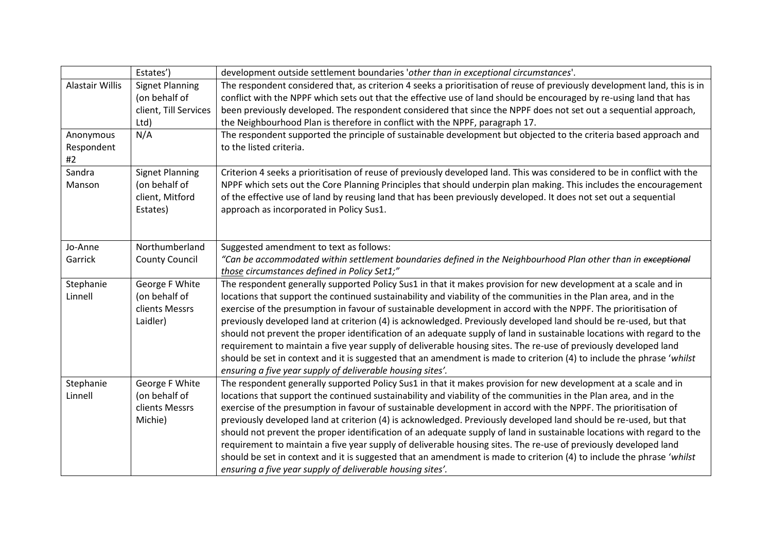|                               | Estates')                                                                | development outside settlement boundaries 'other than in exceptional circumstances'.                                                                                                                                                                                                                                                                                                                                                                                                                                                                                                                                                                                                                                                                                                                                                                                                                              |
|-------------------------------|--------------------------------------------------------------------------|-------------------------------------------------------------------------------------------------------------------------------------------------------------------------------------------------------------------------------------------------------------------------------------------------------------------------------------------------------------------------------------------------------------------------------------------------------------------------------------------------------------------------------------------------------------------------------------------------------------------------------------------------------------------------------------------------------------------------------------------------------------------------------------------------------------------------------------------------------------------------------------------------------------------|
| <b>Alastair Willis</b>        | <b>Signet Planning</b><br>(on behalf of<br>client, Till Services<br>Ltd) | The respondent considered that, as criterion 4 seeks a prioritisation of reuse of previously development land, this is in<br>conflict with the NPPF which sets out that the effective use of land should be encouraged by re-using land that has<br>been previously developed. The respondent considered that since the NPPF does not set out a sequential approach,<br>the Neighbourhood Plan is therefore in conflict with the NPPF, paragraph 17.                                                                                                                                                                                                                                                                                                                                                                                                                                                              |
| Anonymous<br>Respondent<br>#2 | N/A                                                                      | The respondent supported the principle of sustainable development but objected to the criteria based approach and<br>to the listed criteria.                                                                                                                                                                                                                                                                                                                                                                                                                                                                                                                                                                                                                                                                                                                                                                      |
| Sandra<br>Manson              | <b>Signet Planning</b><br>(on behalf of<br>client, Mitford<br>Estates)   | Criterion 4 seeks a prioritisation of reuse of previously developed land. This was considered to be in conflict with the<br>NPPF which sets out the Core Planning Principles that should underpin plan making. This includes the encouragement<br>of the effective use of land by reusing land that has been previously developed. It does not set out a sequential<br>approach as incorporated in Policy Sus1.                                                                                                                                                                                                                                                                                                                                                                                                                                                                                                   |
| Jo-Anne<br>Garrick            | Northumberland<br><b>County Council</b>                                  | Suggested amendment to text as follows:<br>"Can be accommodated within settlement boundaries defined in the Neighbourhood Plan other than in exceptional<br>those circumstances defined in Policy Set1;"                                                                                                                                                                                                                                                                                                                                                                                                                                                                                                                                                                                                                                                                                                          |
| Stephanie<br>Linnell          | George F White<br>(on behalf of<br>clients Messrs<br>Laidler)            | The respondent generally supported Policy Sus1 in that it makes provision for new development at a scale and in<br>locations that support the continued sustainability and viability of the communities in the Plan area, and in the<br>exercise of the presumption in favour of sustainable development in accord with the NPPF. The prioritisation of<br>previously developed land at criterion (4) is acknowledged. Previously developed land should be re-used, but that<br>should not prevent the proper identification of an adequate supply of land in sustainable locations with regard to the<br>requirement to maintain a five year supply of deliverable housing sites. The re-use of previously developed land<br>should be set in context and it is suggested that an amendment is made to criterion (4) to include the phrase 'whilst<br>ensuring a five year supply of deliverable housing sites'. |
| Stephanie<br>Linnell          | George F White<br>(on behalf of<br>clients Messrs<br>Michie)             | The respondent generally supported Policy Sus1 in that it makes provision for new development at a scale and in<br>locations that support the continued sustainability and viability of the communities in the Plan area, and in the<br>exercise of the presumption in favour of sustainable development in accord with the NPPF. The prioritisation of<br>previously developed land at criterion (4) is acknowledged. Previously developed land should be re-used, but that<br>should not prevent the proper identification of an adequate supply of land in sustainable locations with regard to the<br>requirement to maintain a five year supply of deliverable housing sites. The re-use of previously developed land<br>should be set in context and it is suggested that an amendment is made to criterion (4) to include the phrase 'whilst<br>ensuring a five year supply of deliverable housing sites'. |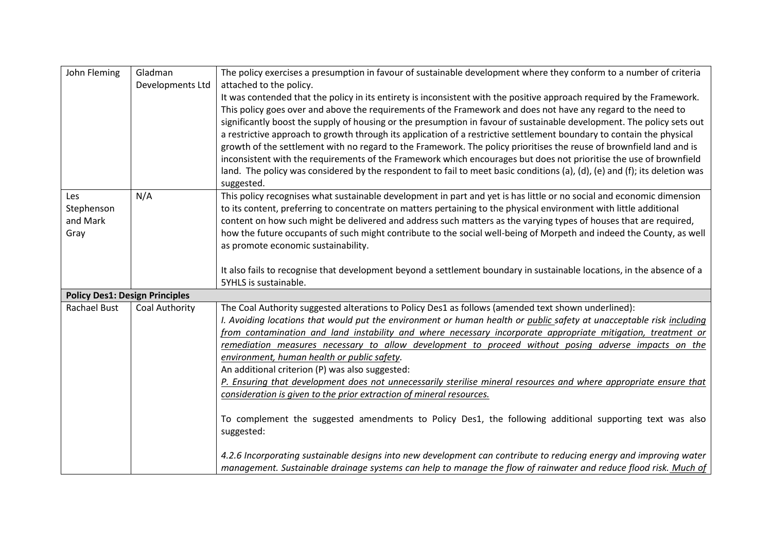| John Fleming                          | Gladman<br>Developments Ltd | The policy exercises a presumption in favour of sustainable development where they conform to a number of criteria<br>attached to the policy.                                                                                                                                                                                                                                                                                                                                                                                                                                                                                                                                                                                                                                                                                                                                        |
|---------------------------------------|-----------------------------|--------------------------------------------------------------------------------------------------------------------------------------------------------------------------------------------------------------------------------------------------------------------------------------------------------------------------------------------------------------------------------------------------------------------------------------------------------------------------------------------------------------------------------------------------------------------------------------------------------------------------------------------------------------------------------------------------------------------------------------------------------------------------------------------------------------------------------------------------------------------------------------|
|                                       |                             | It was contended that the policy in its entirety is inconsistent with the positive approach required by the Framework.<br>This policy goes over and above the requirements of the Framework and does not have any regard to the need to<br>significantly boost the supply of housing or the presumption in favour of sustainable development. The policy sets out<br>a restrictive approach to growth through its application of a restrictive settlement boundary to contain the physical<br>growth of the settlement with no regard to the Framework. The policy prioritises the reuse of brownfield land and is<br>inconsistent with the requirements of the Framework which encourages but does not prioritise the use of brownfield<br>land. The policy was considered by the respondent to fail to meet basic conditions (a), (d), (e) and (f); its deletion was<br>suggested. |
| Les<br>Stephenson<br>and Mark<br>Gray | N/A                         | This policy recognises what sustainable development in part and yet is has little or no social and economic dimension<br>to its content, preferring to concentrate on matters pertaining to the physical environment with little additional<br>content on how such might be delivered and address such matters as the varying types of houses that are required,<br>how the future occupants of such might contribute to the social well-being of Morpeth and indeed the County, as well<br>as promote economic sustainability.                                                                                                                                                                                                                                                                                                                                                      |
|                                       |                             | It also fails to recognise that development beyond a settlement boundary in sustainable locations, in the absence of a<br>5YHLS is sustainable.                                                                                                                                                                                                                                                                                                                                                                                                                                                                                                                                                                                                                                                                                                                                      |
| <b>Policy Des1: Design Principles</b> |                             |                                                                                                                                                                                                                                                                                                                                                                                                                                                                                                                                                                                                                                                                                                                                                                                                                                                                                      |
| <b>Rachael Bust</b>                   | Coal Authority              | The Coal Authority suggested alterations to Policy Des1 as follows (amended text shown underlined):<br>I. Avoiding locations that would put the environment or human health or public safety at unacceptable risk including<br>from contamination and land instability and where necessary incorporate appropriate mitigation, treatment or<br>remediation measures necessary to allow development to proceed without posing adverse impacts on the<br>environment, human health or public safety.<br>An additional criterion (P) was also suggested:<br>P. Ensuring that development does not unnecessarily sterilise mineral resources and where appropriate ensure that<br>consideration is given to the prior extraction of mineral resources.                                                                                                                                   |
|                                       |                             | To complement the suggested amendments to Policy Des1, the following additional supporting text was also<br>suggested:                                                                                                                                                                                                                                                                                                                                                                                                                                                                                                                                                                                                                                                                                                                                                               |
|                                       |                             | 4.2.6 Incorporating sustainable designs into new development can contribute to reducing energy and improving water<br>management. Sustainable drainage systems can help to manage the flow of rainwater and reduce flood risk. Much of                                                                                                                                                                                                                                                                                                                                                                                                                                                                                                                                                                                                                                               |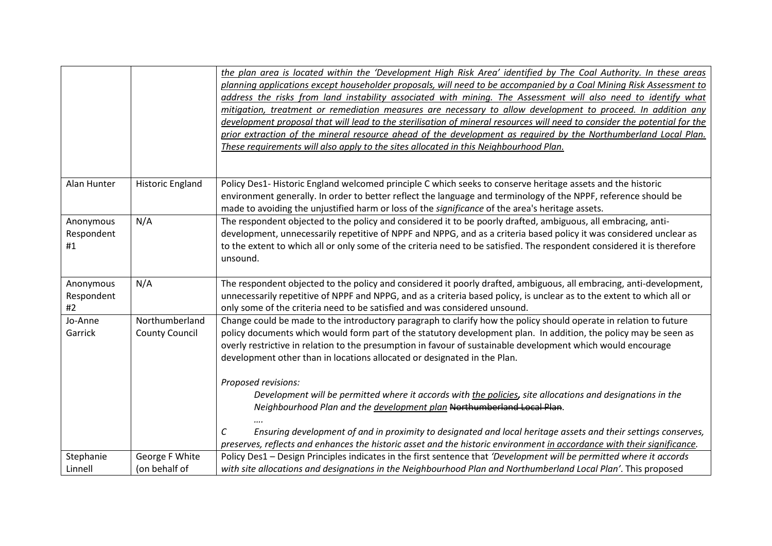|                               |                                         | the plan area is located within the 'Development High Risk Area' identified by The Coal Authority. In these areas<br>planning applications except householder proposals, will need to be accompanied by a Coal Mining Risk Assessment to<br>address the risks from land instability associated with mining. The Assessment will also need to identify what<br>mitigation, treatment or remediation measures are necessary to allow development to proceed. In addition any<br>development proposal that will lead to the sterilisation of mineral resources will need to consider the potential for the<br>prior extraction of the mineral resource ahead of the development as required by the Northumberland Local Plan.<br>These requirements will also apply to the sites allocated in this Neighbourhood Plan. |
|-------------------------------|-----------------------------------------|---------------------------------------------------------------------------------------------------------------------------------------------------------------------------------------------------------------------------------------------------------------------------------------------------------------------------------------------------------------------------------------------------------------------------------------------------------------------------------------------------------------------------------------------------------------------------------------------------------------------------------------------------------------------------------------------------------------------------------------------------------------------------------------------------------------------|
| Alan Hunter                   | <b>Historic England</b>                 | Policy Des1-Historic England welcomed principle C which seeks to conserve heritage assets and the historic<br>environment generally. In order to better reflect the language and terminology of the NPPF, reference should be<br>made to avoiding the unjustified harm or loss of the significance of the area's heritage assets.                                                                                                                                                                                                                                                                                                                                                                                                                                                                                   |
| Anonymous<br>Respondent<br>#1 | N/A                                     | The respondent objected to the policy and considered it to be poorly drafted, ambiguous, all embracing, anti-<br>development, unnecessarily repetitive of NPPF and NPPG, and as a criteria based policy it was considered unclear as<br>to the extent to which all or only some of the criteria need to be satisfied. The respondent considered it is therefore<br>unsound.                                                                                                                                                                                                                                                                                                                                                                                                                                         |
| Anonymous<br>Respondent<br>#2 | N/A                                     | The respondent objected to the policy and considered it poorly drafted, ambiguous, all embracing, anti-development,<br>unnecessarily repetitive of NPPF and NPPG, and as a criteria based policy, is unclear as to the extent to which all or<br>only some of the criteria need to be satisfied and was considered unsound.                                                                                                                                                                                                                                                                                                                                                                                                                                                                                         |
| Jo-Anne<br>Garrick            | Northumberland<br><b>County Council</b> | Change could be made to the introductory paragraph to clarify how the policy should operate in relation to future<br>policy documents which would form part of the statutory development plan. In addition, the policy may be seen as<br>overly restrictive in relation to the presumption in favour of sustainable development which would encourage<br>development other than in locations allocated or designated in the Plan.                                                                                                                                                                                                                                                                                                                                                                                   |
|                               |                                         | Proposed revisions:<br>Development will be permitted where it accords with the policies, site allocations and designations in the<br>Neighbourhood Plan and the development plan Northumberland Local Plan.<br>Ensuring development of and in proximity to designated and local heritage assets and their settings conserves,<br>C<br>preserves, reflects and enhances the historic asset and the historic environment in accordance with their significance.                                                                                                                                                                                                                                                                                                                                                       |
| Stephanie<br>Linnell          | George F White<br>(on behalf of         | Policy Des1 - Design Principles indicates in the first sentence that 'Development will be permitted where it accords<br>with site allocations and designations in the Neighbourhood Plan and Northumberland Local Plan'. This proposed                                                                                                                                                                                                                                                                                                                                                                                                                                                                                                                                                                              |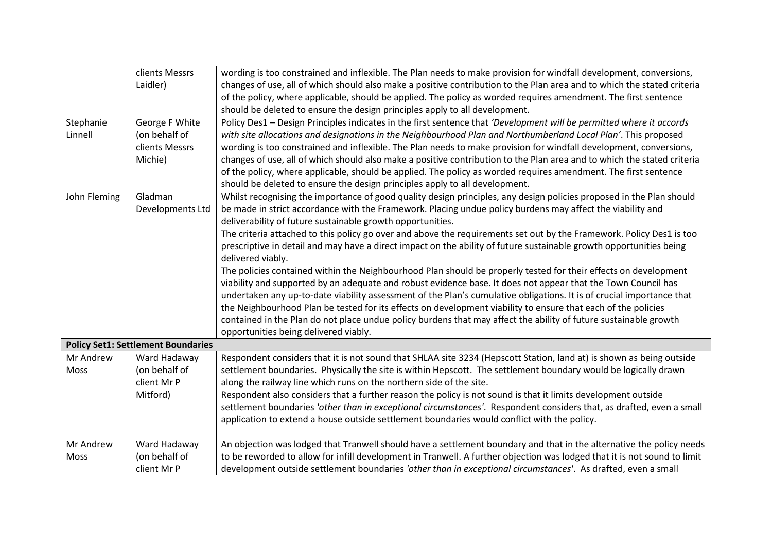|              | clients Messrs                            | wording is too constrained and inflexible. The Plan needs to make provision for windfall development, conversions,       |
|--------------|-------------------------------------------|--------------------------------------------------------------------------------------------------------------------------|
|              | Laidler)                                  | changes of use, all of which should also make a positive contribution to the Plan area and to which the stated criteria  |
|              |                                           | of the policy, where applicable, should be applied. The policy as worded requires amendment. The first sentence          |
|              |                                           | should be deleted to ensure the design principles apply to all development.                                              |
| Stephanie    | George F White                            | Policy Des1 - Design Principles indicates in the first sentence that 'Development will be permitted where it accords     |
| Linnell      | (on behalf of                             | with site allocations and designations in the Neighbourhood Plan and Northumberland Local Plan'. This proposed           |
|              | clients Messrs                            | wording is too constrained and inflexible. The Plan needs to make provision for windfall development, conversions,       |
|              | Michie)                                   | changes of use, all of which should also make a positive contribution to the Plan area and to which the stated criteria  |
|              |                                           | of the policy, where applicable, should be applied. The policy as worded requires amendment. The first sentence          |
|              |                                           | should be deleted to ensure the design principles apply to all development.                                              |
| John Fleming | Gladman                                   | Whilst recognising the importance of good quality design principles, any design policies proposed in the Plan should     |
|              | Developments Ltd                          | be made in strict accordance with the Framework. Placing undue policy burdens may affect the viability and               |
|              |                                           | deliverability of future sustainable growth opportunities.                                                               |
|              |                                           | The criteria attached to this policy go over and above the requirements set out by the Framework. Policy Des1 is too     |
|              |                                           | prescriptive in detail and may have a direct impact on the ability of future sustainable growth opportunities being      |
|              |                                           | delivered viably.                                                                                                        |
|              |                                           | The policies contained within the Neighbourhood Plan should be properly tested for their effects on development          |
|              |                                           | viability and supported by an adequate and robust evidence base. It does not appear that the Town Council has            |
|              |                                           | undertaken any up-to-date viability assessment of the Plan's cumulative obligations. It is of crucial importance that    |
|              |                                           | the Neighbourhood Plan be tested for its effects on development viability to ensure that each of the policies            |
|              |                                           | contained in the Plan do not place undue policy burdens that may affect the ability of future sustainable growth         |
|              |                                           | opportunities being delivered viably.                                                                                    |
|              | <b>Policy Set1: Settlement Boundaries</b> |                                                                                                                          |
| Mr Andrew    | Ward Hadaway                              | Respondent considers that it is not sound that SHLAA site 3234 (Hepscott Station, land at) is shown as being outside     |
| <b>Moss</b>  | (on behalf of                             | settlement boundaries. Physically the site is within Hepscott. The settlement boundary would be logically drawn          |
|              | client Mr P                               | along the railway line which runs on the northern side of the site.                                                      |
|              | Mitford)                                  | Respondent also considers that a further reason the policy is not sound is that it limits development outside            |
|              |                                           | settlement boundaries 'other than in exceptional circumstances'. Respondent considers that, as drafted, even a small     |
|              |                                           | application to extend a house outside settlement boundaries would conflict with the policy.                              |
|              |                                           |                                                                                                                          |
| Mr Andrew    | Ward Hadaway                              | An objection was lodged that Tranwell should have a settlement boundary and that in the alternative the policy needs     |
| Moss         | (on behalf of                             | to be reworded to allow for infill development in Tranwell. A further objection was lodged that it is not sound to limit |
|              | client Mr P                               | development outside settlement boundaries 'other than in exceptional circumstances'. As drafted, even a small            |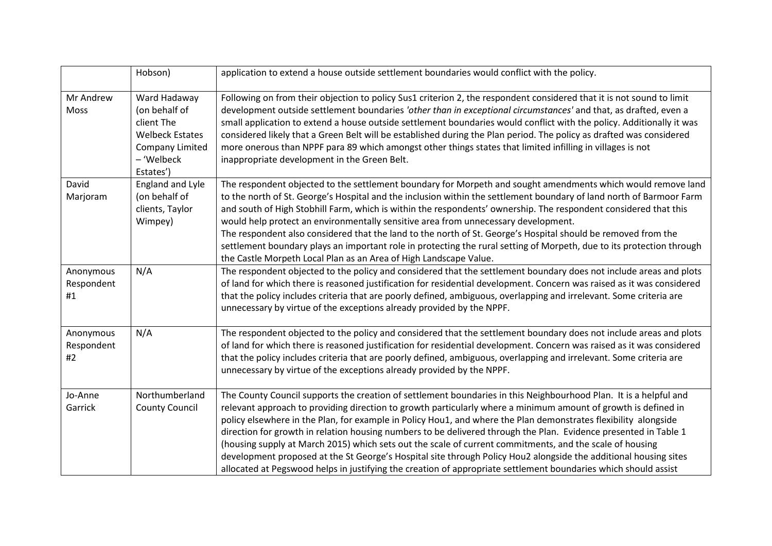|                               | Hobson)                                                                                                                    | application to extend a house outside settlement boundaries would conflict with the policy.                                                                                                                                                                                                                                                                                                                                                                                                                                                                                                                                                                                                                                                                                                                                   |
|-------------------------------|----------------------------------------------------------------------------------------------------------------------------|-------------------------------------------------------------------------------------------------------------------------------------------------------------------------------------------------------------------------------------------------------------------------------------------------------------------------------------------------------------------------------------------------------------------------------------------------------------------------------------------------------------------------------------------------------------------------------------------------------------------------------------------------------------------------------------------------------------------------------------------------------------------------------------------------------------------------------|
| Mr Andrew<br><b>Moss</b>      | Ward Hadaway<br>(on behalf of<br>client The<br><b>Welbeck Estates</b><br><b>Company Limited</b><br>- 'Welbeck<br>Estates') | Following on from their objection to policy Sus1 criterion 2, the respondent considered that it is not sound to limit<br>development outside settlement boundaries 'other than in exceptional circumstances' and that, as drafted, even a<br>small application to extend a house outside settlement boundaries would conflict with the policy. Additionally it was<br>considered likely that a Green Belt will be established during the Plan period. The policy as drafted was considered<br>more onerous than NPPF para 89 which amongst other things states that limited infilling in villages is not<br>inappropriate development in the Green Belt.                                                                                                                                                                      |
| David<br>Marjoram             | England and Lyle<br>(on behalf of<br>clients, Taylor<br>Wimpey)                                                            | The respondent objected to the settlement boundary for Morpeth and sought amendments which would remove land<br>to the north of St. George's Hospital and the inclusion within the settlement boundary of land north of Barmoor Farm<br>and south of High Stobhill Farm, which is within the respondents' ownership. The respondent considered that this<br>would help protect an environmentally sensitive area from unnecessary development.<br>The respondent also considered that the land to the north of St. George's Hospital should be removed from the<br>settlement boundary plays an important role in protecting the rural setting of Morpeth, due to its protection through<br>the Castle Morpeth Local Plan as an Area of High Landscape Value.                                                                 |
| Anonymous<br>Respondent<br>#1 | N/A                                                                                                                        | The respondent objected to the policy and considered that the settlement boundary does not include areas and plots<br>of land for which there is reasoned justification for residential development. Concern was raised as it was considered<br>that the policy includes criteria that are poorly defined, ambiguous, overlapping and irrelevant. Some criteria are<br>unnecessary by virtue of the exceptions already provided by the NPPF.                                                                                                                                                                                                                                                                                                                                                                                  |
| Anonymous<br>Respondent<br>#2 | N/A                                                                                                                        | The respondent objected to the policy and considered that the settlement boundary does not include areas and plots<br>of land for which there is reasoned justification for residential development. Concern was raised as it was considered<br>that the policy includes criteria that are poorly defined, ambiguous, overlapping and irrelevant. Some criteria are<br>unnecessary by virtue of the exceptions already provided by the NPPF.                                                                                                                                                                                                                                                                                                                                                                                  |
| Jo-Anne<br>Garrick            | Northumberland<br><b>County Council</b>                                                                                    | The County Council supports the creation of settlement boundaries in this Neighbourhood Plan. It is a helpful and<br>relevant approach to providing direction to growth particularly where a minimum amount of growth is defined in<br>policy elsewhere in the Plan, for example in Policy Hou1, and where the Plan demonstrates flexibility alongside<br>direction for growth in relation housing numbers to be delivered through the Plan. Evidence presented in Table 1<br>(housing supply at March 2015) which sets out the scale of current commitments, and the scale of housing<br>development proposed at the St George's Hospital site through Policy Hou2 alongside the additional housing sites<br>allocated at Pegswood helps in justifying the creation of appropriate settlement boundaries which should assist |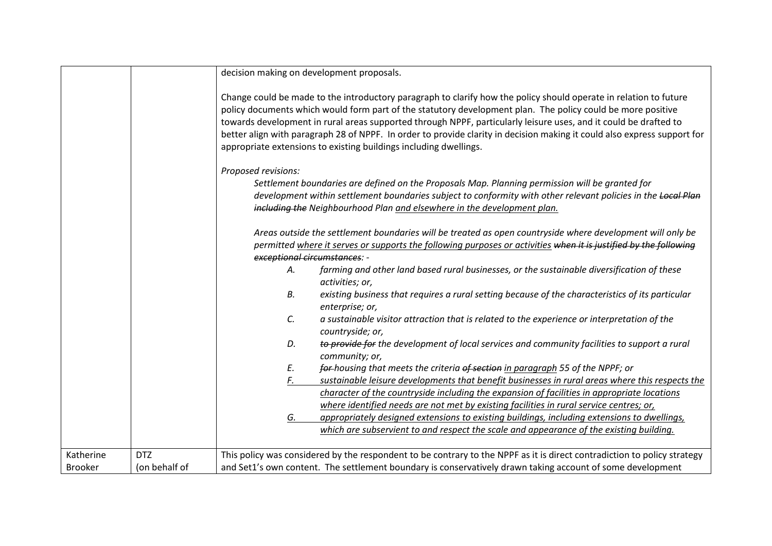|                |               | decision making on development proposals.                                                                                                                                                                                                                                                                                                                                                                                                                                                                                                             |
|----------------|---------------|-------------------------------------------------------------------------------------------------------------------------------------------------------------------------------------------------------------------------------------------------------------------------------------------------------------------------------------------------------------------------------------------------------------------------------------------------------------------------------------------------------------------------------------------------------|
|                |               | Change could be made to the introductory paragraph to clarify how the policy should operate in relation to future<br>policy documents which would form part of the statutory development plan. The policy could be more positive<br>towards development in rural areas supported through NPPF, particularly leisure uses, and it could be drafted to<br>better align with paragraph 28 of NPPF. In order to provide clarity in decision making it could also express support for<br>appropriate extensions to existing buildings including dwellings. |
|                |               | Proposed revisions:                                                                                                                                                                                                                                                                                                                                                                                                                                                                                                                                   |
|                |               | Settlement boundaries are defined on the Proposals Map. Planning permission will be granted for<br>development within settlement boundaries subject to conformity with other relevant policies in the Local Plan<br>including the Neighbourhood Plan and elsewhere in the development plan.                                                                                                                                                                                                                                                           |
|                |               | Areas outside the settlement boundaries will be treated as open countryside where development will only be<br>permitted where it serves or supports the following purposes or activities when it is justified by the following<br>exceptional circumstances: -                                                                                                                                                                                                                                                                                        |
|                |               | farming and other land based rural businesses, or the sustainable diversification of these<br>А.<br>activities; or,                                                                                                                                                                                                                                                                                                                                                                                                                                   |
|                |               | existing business that requires a rural setting because of the characteristics of its particular<br>В.<br>enterprise; or,                                                                                                                                                                                                                                                                                                                                                                                                                             |
|                |               | a sustainable visitor attraction that is related to the experience or interpretation of the<br>C.<br>countryside; or,                                                                                                                                                                                                                                                                                                                                                                                                                                 |
|                |               | to provide for the development of local services and community facilities to support a rural<br>D.<br>community; or,                                                                                                                                                                                                                                                                                                                                                                                                                                  |
|                |               | for-housing that meets the criteria of section in paragraph 55 of the NPPF; or<br>E.                                                                                                                                                                                                                                                                                                                                                                                                                                                                  |
|                |               | F.<br>sustainable leisure developments that benefit businesses in rural areas where this respects the                                                                                                                                                                                                                                                                                                                                                                                                                                                 |
|                |               | character of the countryside including the expansion of facilities in appropriate locations                                                                                                                                                                                                                                                                                                                                                                                                                                                           |
|                |               | where identified needs are not met by existing facilities in rural service centres; or,                                                                                                                                                                                                                                                                                                                                                                                                                                                               |
|                |               | appropriately designed extensions to existing buildings, including extensions to dwellings,<br>G.                                                                                                                                                                                                                                                                                                                                                                                                                                                     |
|                |               | which are subservient to and respect the scale and appearance of the existing building.                                                                                                                                                                                                                                                                                                                                                                                                                                                               |
| Katherine      | <b>DTZ</b>    | This policy was considered by the respondent to be contrary to the NPPF as it is direct contradiction to policy strategy                                                                                                                                                                                                                                                                                                                                                                                                                              |
| <b>Brooker</b> | (on behalf of | and Set1's own content. The settlement boundary is conservatively drawn taking account of some development                                                                                                                                                                                                                                                                                                                                                                                                                                            |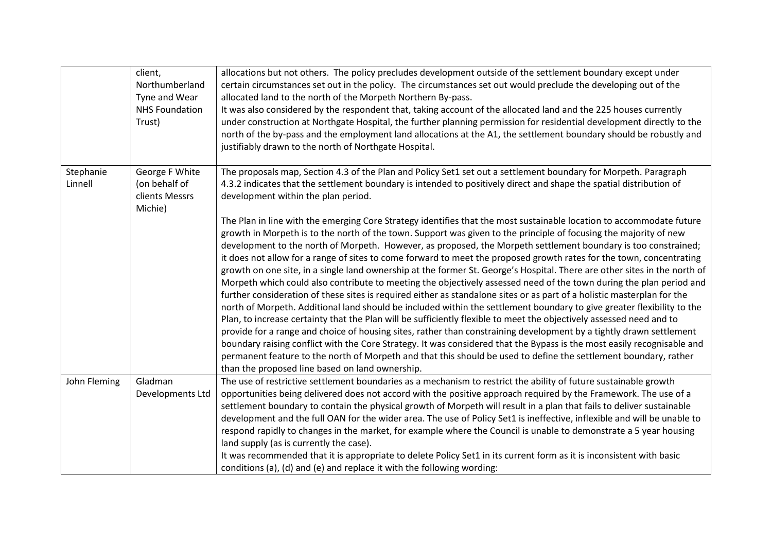|                      | client,<br>Northumberland<br>Tyne and Wear<br><b>NHS Foundation</b><br>Trust) | allocations but not others. The policy precludes development outside of the settlement boundary except under<br>certain circumstances set out in the policy. The circumstances set out would preclude the developing out of the<br>allocated land to the north of the Morpeth Northern By-pass.<br>It was also considered by the respondent that, taking account of the allocated land and the 225 houses currently<br>under construction at Northgate Hospital, the further planning permission for residential development directly to the<br>north of the by-pass and the employment land allocations at the A1, the settlement boundary should be robustly and<br>justifiably drawn to the north of Northgate Hospital.                                                                                                                                                                                                                                                                                                                                                                                                                                                                                                                                                                                                                                                                                                                                                                                                                   |
|----------------------|-------------------------------------------------------------------------------|-----------------------------------------------------------------------------------------------------------------------------------------------------------------------------------------------------------------------------------------------------------------------------------------------------------------------------------------------------------------------------------------------------------------------------------------------------------------------------------------------------------------------------------------------------------------------------------------------------------------------------------------------------------------------------------------------------------------------------------------------------------------------------------------------------------------------------------------------------------------------------------------------------------------------------------------------------------------------------------------------------------------------------------------------------------------------------------------------------------------------------------------------------------------------------------------------------------------------------------------------------------------------------------------------------------------------------------------------------------------------------------------------------------------------------------------------------------------------------------------------------------------------------------------------|
| Stephanie<br>Linnell | George F White<br>(on behalf of<br>clients Messrs<br>Michie)                  | The proposals map, Section 4.3 of the Plan and Policy Set1 set out a settlement boundary for Morpeth. Paragraph<br>4.3.2 indicates that the settlement boundary is intended to positively direct and shape the spatial distribution of<br>development within the plan period.                                                                                                                                                                                                                                                                                                                                                                                                                                                                                                                                                                                                                                                                                                                                                                                                                                                                                                                                                                                                                                                                                                                                                                                                                                                                 |
|                      |                                                                               | The Plan in line with the emerging Core Strategy identifies that the most sustainable location to accommodate future<br>growth in Morpeth is to the north of the town. Support was given to the principle of focusing the majority of new<br>development to the north of Morpeth. However, as proposed, the Morpeth settlement boundary is too constrained;<br>it does not allow for a range of sites to come forward to meet the proposed growth rates for the town, concentrating<br>growth on one site, in a single land ownership at the former St. George's Hospital. There are other sites in the north of<br>Morpeth which could also contribute to meeting the objectively assessed need of the town during the plan period and<br>further consideration of these sites is required either as standalone sites or as part of a holistic masterplan for the<br>north of Morpeth. Additional land should be included within the settlement boundary to give greater flexibility to the<br>Plan, to increase certainty that the Plan will be sufficiently flexible to meet the objectively assessed need and to<br>provide for a range and choice of housing sites, rather than constraining development by a tightly drawn settlement<br>boundary raising conflict with the Core Strategy. It was considered that the Bypass is the most easily recognisable and<br>permanent feature to the north of Morpeth and that this should be used to define the settlement boundary, rather<br>than the proposed line based on land ownership. |
| John Fleming         | Gladman<br>Developments Ltd                                                   | The use of restrictive settlement boundaries as a mechanism to restrict the ability of future sustainable growth<br>opportunities being delivered does not accord with the positive approach required by the Framework. The use of a<br>settlement boundary to contain the physical growth of Morpeth will result in a plan that fails to deliver sustainable<br>development and the full OAN for the wider area. The use of Policy Set1 is ineffective, inflexible and will be unable to<br>respond rapidly to changes in the market, for example where the Council is unable to demonstrate a 5 year housing<br>land supply (as is currently the case).<br>It was recommended that it is appropriate to delete Policy Set1 in its current form as it is inconsistent with basic<br>conditions (a), (d) and (e) and replace it with the following wording:                                                                                                                                                                                                                                                                                                                                                                                                                                                                                                                                                                                                                                                                                   |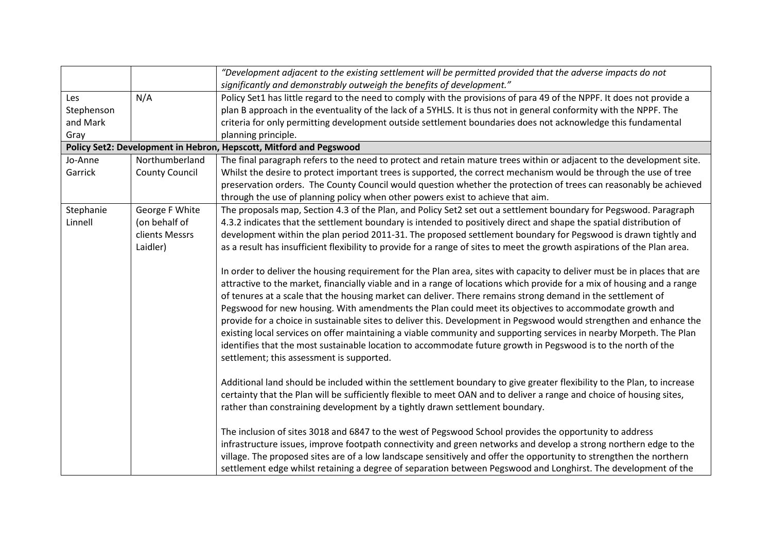|            |                       | "Development adjacent to the existing settlement will be permitted provided that the adverse impacts do not               |
|------------|-----------------------|---------------------------------------------------------------------------------------------------------------------------|
|            |                       | significantly and demonstrably outweigh the benefits of development."                                                     |
| Les        | N/A                   | Policy Set1 has little regard to the need to comply with the provisions of para 49 of the NPPF. It does not provide a     |
| Stephenson |                       | plan B approach in the eventuality of the lack of a 5YHLS. It is thus not in general conformity with the NPPF. The        |
| and Mark   |                       | criteria for only permitting development outside settlement boundaries does not acknowledge this fundamental              |
| Gray       |                       | planning principle.                                                                                                       |
|            |                       | Policy Set2: Development in Hebron, Hepscott, Mitford and Pegswood                                                        |
| Jo-Anne    | Northumberland        | The final paragraph refers to the need to protect and retain mature trees within or adjacent to the development site.     |
| Garrick    | <b>County Council</b> | Whilst the desire to protect important trees is supported, the correct mechanism would be through the use of tree         |
|            |                       | preservation orders. The County Council would question whether the protection of trees can reasonably be achieved         |
|            |                       | through the use of planning policy when other powers exist to achieve that aim.                                           |
| Stephanie  | George F White        | The proposals map, Section 4.3 of the Plan, and Policy Set2 set out a settlement boundary for Pegswood. Paragraph         |
| Linnell    | (on behalf of         | 4.3.2 indicates that the settlement boundary is intended to positively direct and shape the spatial distribution of       |
|            | clients Messrs        | development within the plan period 2011-31. The proposed settlement boundary for Pegswood is drawn tightly and            |
|            | Laidler)              | as a result has insufficient flexibility to provide for a range of sites to meet the growth aspirations of the Plan area. |
|            |                       |                                                                                                                           |
|            |                       | In order to deliver the housing requirement for the Plan area, sites with capacity to deliver must be in places that are  |
|            |                       | attractive to the market, financially viable and in a range of locations which provide for a mix of housing and a range   |
|            |                       | of tenures at a scale that the housing market can deliver. There remains strong demand in the settlement of               |
|            |                       | Pegswood for new housing. With amendments the Plan could meet its objectives to accommodate growth and                    |
|            |                       | provide for a choice in sustainable sites to deliver this. Development in Pegswood would strengthen and enhance the       |
|            |                       | existing local services on offer maintaining a viable community and supporting services in nearby Morpeth. The Plan       |
|            |                       | identifies that the most sustainable location to accommodate future growth in Pegswood is to the north of the             |
|            |                       | settlement; this assessment is supported.                                                                                 |
|            |                       |                                                                                                                           |
|            |                       | Additional land should be included within the settlement boundary to give greater flexibility to the Plan, to increase    |
|            |                       | certainty that the Plan will be sufficiently flexible to meet OAN and to deliver a range and choice of housing sites,     |
|            |                       | rather than constraining development by a tightly drawn settlement boundary.                                              |
|            |                       |                                                                                                                           |
|            |                       | The inclusion of sites 3018 and 6847 to the west of Pegswood School provides the opportunity to address                   |
|            |                       | infrastructure issues, improve footpath connectivity and green networks and develop a strong northern edge to the         |
|            |                       | village. The proposed sites are of a low landscape sensitively and offer the opportunity to strengthen the northern       |
|            |                       | settlement edge whilst retaining a degree of separation between Pegswood and Longhirst. The development of the            |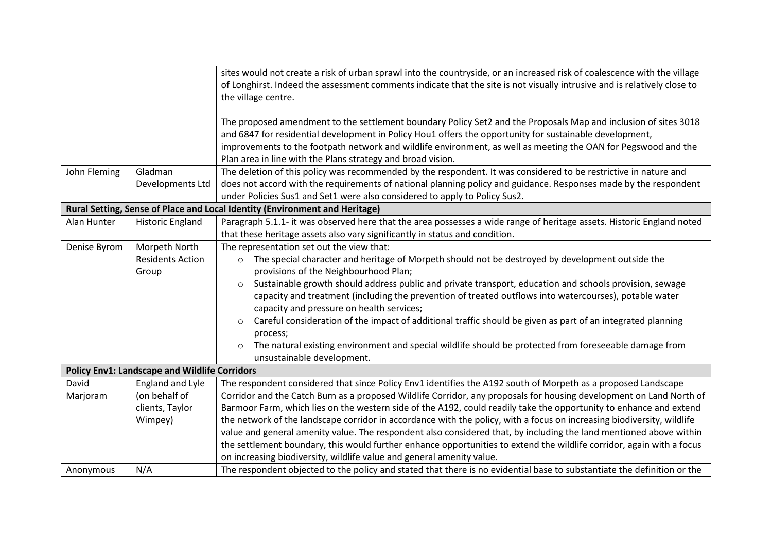|                   |                                                                 | sites would not create a risk of urban sprawl into the countryside, or an increased risk of coalescence with the village<br>of Longhirst. Indeed the assessment comments indicate that the site is not visually intrusive and is relatively close to<br>the village centre.                                                                                                                                                                                                                                                                                                                                                                                                                                                                                                                                  |
|-------------------|-----------------------------------------------------------------|--------------------------------------------------------------------------------------------------------------------------------------------------------------------------------------------------------------------------------------------------------------------------------------------------------------------------------------------------------------------------------------------------------------------------------------------------------------------------------------------------------------------------------------------------------------------------------------------------------------------------------------------------------------------------------------------------------------------------------------------------------------------------------------------------------------|
|                   |                                                                 | The proposed amendment to the settlement boundary Policy Set2 and the Proposals Map and inclusion of sites 3018<br>and 6847 for residential development in Policy Hou1 offers the opportunity for sustainable development,<br>improvements to the footpath network and wildlife environment, as well as meeting the OAN for Pegswood and the<br>Plan area in line with the Plans strategy and broad vision.                                                                                                                                                                                                                                                                                                                                                                                                  |
| John Fleming      | Gladman<br>Developments Ltd                                     | The deletion of this policy was recommended by the respondent. It was considered to be restrictive in nature and<br>does not accord with the requirements of national planning policy and guidance. Responses made by the respondent<br>under Policies Sus1 and Set1 were also considered to apply to Policy Sus2.                                                                                                                                                                                                                                                                                                                                                                                                                                                                                           |
|                   |                                                                 | Rural Setting, Sense of Place and Local Identity (Environment and Heritage)                                                                                                                                                                                                                                                                                                                                                                                                                                                                                                                                                                                                                                                                                                                                  |
| Alan Hunter       | <b>Historic England</b>                                         | Paragraph 5.1.1- it was observed here that the area possesses a wide range of heritage assets. Historic England noted<br>that these heritage assets also vary significantly in status and condition.                                                                                                                                                                                                                                                                                                                                                                                                                                                                                                                                                                                                         |
| Denise Byrom      | Morpeth North<br><b>Residents Action</b><br>Group               | The representation set out the view that:<br>The special character and heritage of Morpeth should not be destroyed by development outside the<br>$\circ$<br>provisions of the Neighbourhood Plan;<br>Sustainable growth should address public and private transport, education and schools provision, sewage<br>$\circ$<br>capacity and treatment (including the prevention of treated outflows into watercourses), potable water<br>capacity and pressure on health services;<br>Careful consideration of the impact of additional traffic should be given as part of an integrated planning<br>$\circ$<br>process;<br>The natural existing environment and special wildlife should be protected from foreseeable damage from<br>$\circ$<br>unsustainable development.                                      |
|                   | <b>Policy Env1: Landscape and Wildlife Corridors</b>            |                                                                                                                                                                                                                                                                                                                                                                                                                                                                                                                                                                                                                                                                                                                                                                                                              |
| David<br>Marjoram | England and Lyle<br>(on behalf of<br>clients, Taylor<br>Wimpey) | The respondent considered that since Policy Env1 identifies the A192 south of Morpeth as a proposed Landscape<br>Corridor and the Catch Burn as a proposed Wildlife Corridor, any proposals for housing development on Land North of<br>Barmoor Farm, which lies on the western side of the A192, could readily take the opportunity to enhance and extend<br>the network of the landscape corridor in accordance with the policy, with a focus on increasing biodiversity, wildlife<br>value and general amenity value. The respondent also considered that, by including the land mentioned above within<br>the settlement boundary, this would further enhance opportunities to extend the wildlife corridor, again with a focus<br>on increasing biodiversity, wildlife value and general amenity value. |
| Anonymous         | N/A                                                             | The respondent objected to the policy and stated that there is no evidential base to substantiate the definition or the                                                                                                                                                                                                                                                                                                                                                                                                                                                                                                                                                                                                                                                                                      |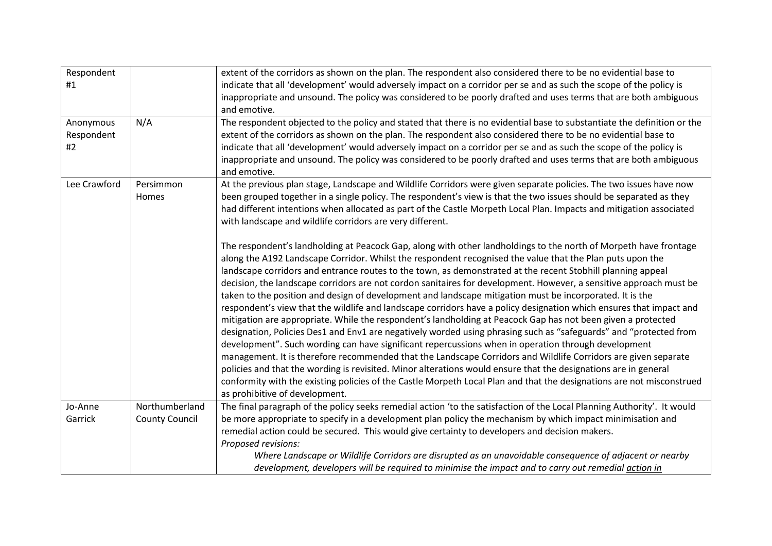| Respondent   |                       | extent of the corridors as shown on the plan. The respondent also considered there to be no evidential base to          |
|--------------|-----------------------|-------------------------------------------------------------------------------------------------------------------------|
| #1           |                       | indicate that all 'development' would adversely impact on a corridor per se and as such the scope of the policy is      |
|              |                       | inappropriate and unsound. The policy was considered to be poorly drafted and uses terms that are both ambiguous        |
|              |                       | and emotive.                                                                                                            |
| Anonymous    | N/A                   | The respondent objected to the policy and stated that there is no evidential base to substantiate the definition or the |
| Respondent   |                       | extent of the corridors as shown on the plan. The respondent also considered there to be no evidential base to          |
| #2           |                       | indicate that all 'development' would adversely impact on a corridor per se and as such the scope of the policy is      |
|              |                       | inappropriate and unsound. The policy was considered to be poorly drafted and uses terms that are both ambiguous        |
|              |                       | and emotive.                                                                                                            |
| Lee Crawford | Persimmon             | At the previous plan stage, Landscape and Wildlife Corridors were given separate policies. The two issues have now      |
|              | Homes                 | been grouped together in a single policy. The respondent's view is that the two issues should be separated as they      |
|              |                       | had different intentions when allocated as part of the Castle Morpeth Local Plan. Impacts and mitigation associated     |
|              |                       | with landscape and wildlife corridors are very different.                                                               |
|              |                       |                                                                                                                         |
|              |                       | The respondent's landholding at Peacock Gap, along with other landholdings to the north of Morpeth have frontage        |
|              |                       | along the A192 Landscape Corridor. Whilst the respondent recognised the value that the Plan puts upon the               |
|              |                       | landscape corridors and entrance routes to the town, as demonstrated at the recent Stobhill planning appeal             |
|              |                       | decision, the landscape corridors are not cordon sanitaires for development. However, a sensitive approach must be      |
|              |                       | taken to the position and design of development and landscape mitigation must be incorporated. It is the                |
|              |                       | respondent's view that the wildlife and landscape corridors have a policy designation which ensures that impact and     |
|              |                       | mitigation are appropriate. While the respondent's landholding at Peacock Gap has not been given a protected            |
|              |                       | designation, Policies Des1 and Env1 are negatively worded using phrasing such as "safeguards" and "protected from       |
|              |                       | development". Such wording can have significant repercussions when in operation through development                     |
|              |                       | management. It is therefore recommended that the Landscape Corridors and Wildlife Corridors are given separate          |
|              |                       | policies and that the wording is revisited. Minor alterations would ensure that the designations are in general         |
|              |                       | conformity with the existing policies of the Castle Morpeth Local Plan and that the designations are not misconstrued   |
|              |                       | as prohibitive of development.                                                                                          |
| Jo-Anne      | Northumberland        | The final paragraph of the policy seeks remedial action 'to the satisfaction of the Local Planning Authority'. It would |
| Garrick      | <b>County Council</b> | be more appropriate to specify in a development plan policy the mechanism by which impact minimisation and              |
|              |                       | remedial action could be secured. This would give certainty to developers and decision makers.                          |
|              |                       | Proposed revisions:                                                                                                     |
|              |                       | Where Landscape or Wildlife Corridors are disrupted as an unavoidable consequence of adjacent or nearby                 |
|              |                       | development, developers will be required to minimise the impact and to carry out remedial action in                     |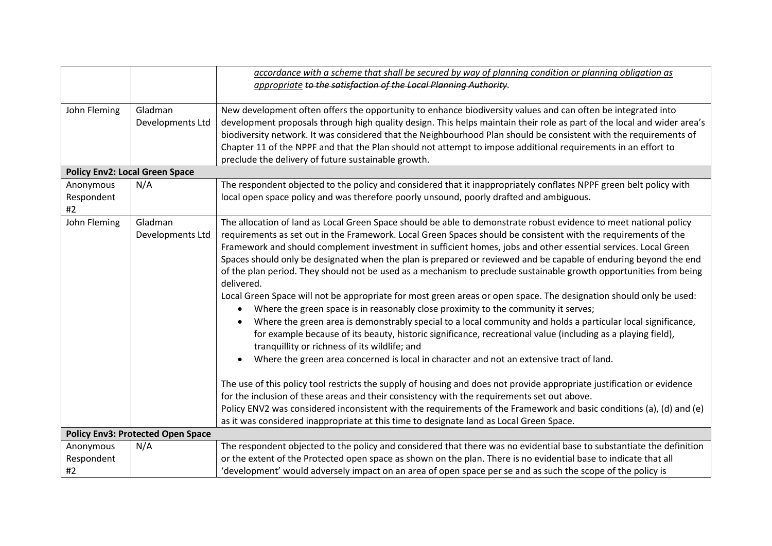|                                       |                                          | accordance with a scheme that shall be secured by way of planning condition or planning obligation as                                                                                                                                                                                                                                                                                                                                                                                                                                                                                                                                                                                                                                                                                                                                                                                                                                                                                                                                                                                                                                                                                                                                                                                                                                                                                                                                                                                                                                                                                                                                                                                     |
|---------------------------------------|------------------------------------------|-------------------------------------------------------------------------------------------------------------------------------------------------------------------------------------------------------------------------------------------------------------------------------------------------------------------------------------------------------------------------------------------------------------------------------------------------------------------------------------------------------------------------------------------------------------------------------------------------------------------------------------------------------------------------------------------------------------------------------------------------------------------------------------------------------------------------------------------------------------------------------------------------------------------------------------------------------------------------------------------------------------------------------------------------------------------------------------------------------------------------------------------------------------------------------------------------------------------------------------------------------------------------------------------------------------------------------------------------------------------------------------------------------------------------------------------------------------------------------------------------------------------------------------------------------------------------------------------------------------------------------------------------------------------------------------------|
|                                       |                                          | appropriate to the satisfaction of the Local Planning Authority.                                                                                                                                                                                                                                                                                                                                                                                                                                                                                                                                                                                                                                                                                                                                                                                                                                                                                                                                                                                                                                                                                                                                                                                                                                                                                                                                                                                                                                                                                                                                                                                                                          |
|                                       |                                          |                                                                                                                                                                                                                                                                                                                                                                                                                                                                                                                                                                                                                                                                                                                                                                                                                                                                                                                                                                                                                                                                                                                                                                                                                                                                                                                                                                                                                                                                                                                                                                                                                                                                                           |
| John Fleming                          | Gladman<br>Developments Ltd              | New development often offers the opportunity to enhance biodiversity values and can often be integrated into<br>development proposals through high quality design. This helps maintain their role as part of the local and wider area's<br>biodiversity network. It was considered that the Neighbourhood Plan should be consistent with the requirements of<br>Chapter 11 of the NPPF and that the Plan should not attempt to impose additional requirements in an effort to<br>preclude the delivery of future sustainable growth.                                                                                                                                                                                                                                                                                                                                                                                                                                                                                                                                                                                                                                                                                                                                                                                                                                                                                                                                                                                                                                                                                                                                                      |
| <b>Policy Env2: Local Green Space</b> |                                          |                                                                                                                                                                                                                                                                                                                                                                                                                                                                                                                                                                                                                                                                                                                                                                                                                                                                                                                                                                                                                                                                                                                                                                                                                                                                                                                                                                                                                                                                                                                                                                                                                                                                                           |
| Anonymous<br>Respondent<br>#2         | N/A                                      | The respondent objected to the policy and considered that it inappropriately conflates NPPF green belt policy with<br>local open space policy and was therefore poorly unsound, poorly drafted and ambiguous.                                                                                                                                                                                                                                                                                                                                                                                                                                                                                                                                                                                                                                                                                                                                                                                                                                                                                                                                                                                                                                                                                                                                                                                                                                                                                                                                                                                                                                                                             |
| John Fleming                          | Gladman<br>Developments Ltd              | The allocation of land as Local Green Space should be able to demonstrate robust evidence to meet national policy<br>requirements as set out in the Framework. Local Green Spaces should be consistent with the requirements of the<br>Framework and should complement investment in sufficient homes, jobs and other essential services. Local Green<br>Spaces should only be designated when the plan is prepared or reviewed and be capable of enduring beyond the end<br>of the plan period. They should not be used as a mechanism to preclude sustainable growth opportunities from being<br>delivered.<br>Local Green Space will not be appropriate for most green areas or open space. The designation should only be used:<br>Where the green space is in reasonably close proximity to the community it serves;<br>$\bullet$<br>Where the green area is demonstrably special to a local community and holds a particular local significance,<br>$\bullet$<br>for example because of its beauty, historic significance, recreational value (including as a playing field),<br>tranquillity or richness of its wildlife; and<br>Where the green area concerned is local in character and not an extensive tract of land.<br>$\bullet$<br>The use of this policy tool restricts the supply of housing and does not provide appropriate justification or evidence<br>for the inclusion of these areas and their consistency with the requirements set out above.<br>Policy ENV2 was considered inconsistent with the requirements of the Framework and basic conditions (a), (d) and (e)<br>as it was considered inappropriate at this time to designate land as Local Green Space. |
|                                       | <b>Policy Env3: Protected Open Space</b> |                                                                                                                                                                                                                                                                                                                                                                                                                                                                                                                                                                                                                                                                                                                                                                                                                                                                                                                                                                                                                                                                                                                                                                                                                                                                                                                                                                                                                                                                                                                                                                                                                                                                                           |
| Anonymous<br>Respondent<br>#2         | N/A                                      | The respondent objected to the policy and considered that there was no evidential base to substantiate the definition<br>or the extent of the Protected open space as shown on the plan. There is no evidential base to indicate that all<br>'development' would adversely impact on an area of open space per se and as such the scope of the policy is                                                                                                                                                                                                                                                                                                                                                                                                                                                                                                                                                                                                                                                                                                                                                                                                                                                                                                                                                                                                                                                                                                                                                                                                                                                                                                                                  |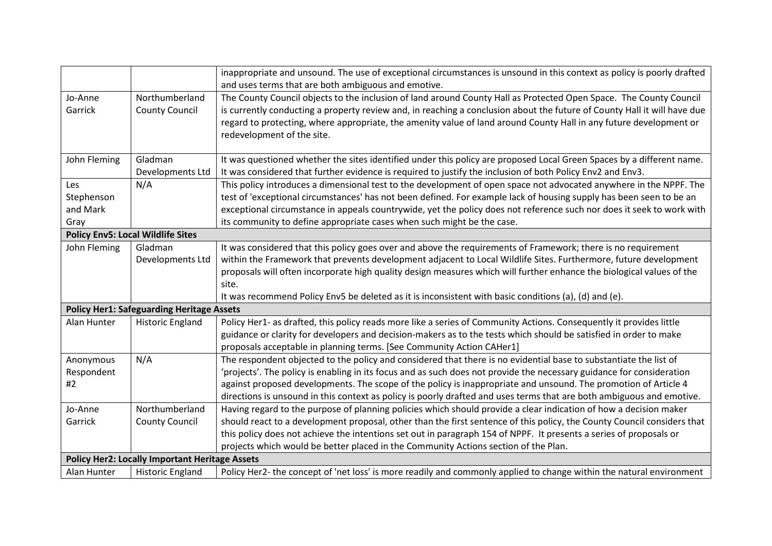|              |                                                       | inappropriate and unsound. The use of exceptional circumstances is unsound in this context as policy is poorly drafted   |
|--------------|-------------------------------------------------------|--------------------------------------------------------------------------------------------------------------------------|
|              |                                                       | and uses terms that are both ambiguous and emotive.                                                                      |
| Jo-Anne      | Northumberland                                        | The County Council objects to the inclusion of land around County Hall as Protected Open Space. The County Council       |
| Garrick      | <b>County Council</b>                                 | is currently conducting a property review and, in reaching a conclusion about the future of County Hall it will have due |
|              |                                                       | regard to protecting, where appropriate, the amenity value of land around County Hall in any future development or       |
|              |                                                       | redevelopment of the site.                                                                                               |
|              |                                                       |                                                                                                                          |
| John Fleming | Gladman                                               | It was questioned whether the sites identified under this policy are proposed Local Green Spaces by a different name.    |
|              | Developments Ltd                                      | It was considered that further evidence is required to justify the inclusion of both Policy Env2 and Env3.               |
| Les          | N/A                                                   | This policy introduces a dimensional test to the development of open space not advocated anywhere in the NPPF. The       |
| Stephenson   |                                                       | test of 'exceptional circumstances' has not been defined. For example lack of housing supply has been seen to be an      |
| and Mark     |                                                       | exceptional circumstance in appeals countrywide, yet the policy does not reference such nor does it seek to work with    |
| Gray         |                                                       | its community to define appropriate cases when such might be the case.                                                   |
|              | <b>Policy Env5: Local Wildlife Sites</b>              |                                                                                                                          |
| John Fleming | Gladman                                               | It was considered that this policy goes over and above the requirements of Framework; there is no requirement            |
|              | Developments Ltd                                      | within the Framework that prevents development adjacent to Local Wildlife Sites. Furthermore, future development         |
|              |                                                       | proposals will often incorporate high quality design measures which will further enhance the biological values of the    |
|              |                                                       | site.                                                                                                                    |
|              |                                                       | It was recommend Policy Env5 be deleted as it is inconsistent with basic conditions (a), (d) and (e).                    |
|              | <b>Policy Her1: Safeguarding Heritage Assets</b>      |                                                                                                                          |
| Alan Hunter  | <b>Historic England</b>                               | Policy Her1- as drafted, this policy reads more like a series of Community Actions. Consequently it provides little      |
|              |                                                       | guidance or clarity for developers and decision-makers as to the tests which should be satisfied in order to make        |
|              |                                                       | proposals acceptable in planning terms. [See Community Action CAHer1]                                                    |
| Anonymous    | N/A                                                   | The respondent objected to the policy and considered that there is no evidential base to substantiate the list of        |
| Respondent   |                                                       | 'projects'. The policy is enabling in its focus and as such does not provide the necessary guidance for consideration    |
| #2           |                                                       | against proposed developments. The scope of the policy is inappropriate and unsound. The promotion of Article 4          |
|              |                                                       | directions is unsound in this context as policy is poorly drafted and uses terms that are both ambiguous and emotive.    |
| Jo-Anne      | Northumberland                                        | Having regard to the purpose of planning policies which should provide a clear indication of how a decision maker        |
| Garrick      | <b>County Council</b>                                 | should react to a development proposal, other than the first sentence of this policy, the County Council considers that  |
|              |                                                       | this policy does not achieve the intentions set out in paragraph 154 of NPPF. It presents a series of proposals or       |
|              |                                                       | projects which would be better placed in the Community Actions section of the Plan.                                      |
|              | <b>Policy Her2: Locally Important Heritage Assets</b> |                                                                                                                          |
| Alan Hunter  | <b>Historic England</b>                               | Policy Her2- the concept of 'net loss' is more readily and commonly applied to change within the natural environment     |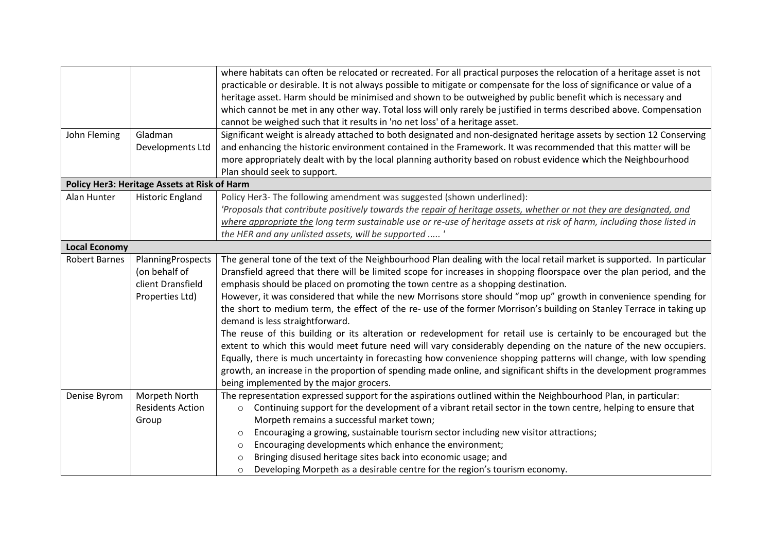|                      |                                              | where habitats can often be relocated or recreated. For all practical purposes the relocation of a heritage asset is not                                                                                                                 |
|----------------------|----------------------------------------------|------------------------------------------------------------------------------------------------------------------------------------------------------------------------------------------------------------------------------------------|
|                      |                                              | practicable or desirable. It is not always possible to mitigate or compensate for the loss of significance or value of a<br>heritage asset. Harm should be minimised and shown to be outweighed by public benefit which is necessary and |
|                      |                                              | which cannot be met in any other way. Total loss will only rarely be justified in terms described above. Compensation                                                                                                                    |
|                      |                                              | cannot be weighed such that it results in 'no net loss' of a heritage asset.                                                                                                                                                             |
| John Fleming         | Gladman                                      | Significant weight is already attached to both designated and non-designated heritage assets by section 12 Conserving                                                                                                                    |
|                      | Developments Ltd                             | and enhancing the historic environment contained in the Framework. It was recommended that this matter will be                                                                                                                           |
|                      |                                              | more appropriately dealt with by the local planning authority based on robust evidence which the Neighbourhood                                                                                                                           |
|                      |                                              | Plan should seek to support.                                                                                                                                                                                                             |
|                      | Policy Her3: Heritage Assets at Risk of Harm |                                                                                                                                                                                                                                          |
| Alan Hunter          | <b>Historic England</b>                      | Policy Her3-The following amendment was suggested (shown underlined):                                                                                                                                                                    |
|                      |                                              | 'Proposals that contribute positively towards the repair of heritage assets, whether or not they are designated, and                                                                                                                     |
|                      |                                              | where appropriate the long term sustainable use or re-use of heritage assets at risk of harm, including those listed in                                                                                                                  |
|                      |                                              | the HER and any unlisted assets, will be supported                                                                                                                                                                                       |
| <b>Local Economy</b> |                                              |                                                                                                                                                                                                                                          |
| <b>Robert Barnes</b> | PlanningProspects                            | The general tone of the text of the Neighbourhood Plan dealing with the local retail market is supported. In particular                                                                                                                  |
|                      | (on behalf of                                | Dransfield agreed that there will be limited scope for increases in shopping floorspace over the plan period, and the                                                                                                                    |
|                      | client Dransfield                            | emphasis should be placed on promoting the town centre as a shopping destination.                                                                                                                                                        |
|                      | Properties Ltd)                              | However, it was considered that while the new Morrisons store should "mop up" growth in convenience spending for                                                                                                                         |
|                      |                                              | the short to medium term, the effect of the re- use of the former Morrison's building on Stanley Terrace in taking up<br>demand is less straightforward.                                                                                 |
|                      |                                              | The reuse of this building or its alteration or redevelopment for retail use is certainly to be encouraged but the<br>extent to which this would meet future need will vary considerably depending on the nature of the new occupiers.   |
|                      |                                              | Equally, there is much uncertainty in forecasting how convenience shopping patterns will change, with low spending                                                                                                                       |
|                      |                                              | growth, an increase in the proportion of spending made online, and significant shifts in the development programmes                                                                                                                      |
|                      |                                              | being implemented by the major grocers.                                                                                                                                                                                                  |
| Denise Byrom         | Morpeth North                                | The representation expressed support for the aspirations outlined within the Neighbourhood Plan, in particular:                                                                                                                          |
|                      | <b>Residents Action</b>                      | Continuing support for the development of a vibrant retail sector in the town centre, helping to ensure that<br>$\circ$                                                                                                                  |
|                      | Group                                        | Morpeth remains a successful market town;                                                                                                                                                                                                |
|                      |                                              | Encouraging a growing, sustainable tourism sector including new visitor attractions;<br>$\circ$                                                                                                                                          |
|                      |                                              | Encouraging developments which enhance the environment;<br>$\circ$                                                                                                                                                                       |
|                      |                                              | Bringing disused heritage sites back into economic usage; and<br>$\circ$                                                                                                                                                                 |
|                      |                                              | Developing Morpeth as a desirable centre for the region's tourism economy.<br>$\circ$                                                                                                                                                    |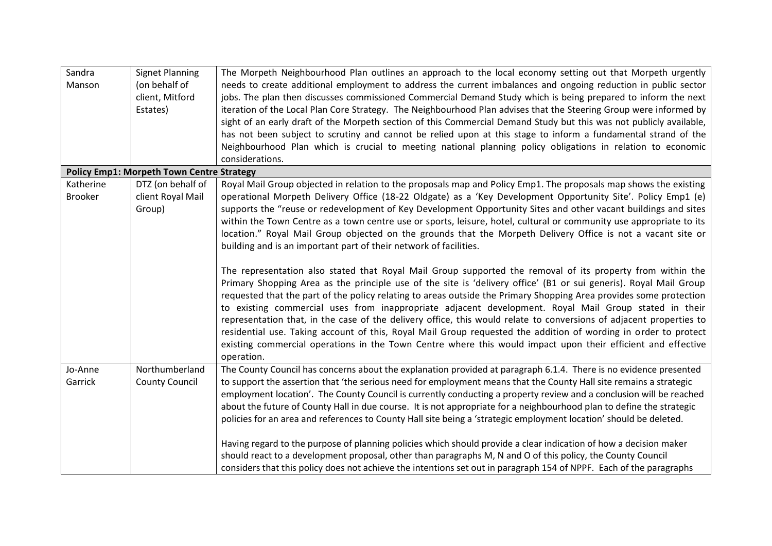| Sandra<br>Manson            | <b>Signet Planning</b><br>(on behalf of<br>client, Mitford<br>Estates) | The Morpeth Neighbourhood Plan outlines an approach to the local economy setting out that Morpeth urgently<br>needs to create additional employment to address the current imbalances and ongoing reduction in public sector<br>jobs. The plan then discusses commissioned Commercial Demand Study which is being prepared to inform the next<br>iteration of the Local Plan Core Strategy. The Neighbourhood Plan advises that the Steering Group were informed by<br>sight of an early draft of the Morpeth section of this Commercial Demand Study but this was not publicly available,<br>has not been subject to scrutiny and cannot be relied upon at this stage to inform a fundamental strand of the<br>Neighbourhood Plan which is crucial to meeting national planning policy obligations in relation to economic<br>considerations.                                                                                                                                                                          |
|-----------------------------|------------------------------------------------------------------------|-------------------------------------------------------------------------------------------------------------------------------------------------------------------------------------------------------------------------------------------------------------------------------------------------------------------------------------------------------------------------------------------------------------------------------------------------------------------------------------------------------------------------------------------------------------------------------------------------------------------------------------------------------------------------------------------------------------------------------------------------------------------------------------------------------------------------------------------------------------------------------------------------------------------------------------------------------------------------------------------------------------------------|
|                             | <b>Policy Emp1: Morpeth Town Centre Strategy</b>                       |                                                                                                                                                                                                                                                                                                                                                                                                                                                                                                                                                                                                                                                                                                                                                                                                                                                                                                                                                                                                                         |
| Katherine<br><b>Brooker</b> | DTZ (on behalf of<br>client Royal Mail<br>Group)                       | Royal Mail Group objected in relation to the proposals map and Policy Emp1. The proposals map shows the existing<br>operational Morpeth Delivery Office (18-22 Oldgate) as a 'Key Development Opportunity Site'. Policy Emp1 (e)<br>supports the "reuse or redevelopment of Key Development Opportunity Sites and other vacant buildings and sites<br>within the Town Centre as a town centre use or sports, leisure, hotel, cultural or community use appropriate to its<br>location." Royal Mail Group objected on the grounds that the Morpeth Delivery Office is not a vacant site or<br>building and is an important part of their network of facilities.<br>The representation also stated that Royal Mail Group supported the removal of its property from within the<br>Primary Shopping Area as the principle use of the site is 'delivery office' (B1 or sui generis). Royal Mail Group<br>requested that the part of the policy relating to areas outside the Primary Shopping Area provides some protection |
|                             |                                                                        | to existing commercial uses from inappropriate adjacent development. Royal Mail Group stated in their<br>representation that, in the case of the delivery office, this would relate to conversions of adjacent properties to<br>residential use. Taking account of this, Royal Mail Group requested the addition of wording in order to protect<br>existing commercial operations in the Town Centre where this would impact upon their efficient and effective<br>operation.                                                                                                                                                                                                                                                                                                                                                                                                                                                                                                                                           |
| Jo-Anne<br>Garrick          | Northumberland<br><b>County Council</b>                                | The County Council has concerns about the explanation provided at paragraph 6.1.4. There is no evidence presented<br>to support the assertion that 'the serious need for employment means that the County Hall site remains a strategic<br>employment location'. The County Council is currently conducting a property review and a conclusion will be reached<br>about the future of County Hall in due course. It is not appropriate for a neighbourhood plan to define the strategic<br>policies for an area and references to County Hall site being a 'strategic employment location' should be deleted.<br>Having regard to the purpose of planning policies which should provide a clear indication of how a decision maker                                                                                                                                                                                                                                                                                      |
|                             |                                                                        | should react to a development proposal, other than paragraphs M, N and O of this policy, the County Council<br>considers that this policy does not achieve the intentions set out in paragraph 154 of NPPF. Each of the paragraphs                                                                                                                                                                                                                                                                                                                                                                                                                                                                                                                                                                                                                                                                                                                                                                                      |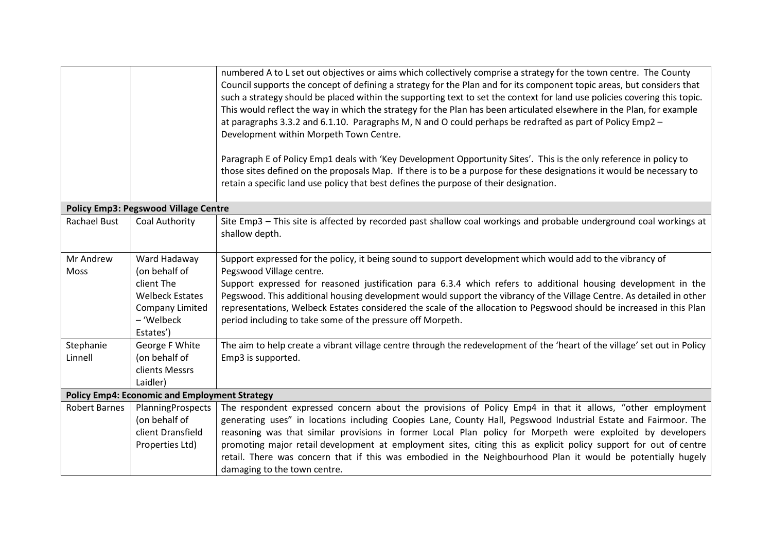|                      |                                                      | numbered A to L set out objectives or aims which collectively comprise a strategy for the town centre. The County<br>Council supports the concept of defining a strategy for the Plan and for its component topic areas, but considers that<br>such a strategy should be placed within the supporting text to set the context for land use policies covering this topic.<br>This would reflect the way in which the strategy for the Plan has been articulated elsewhere in the Plan, for example<br>at paragraphs 3.3.2 and 6.1.10. Paragraphs M, N and O could perhaps be redrafted as part of Policy Emp2 -<br>Development within Morpeth Town Centre.<br>Paragraph E of Policy Emp1 deals with 'Key Development Opportunity Sites'. This is the only reference in policy to<br>those sites defined on the proposals Map. If there is to be a purpose for these designations it would be necessary to<br>retain a specific land use policy that best defines the purpose of their designation. |
|----------------------|------------------------------------------------------|---------------------------------------------------------------------------------------------------------------------------------------------------------------------------------------------------------------------------------------------------------------------------------------------------------------------------------------------------------------------------------------------------------------------------------------------------------------------------------------------------------------------------------------------------------------------------------------------------------------------------------------------------------------------------------------------------------------------------------------------------------------------------------------------------------------------------------------------------------------------------------------------------------------------------------------------------------------------------------------------------|
|                      | <b>Policy Emp3: Pegswood Village Centre</b>          |                                                                                                                                                                                                                                                                                                                                                                                                                                                                                                                                                                                                                                                                                                                                                                                                                                                                                                                                                                                                   |
| <b>Rachael Bust</b>  | <b>Coal Authority</b>                                | Site Emp3 - This site is affected by recorded past shallow coal workings and probable underground coal workings at<br>shallow depth.                                                                                                                                                                                                                                                                                                                                                                                                                                                                                                                                                                                                                                                                                                                                                                                                                                                              |
| Mr Andrew            | Ward Hadaway                                         | Support expressed for the policy, it being sound to support development which would add to the vibrancy of                                                                                                                                                                                                                                                                                                                                                                                                                                                                                                                                                                                                                                                                                                                                                                                                                                                                                        |
| Moss                 | (on behalf of                                        | Pegswood Village centre.                                                                                                                                                                                                                                                                                                                                                                                                                                                                                                                                                                                                                                                                                                                                                                                                                                                                                                                                                                          |
|                      | client The                                           | Support expressed for reasoned justification para 6.3.4 which refers to additional housing development in the                                                                                                                                                                                                                                                                                                                                                                                                                                                                                                                                                                                                                                                                                                                                                                                                                                                                                     |
|                      | <b>Welbeck Estates</b>                               | Pegswood. This additional housing development would support the vibrancy of the Village Centre. As detailed in other                                                                                                                                                                                                                                                                                                                                                                                                                                                                                                                                                                                                                                                                                                                                                                                                                                                                              |
|                      | <b>Company Limited</b>                               | representations, Welbeck Estates considered the scale of the allocation to Pegswood should be increased in this Plan                                                                                                                                                                                                                                                                                                                                                                                                                                                                                                                                                                                                                                                                                                                                                                                                                                                                              |
|                      | - 'Welbeck<br>Estates')                              | period including to take some of the pressure off Morpeth.                                                                                                                                                                                                                                                                                                                                                                                                                                                                                                                                                                                                                                                                                                                                                                                                                                                                                                                                        |
| Stephanie            | George F White                                       | The aim to help create a vibrant village centre through the redevelopment of the 'heart of the village' set out in Policy                                                                                                                                                                                                                                                                                                                                                                                                                                                                                                                                                                                                                                                                                                                                                                                                                                                                         |
| Linnell              | (on behalf of                                        | Emp3 is supported.                                                                                                                                                                                                                                                                                                                                                                                                                                                                                                                                                                                                                                                                                                                                                                                                                                                                                                                                                                                |
|                      | clients Messrs                                       |                                                                                                                                                                                                                                                                                                                                                                                                                                                                                                                                                                                                                                                                                                                                                                                                                                                                                                                                                                                                   |
|                      | Laidler)                                             |                                                                                                                                                                                                                                                                                                                                                                                                                                                                                                                                                                                                                                                                                                                                                                                                                                                                                                                                                                                                   |
|                      | <b>Policy Emp4: Economic and Employment Strategy</b> |                                                                                                                                                                                                                                                                                                                                                                                                                                                                                                                                                                                                                                                                                                                                                                                                                                                                                                                                                                                                   |
| <b>Robert Barnes</b> | PlanningProspects                                    | The respondent expressed concern about the provisions of Policy Emp4 in that it allows, "other employment                                                                                                                                                                                                                                                                                                                                                                                                                                                                                                                                                                                                                                                                                                                                                                                                                                                                                         |
|                      | (on behalf of                                        | generating uses" in locations including Coopies Lane, County Hall, Pegswood Industrial Estate and Fairmoor. The                                                                                                                                                                                                                                                                                                                                                                                                                                                                                                                                                                                                                                                                                                                                                                                                                                                                                   |
|                      | client Dransfield                                    | reasoning was that similar provisions in former Local Plan policy for Morpeth were exploited by developers                                                                                                                                                                                                                                                                                                                                                                                                                                                                                                                                                                                                                                                                                                                                                                                                                                                                                        |
|                      | Properties Ltd)                                      | promoting major retail development at employment sites, citing this as explicit policy support for out of centre                                                                                                                                                                                                                                                                                                                                                                                                                                                                                                                                                                                                                                                                                                                                                                                                                                                                                  |
|                      |                                                      | retail. There was concern that if this was embodied in the Neighbourhood Plan it would be potentially hugely                                                                                                                                                                                                                                                                                                                                                                                                                                                                                                                                                                                                                                                                                                                                                                                                                                                                                      |
|                      |                                                      | damaging to the town centre.                                                                                                                                                                                                                                                                                                                                                                                                                                                                                                                                                                                                                                                                                                                                                                                                                                                                                                                                                                      |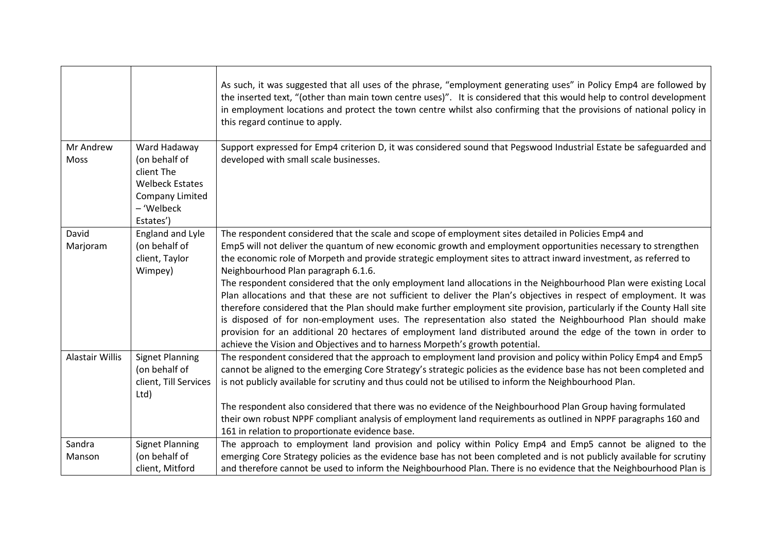|                        |                                                                                                                            | As such, it was suggested that all uses of the phrase, "employment generating uses" in Policy Emp4 are followed by<br>the inserted text, "(other than main town centre uses)". It is considered that this would help to control development<br>in employment locations and protect the town centre whilst also confirming that the provisions of national policy in<br>this regard continue to apply.                                                                                                                                                                                                                                                                                                                                                                                                                                                                                                                                                          |
|------------------------|----------------------------------------------------------------------------------------------------------------------------|----------------------------------------------------------------------------------------------------------------------------------------------------------------------------------------------------------------------------------------------------------------------------------------------------------------------------------------------------------------------------------------------------------------------------------------------------------------------------------------------------------------------------------------------------------------------------------------------------------------------------------------------------------------------------------------------------------------------------------------------------------------------------------------------------------------------------------------------------------------------------------------------------------------------------------------------------------------|
| Mr Andrew<br>Moss      | Ward Hadaway<br>(on behalf of<br>client The<br><b>Welbeck Estates</b><br><b>Company Limited</b><br>- 'Welbeck<br>Estates') | Support expressed for Emp4 criterion D, it was considered sound that Pegswood Industrial Estate be safeguarded and<br>developed with small scale businesses.                                                                                                                                                                                                                                                                                                                                                                                                                                                                                                                                                                                                                                                                                                                                                                                                   |
| David                  | England and Lyle                                                                                                           | The respondent considered that the scale and scope of employment sites detailed in Policies Emp4 and                                                                                                                                                                                                                                                                                                                                                                                                                                                                                                                                                                                                                                                                                                                                                                                                                                                           |
| Marjoram               | (on behalf of<br>client, Taylor<br>Wimpey)                                                                                 | Emp5 will not deliver the quantum of new economic growth and employment opportunities necessary to strengthen<br>the economic role of Morpeth and provide strategic employment sites to attract inward investment, as referred to<br>Neighbourhood Plan paragraph 6.1.6.<br>The respondent considered that the only employment land allocations in the Neighbourhood Plan were existing Local<br>Plan allocations and that these are not sufficient to deliver the Plan's objectives in respect of employment. It was<br>therefore considered that the Plan should make further employment site provision, particularly if the County Hall site<br>is disposed of for non-employment uses. The representation also stated the Neighbourhood Plan should make<br>provision for an additional 20 hectares of employment land distributed around the edge of the town in order to<br>achieve the Vision and Objectives and to harness Morpeth's growth potential. |
| <b>Alastair Willis</b> | <b>Signet Planning</b><br>(on behalf of<br>client, Till Services<br>Ltd)                                                   | The respondent considered that the approach to employment land provision and policy within Policy Emp4 and Emp5<br>cannot be aligned to the emerging Core Strategy's strategic policies as the evidence base has not been completed and<br>is not publicly available for scrutiny and thus could not be utilised to inform the Neighbourhood Plan.                                                                                                                                                                                                                                                                                                                                                                                                                                                                                                                                                                                                             |
|                        |                                                                                                                            | The respondent also considered that there was no evidence of the Neighbourhood Plan Group having formulated                                                                                                                                                                                                                                                                                                                                                                                                                                                                                                                                                                                                                                                                                                                                                                                                                                                    |
|                        |                                                                                                                            | their own robust NPPF compliant analysis of employment land requirements as outlined in NPPF paragraphs 160 and<br>161 in relation to proportionate evidence base.                                                                                                                                                                                                                                                                                                                                                                                                                                                                                                                                                                                                                                                                                                                                                                                             |
| Sandra                 | <b>Signet Planning</b>                                                                                                     | The approach to employment land provision and policy within Policy Emp4 and Emp5 cannot be aligned to the                                                                                                                                                                                                                                                                                                                                                                                                                                                                                                                                                                                                                                                                                                                                                                                                                                                      |
| Manson                 | (on behalf of                                                                                                              | emerging Core Strategy policies as the evidence base has not been completed and is not publicly available for scrutiny                                                                                                                                                                                                                                                                                                                                                                                                                                                                                                                                                                                                                                                                                                                                                                                                                                         |
|                        | client, Mitford                                                                                                            | and therefore cannot be used to inform the Neighbourhood Plan. There is no evidence that the Neighbourhood Plan is                                                                                                                                                                                                                                                                                                                                                                                                                                                                                                                                                                                                                                                                                                                                                                                                                                             |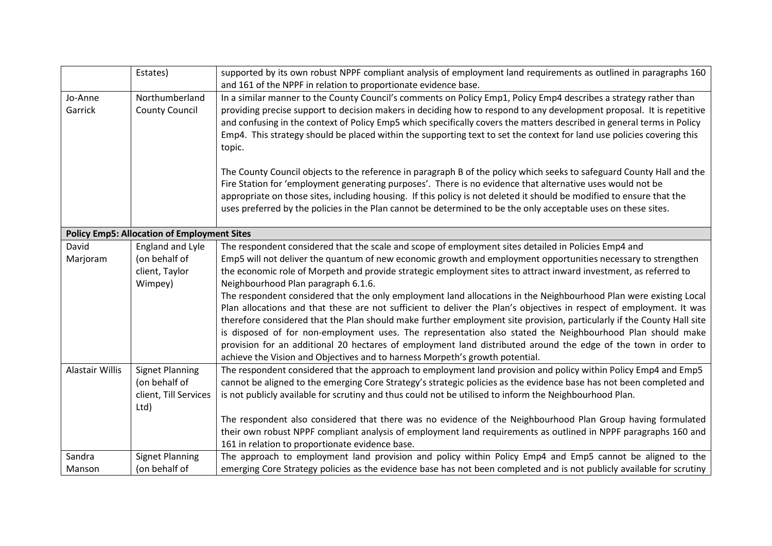|                        | Estates)                                                                 | supported by its own robust NPPF compliant analysis of employment land requirements as outlined in paragraphs 160                                                                                                                                                                                                                                                                                                                                                                                                                                                                                                                                                                  |
|------------------------|--------------------------------------------------------------------------|------------------------------------------------------------------------------------------------------------------------------------------------------------------------------------------------------------------------------------------------------------------------------------------------------------------------------------------------------------------------------------------------------------------------------------------------------------------------------------------------------------------------------------------------------------------------------------------------------------------------------------------------------------------------------------|
|                        |                                                                          | and 161 of the NPPF in relation to proportionate evidence base.                                                                                                                                                                                                                                                                                                                                                                                                                                                                                                                                                                                                                    |
| Jo-Anne                | Northumberland                                                           | In a similar manner to the County Council's comments on Policy Emp1, Policy Emp4 describes a strategy rather than                                                                                                                                                                                                                                                                                                                                                                                                                                                                                                                                                                  |
| Garrick                | <b>County Council</b>                                                    | providing precise support to decision makers in deciding how to respond to any development proposal. It is repetitive<br>and confusing in the context of Policy Emp5 which specifically covers the matters described in general terms in Policy<br>Emp4. This strategy should be placed within the supporting text to set the context for land use policies covering this<br>topic.                                                                                                                                                                                                                                                                                                |
|                        |                                                                          | The County Council objects to the reference in paragraph B of the policy which seeks to safeguard County Hall and the<br>Fire Station for 'employment generating purposes'. There is no evidence that alternative uses would not be<br>appropriate on those sites, including housing. If this policy is not deleted it should be modified to ensure that the<br>uses preferred by the policies in the Plan cannot be determined to be the only acceptable uses on these sites.                                                                                                                                                                                                     |
|                        | <b>Policy Emp5: Allocation of Employment Sites</b>                       |                                                                                                                                                                                                                                                                                                                                                                                                                                                                                                                                                                                                                                                                                    |
| David                  | England and Lyle                                                         | The respondent considered that the scale and scope of employment sites detailed in Policies Emp4 and                                                                                                                                                                                                                                                                                                                                                                                                                                                                                                                                                                               |
| Marjoram               | (on behalf of<br>client, Taylor<br>Wimpey)                               | Emp5 will not deliver the quantum of new economic growth and employment opportunities necessary to strengthen<br>the economic role of Morpeth and provide strategic employment sites to attract inward investment, as referred to<br>Neighbourhood Plan paragraph 6.1.6.                                                                                                                                                                                                                                                                                                                                                                                                           |
|                        |                                                                          | The respondent considered that the only employment land allocations in the Neighbourhood Plan were existing Local<br>Plan allocations and that these are not sufficient to deliver the Plan's objectives in respect of employment. It was<br>therefore considered that the Plan should make further employment site provision, particularly if the County Hall site<br>is disposed of for non-employment uses. The representation also stated the Neighbourhood Plan should make<br>provision for an additional 20 hectares of employment land distributed around the edge of the town in order to<br>achieve the Vision and Objectives and to harness Morpeth's growth potential. |
| <b>Alastair Willis</b> | <b>Signet Planning</b><br>(on behalf of<br>client, Till Services<br>Ltd) | The respondent considered that the approach to employment land provision and policy within Policy Emp4 and Emp5<br>cannot be aligned to the emerging Core Strategy's strategic policies as the evidence base has not been completed and<br>is not publicly available for scrutiny and thus could not be utilised to inform the Neighbourhood Plan.                                                                                                                                                                                                                                                                                                                                 |
|                        |                                                                          | The respondent also considered that there was no evidence of the Neighbourhood Plan Group having formulated                                                                                                                                                                                                                                                                                                                                                                                                                                                                                                                                                                        |
|                        |                                                                          | their own robust NPPF compliant analysis of employment land requirements as outlined in NPPF paragraphs 160 and                                                                                                                                                                                                                                                                                                                                                                                                                                                                                                                                                                    |
|                        |                                                                          | 161 in relation to proportionate evidence base.                                                                                                                                                                                                                                                                                                                                                                                                                                                                                                                                                                                                                                    |
| Sandra                 | <b>Signet Planning</b>                                                   | The approach to employment land provision and policy within Policy Emp4 and Emp5 cannot be aligned to the                                                                                                                                                                                                                                                                                                                                                                                                                                                                                                                                                                          |
| Manson                 | (on behalf of                                                            | emerging Core Strategy policies as the evidence base has not been completed and is not publicly available for scrutiny                                                                                                                                                                                                                                                                                                                                                                                                                                                                                                                                                             |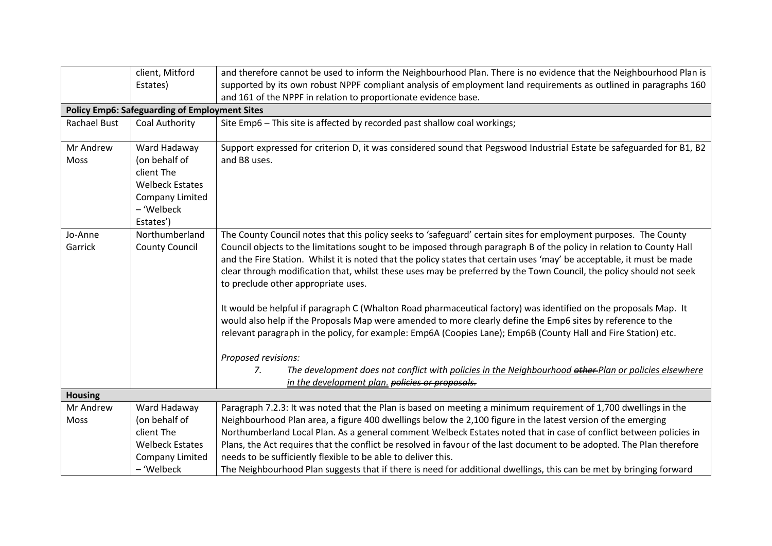|                     | client, Mitford                                      | and therefore cannot be used to inform the Neighbourhood Plan. There is no evidence that the Neighbourhood Plan is     |
|---------------------|------------------------------------------------------|------------------------------------------------------------------------------------------------------------------------|
|                     | Estates)                                             | supported by its own robust NPPF compliant analysis of employment land requirements as outlined in paragraphs 160      |
|                     |                                                      | and 161 of the NPPF in relation to proportionate evidence base.                                                        |
|                     | <b>Policy Emp6: Safeguarding of Employment Sites</b> |                                                                                                                        |
| <b>Rachael Bust</b> | Coal Authority                                       | Site Emp6 - This site is affected by recorded past shallow coal workings;                                              |
| Mr Andrew           | Ward Hadaway                                         | Support expressed for criterion D, it was considered sound that Pegswood Industrial Estate be safeguarded for B1, B2   |
| Moss                | (on behalf of                                        | and B8 uses.                                                                                                           |
|                     | client The                                           |                                                                                                                        |
|                     | <b>Welbeck Estates</b>                               |                                                                                                                        |
|                     | <b>Company Limited</b>                               |                                                                                                                        |
|                     | - 'Welbeck                                           |                                                                                                                        |
|                     | Estates')                                            |                                                                                                                        |
| Jo-Anne             | Northumberland                                       | The County Council notes that this policy seeks to 'safeguard' certain sites for employment purposes. The County       |
| Garrick             | <b>County Council</b>                                | Council objects to the limitations sought to be imposed through paragraph B of the policy in relation to County Hall   |
|                     |                                                      | and the Fire Station. Whilst it is noted that the policy states that certain uses 'may' be acceptable, it must be made |
|                     |                                                      | clear through modification that, whilst these uses may be preferred by the Town Council, the policy should not seek    |
|                     |                                                      | to preclude other appropriate uses.                                                                                    |
|                     |                                                      | It would be helpful if paragraph C (Whalton Road pharmaceutical factory) was identified on the proposals Map. It       |
|                     |                                                      | would also help if the Proposals Map were amended to more clearly define the Emp6 sites by reference to the            |
|                     |                                                      | relevant paragraph in the policy, for example: Emp6A (Coopies Lane); Emp6B (County Hall and Fire Station) etc.         |
|                     |                                                      |                                                                                                                        |
|                     |                                                      | Proposed revisions:                                                                                                    |
|                     |                                                      | The development does not conflict with policies in the Neighbourhood other-Plan or policies elsewhere<br>7.            |
|                     |                                                      | in the development plan. policies or proposals.                                                                        |
| <b>Housing</b>      |                                                      |                                                                                                                        |
| Mr Andrew           | Ward Hadaway                                         | Paragraph 7.2.3: It was noted that the Plan is based on meeting a minimum requirement of 1,700 dwellings in the        |
| Moss                | (on behalf of                                        | Neighbourhood Plan area, a figure 400 dwellings below the 2,100 figure in the latest version of the emerging           |
|                     | client The                                           | Northumberland Local Plan. As a general comment Welbeck Estates noted that in case of conflict between policies in     |
|                     | <b>Welbeck Estates</b>                               | Plans, the Act requires that the conflict be resolved in favour of the last document to be adopted. The Plan therefore |
|                     | <b>Company Limited</b>                               | needs to be sufficiently flexible to be able to deliver this.                                                          |
|                     | - 'Welbeck                                           | The Neighbourhood Plan suggests that if there is need for additional dwellings, this can be met by bringing forward    |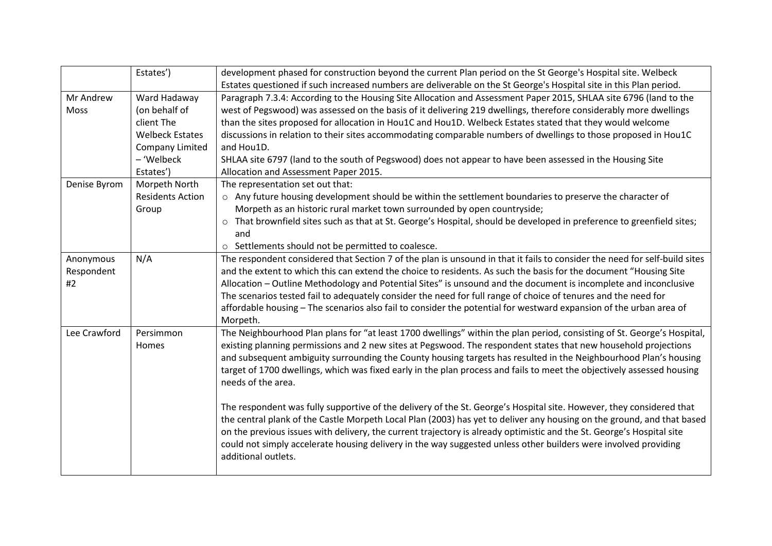|              | Estates')               | development phased for construction beyond the current Plan period on the St George's Hospital site. Welbeck                           |
|--------------|-------------------------|----------------------------------------------------------------------------------------------------------------------------------------|
|              |                         | Estates questioned if such increased numbers are deliverable on the St George's Hospital site in this Plan period.                     |
| Mr Andrew    | Ward Hadaway            | Paragraph 7.3.4: According to the Housing Site Allocation and Assessment Paper 2015, SHLAA site 6796 (land to the                      |
| Moss         | (on behalf of           | west of Pegswood) was assessed on the basis of it delivering 219 dwellings, therefore considerably more dwellings                      |
|              | client The              | than the sites proposed for allocation in Hou1C and Hou1D. Welbeck Estates stated that they would welcome                              |
|              | <b>Welbeck Estates</b>  | discussions in relation to their sites accommodating comparable numbers of dwellings to those proposed in Hou1C                        |
|              | Company Limited         | and Hou1D.                                                                                                                             |
|              | - 'Welbeck              | SHLAA site 6797 (land to the south of Pegswood) does not appear to have been assessed in the Housing Site                              |
|              | Estates')               | Allocation and Assessment Paper 2015.                                                                                                  |
| Denise Byrom | Morpeth North           | The representation set out that:                                                                                                       |
|              | <b>Residents Action</b> | o Any future housing development should be within the settlement boundaries to preserve the character of                               |
|              | Group                   | Morpeth as an historic rural market town surrounded by open countryside;                                                               |
|              |                         | o That brownfield sites such as that at St. George's Hospital, should be developed in preference to greenfield sites;                  |
|              |                         | and                                                                                                                                    |
|              |                         | o Settlements should not be permitted to coalesce.                                                                                     |
| Anonymous    | N/A                     | The respondent considered that Section 7 of the plan is unsound in that it fails to consider the need for self-build sites             |
| Respondent   |                         | and the extent to which this can extend the choice to residents. As such the basis for the document "Housing Site                      |
| #2           |                         | Allocation - Outline Methodology and Potential Sites" is unsound and the document is incomplete and inconclusive                       |
|              |                         | The scenarios tested fail to adequately consider the need for full range of choice of tenures and the need for                         |
|              |                         | affordable housing - The scenarios also fail to consider the potential for westward expansion of the urban area of                     |
|              |                         | Morpeth.                                                                                                                               |
| Lee Crawford | Persimmon               | The Neighbourhood Plan plans for "at least 1700 dwellings" within the plan period, consisting of St. George's Hospital,                |
|              | Homes                   | existing planning permissions and 2 new sites at Pegswood. The respondent states that new household projections                        |
|              |                         | and subsequent ambiguity surrounding the County housing targets has resulted in the Neighbourhood Plan's housing                       |
|              |                         | target of 1700 dwellings, which was fixed early in the plan process and fails to meet the objectively assessed housing                 |
|              |                         | needs of the area.                                                                                                                     |
|              |                         |                                                                                                                                        |
|              |                         | The respondent was fully supportive of the delivery of the St. George's Hospital site. However, they considered that                   |
|              |                         | the central plank of the Castle Morpeth Local Plan (2003) has yet to deliver any housing on the ground, and that based                 |
|              |                         | on the previous issues with delivery, the current trajectory is already optimistic and the St. George's Hospital site                  |
|              |                         | could not simply accelerate housing delivery in the way suggested unless other builders were involved providing<br>additional outlets. |
|              |                         |                                                                                                                                        |
|              |                         |                                                                                                                                        |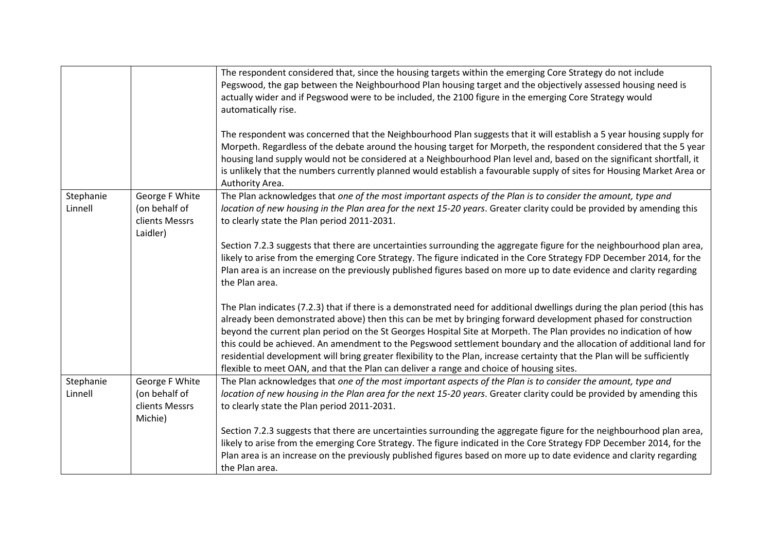|                      |                                                               | The respondent considered that, since the housing targets within the emerging Core Strategy do not include<br>Pegswood, the gap between the Neighbourhood Plan housing target and the objectively assessed housing need is<br>actually wider and if Pegswood were to be included, the 2100 figure in the emerging Core Strategy would<br>automatically rise.<br>The respondent was concerned that the Neighbourhood Plan suggests that it will establish a 5 year housing supply for<br>Morpeth. Regardless of the debate around the housing target for Morpeth, the respondent considered that the 5 year<br>housing land supply would not be considered at a Neighbourhood Plan level and, based on the significant shortfall, it |
|----------------------|---------------------------------------------------------------|-------------------------------------------------------------------------------------------------------------------------------------------------------------------------------------------------------------------------------------------------------------------------------------------------------------------------------------------------------------------------------------------------------------------------------------------------------------------------------------------------------------------------------------------------------------------------------------------------------------------------------------------------------------------------------------------------------------------------------------|
|                      |                                                               | is unlikely that the numbers currently planned would establish a favourable supply of sites for Housing Market Area or<br>Authority Area.                                                                                                                                                                                                                                                                                                                                                                                                                                                                                                                                                                                           |
| Stephanie<br>Linnell | George F White<br>(on behalf of<br>clients Messrs<br>Laidler) | The Plan acknowledges that one of the most important aspects of the Plan is to consider the amount, type and<br>location of new housing in the Plan area for the next 15-20 years. Greater clarity could be provided by amending this<br>to clearly state the Plan period 2011-2031.                                                                                                                                                                                                                                                                                                                                                                                                                                                |
|                      |                                                               | Section 7.2.3 suggests that there are uncertainties surrounding the aggregate figure for the neighbourhood plan area,<br>likely to arise from the emerging Core Strategy. The figure indicated in the Core Strategy FDP December 2014, for the<br>Plan area is an increase on the previously published figures based on more up to date evidence and clarity regarding<br>the Plan area.                                                                                                                                                                                                                                                                                                                                            |
|                      |                                                               | The Plan indicates (7.2.3) that if there is a demonstrated need for additional dwellings during the plan period (this has<br>already been demonstrated above) then this can be met by bringing forward development phased for construction<br>beyond the current plan period on the St Georges Hospital Site at Morpeth. The Plan provides no indication of how<br>this could be achieved. An amendment to the Pegswood settlement boundary and the allocation of additional land for<br>residential development will bring greater flexibility to the Plan, increase certainty that the Plan will be sufficiently<br>flexible to meet OAN, and that the Plan can deliver a range and choice of housing sites.                      |
| Stephanie<br>Linnell | George F White<br>(on behalf of<br>clients Messrs<br>Michie)  | The Plan acknowledges that one of the most important aspects of the Plan is to consider the amount, type and<br>location of new housing in the Plan area for the next 15-20 years. Greater clarity could be provided by amending this<br>to clearly state the Plan period 2011-2031.                                                                                                                                                                                                                                                                                                                                                                                                                                                |
|                      |                                                               | Section 7.2.3 suggests that there are uncertainties surrounding the aggregate figure for the neighbourhood plan area,<br>likely to arise from the emerging Core Strategy. The figure indicated in the Core Strategy FDP December 2014, for the<br>Plan area is an increase on the previously published figures based on more up to date evidence and clarity regarding<br>the Plan area.                                                                                                                                                                                                                                                                                                                                            |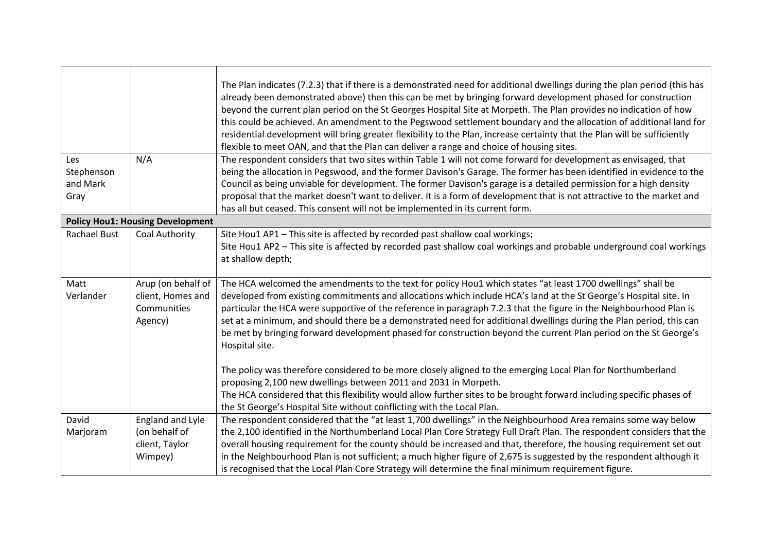| Les               | N/A                                                               | The Plan indicates (7.2.3) that if there is a demonstrated need for additional dwellings during the plan period (this has<br>already been demonstrated above) then this can be met by bringing forward development phased for construction<br>beyond the current plan period on the St Georges Hospital Site at Morpeth. The Plan provides no indication of how<br>this could be achieved. An amendment to the Pegswood settlement boundary and the allocation of additional land for<br>residential development will bring greater flexibility to the Plan, increase certainty that the Plan will be sufficiently<br>flexible to meet OAN, and that the Plan can deliver a range and choice of housing sites.<br>The respondent considers that two sites within Table 1 will not come forward for development as envisaged, that |
|-------------------|-------------------------------------------------------------------|-----------------------------------------------------------------------------------------------------------------------------------------------------------------------------------------------------------------------------------------------------------------------------------------------------------------------------------------------------------------------------------------------------------------------------------------------------------------------------------------------------------------------------------------------------------------------------------------------------------------------------------------------------------------------------------------------------------------------------------------------------------------------------------------------------------------------------------|
| Stephenson        |                                                                   | being the allocation in Pegswood, and the former Davison's Garage. The former has been identified in evidence to the                                                                                                                                                                                                                                                                                                                                                                                                                                                                                                                                                                                                                                                                                                              |
| and Mark          |                                                                   | Council as being unviable for development. The former Davison's garage is a detailed permission for a high density                                                                                                                                                                                                                                                                                                                                                                                                                                                                                                                                                                                                                                                                                                                |
| Gray              |                                                                   | proposal that the market doesn't want to deliver. It is a form of development that is not attractive to the market and<br>has all but ceased. This consent will not be implemented in its current form.                                                                                                                                                                                                                                                                                                                                                                                                                                                                                                                                                                                                                           |
|                   | <b>Policy Hou1: Housing Development</b>                           |                                                                                                                                                                                                                                                                                                                                                                                                                                                                                                                                                                                                                                                                                                                                                                                                                                   |
| Rachael Bust      | Coal Authority                                                    | Site Hou1 AP1 - This site is affected by recorded past shallow coal workings;<br>Site Hou1 AP2 - This site is affected by recorded past shallow coal workings and probable underground coal workings<br>at shallow depth;                                                                                                                                                                                                                                                                                                                                                                                                                                                                                                                                                                                                         |
| Matt<br>Verlander | Arup (on behalf of<br>client, Homes and<br>Communities<br>Agency) | The HCA welcomed the amendments to the text for policy Hou1 which states "at least 1700 dwellings" shall be<br>developed from existing commitments and allocations which include HCA's land at the St George's Hospital site. In<br>particular the HCA were supportive of the reference in paragraph 7.2.3 that the figure in the Neighbourhood Plan is<br>set at a minimum, and should there be a demonstrated need for additional dwellings during the Plan period, this can<br>be met by bringing forward development phased for construction beyond the current Plan period on the St George's<br>Hospital site.                                                                                                                                                                                                              |
|                   |                                                                   | The policy was therefore considered to be more closely aligned to the emerging Local Plan for Northumberland<br>proposing 2,100 new dwellings between 2011 and 2031 in Morpeth.<br>The HCA considered that this flexibility would allow further sites to be brought forward including specific phases of                                                                                                                                                                                                                                                                                                                                                                                                                                                                                                                          |
|                   |                                                                   | the St George's Hospital Site without conflicting with the Local Plan.                                                                                                                                                                                                                                                                                                                                                                                                                                                                                                                                                                                                                                                                                                                                                            |
| David             | England and Lyle                                                  | The respondent considered that the "at least 1,700 dwellings" in the Neighbourhood Area remains some way below                                                                                                                                                                                                                                                                                                                                                                                                                                                                                                                                                                                                                                                                                                                    |
| Marjoram          | (on behalf of                                                     | the 2,100 identified in the Northumberland Local Plan Core Strategy Full Draft Plan. The respondent considers that the                                                                                                                                                                                                                                                                                                                                                                                                                                                                                                                                                                                                                                                                                                            |
|                   | client, Taylor                                                    | overall housing requirement for the county should be increased and that, therefore, the housing requirement set out                                                                                                                                                                                                                                                                                                                                                                                                                                                                                                                                                                                                                                                                                                               |
|                   | Wimpey)                                                           | in the Neighbourhood Plan is not sufficient; a much higher figure of 2,675 is suggested by the respondent although it<br>is recognised that the Local Plan Core Strategy will determine the final minimum requirement figure.                                                                                                                                                                                                                                                                                                                                                                                                                                                                                                                                                                                                     |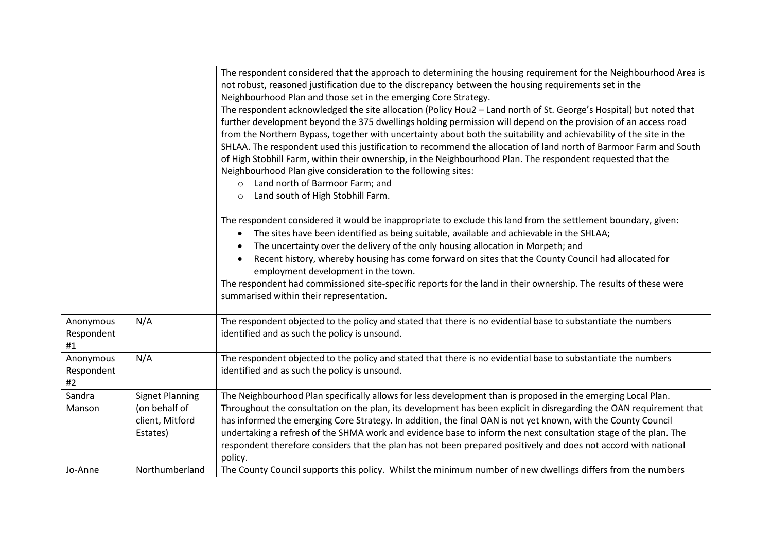|                               |                                                                        | The respondent considered that the approach to determining the housing requirement for the Neighbourhood Area is<br>not robust, reasoned justification due to the discrepancy between the housing requirements set in the<br>Neighbourhood Plan and those set in the emerging Core Strategy.<br>The respondent acknowledged the site allocation (Policy Hou2 - Land north of St. George's Hospital) but noted that<br>further development beyond the 375 dwellings holding permission will depend on the provision of an access road<br>from the Northern Bypass, together with uncertainty about both the suitability and achievability of the site in the<br>SHLAA. The respondent used this justification to recommend the allocation of land north of Barmoor Farm and South<br>of High Stobhill Farm, within their ownership, in the Neighbourhood Plan. The respondent requested that the<br>Neighbourhood Plan give consideration to the following sites:<br>Land north of Barmoor Farm; and<br>$\circ$<br>Land south of High Stobhill Farm.<br>$\circ$<br>The respondent considered it would be inappropriate to exclude this land from the settlement boundary, given:<br>The sites have been identified as being suitable, available and achievable in the SHLAA;<br>$\bullet$<br>The uncertainty over the delivery of the only housing allocation in Morpeth; and<br>Recent history, whereby housing has come forward on sites that the County Council had allocated for<br>$\bullet$<br>employment development in the town.<br>The respondent had commissioned site-specific reports for the land in their ownership. The results of these were<br>summarised within their representation. |
|-------------------------------|------------------------------------------------------------------------|--------------------------------------------------------------------------------------------------------------------------------------------------------------------------------------------------------------------------------------------------------------------------------------------------------------------------------------------------------------------------------------------------------------------------------------------------------------------------------------------------------------------------------------------------------------------------------------------------------------------------------------------------------------------------------------------------------------------------------------------------------------------------------------------------------------------------------------------------------------------------------------------------------------------------------------------------------------------------------------------------------------------------------------------------------------------------------------------------------------------------------------------------------------------------------------------------------------------------------------------------------------------------------------------------------------------------------------------------------------------------------------------------------------------------------------------------------------------------------------------------------------------------------------------------------------------------------------------------------------------------------------------------------------------------------------------------------|
| Anonymous<br>Respondent<br>#1 | N/A                                                                    | The respondent objected to the policy and stated that there is no evidential base to substantiate the numbers<br>identified and as such the policy is unsound.                                                                                                                                                                                                                                                                                                                                                                                                                                                                                                                                                                                                                                                                                                                                                                                                                                                                                                                                                                                                                                                                                                                                                                                                                                                                                                                                                                                                                                                                                                                                         |
| Anonymous<br>Respondent<br>#2 | N/A                                                                    | The respondent objected to the policy and stated that there is no evidential base to substantiate the numbers<br>identified and as such the policy is unsound.                                                                                                                                                                                                                                                                                                                                                                                                                                                                                                                                                                                                                                                                                                                                                                                                                                                                                                                                                                                                                                                                                                                                                                                                                                                                                                                                                                                                                                                                                                                                         |
| Sandra<br>Manson              | <b>Signet Planning</b><br>(on behalf of<br>client, Mitford<br>Estates) | The Neighbourhood Plan specifically allows for less development than is proposed in the emerging Local Plan.<br>Throughout the consultation on the plan, its development has been explicit in disregarding the OAN requirement that<br>has informed the emerging Core Strategy. In addition, the final OAN is not yet known, with the County Council<br>undertaking a refresh of the SHMA work and evidence base to inform the next consultation stage of the plan. The<br>respondent therefore considers that the plan has not been prepared positively and does not accord with national<br>policy.                                                                                                                                                                                                                                                                                                                                                                                                                                                                                                                                                                                                                                                                                                                                                                                                                                                                                                                                                                                                                                                                                                  |
| Jo-Anne                       | Northumberland                                                         | The County Council supports this policy. Whilst the minimum number of new dwellings differs from the numbers                                                                                                                                                                                                                                                                                                                                                                                                                                                                                                                                                                                                                                                                                                                                                                                                                                                                                                                                                                                                                                                                                                                                                                                                                                                                                                                                                                                                                                                                                                                                                                                           |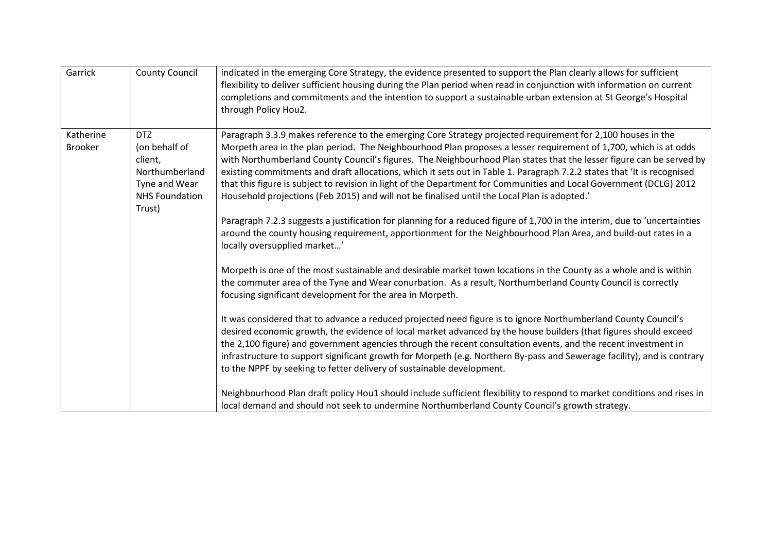| Garrick                     | <b>County Council</b>                                                                                 | indicated in the emerging Core Strategy, the evidence presented to support the Plan clearly allows for sufficient<br>flexibility to deliver sufficient housing during the Plan period when read in conjunction with information on current<br>completions and commitments and the intention to support a sustainable urban extension at St George's Hospital<br>through Policy Hou2.                                                                                                                                                                                                                                                                                                                                                                                                                                                                                                                                                                                                    |
|-----------------------------|-------------------------------------------------------------------------------------------------------|-----------------------------------------------------------------------------------------------------------------------------------------------------------------------------------------------------------------------------------------------------------------------------------------------------------------------------------------------------------------------------------------------------------------------------------------------------------------------------------------------------------------------------------------------------------------------------------------------------------------------------------------------------------------------------------------------------------------------------------------------------------------------------------------------------------------------------------------------------------------------------------------------------------------------------------------------------------------------------------------|
| Katherine<br><b>Brooker</b> | DTZ<br>(on behalf of<br>client,<br>Northumberland<br>Tyne and Wear<br><b>NHS Foundation</b><br>Trust) | Paragraph 3.3.9 makes reference to the emerging Core Strategy projected requirement for 2,100 houses in the<br>Morpeth area in the plan period. The Neighbourhood Plan proposes a lesser requirement of 1,700, which is at odds<br>with Northumberland County Council's figures. The Neighbourhood Plan states that the lesser figure can be served by<br>existing commitments and draft allocations, which it sets out in Table 1. Paragraph 7.2.2 states that 'It is recognised<br>that this figure is subject to revision in light of the Department for Communities and Local Government (DCLG) 2012<br>Household projections (Feb 2015) and will not be finalised until the Local Plan is adopted.'<br>Paragraph 7.2.3 suggests a justification for planning for a reduced figure of 1,700 in the interim, due to 'uncertainties<br>around the county housing requirement, apportionment for the Neighbourhood Plan Area, and build-out rates in a<br>locally oversupplied market' |
|                             |                                                                                                       | Morpeth is one of the most sustainable and desirable market town locations in the County as a whole and is within<br>the commuter area of the Tyne and Wear conurbation. As a result, Northumberland County Council is correctly<br>focusing significant development for the area in Morpeth.<br>It was considered that to advance a reduced projected need figure is to ignore Northumberland County Council's<br>desired economic growth, the evidence of local market advanced by the house builders (that figures should exceed<br>the 2,100 figure) and government agencies through the recent consultation events, and the recent investment in<br>infrastructure to support significant growth for Morpeth (e.g. Northern By-pass and Sewerage facility), and is contrary<br>to the NPPF by seeking to fetter delivery of sustainable development.                                                                                                                               |
|                             |                                                                                                       | Neighbourhood Plan draft policy Hou1 should include sufficient flexibility to respond to market conditions and rises in<br>local demand and should not seek to undermine Northumberland County Council's growth strategy.                                                                                                                                                                                                                                                                                                                                                                                                                                                                                                                                                                                                                                                                                                                                                               |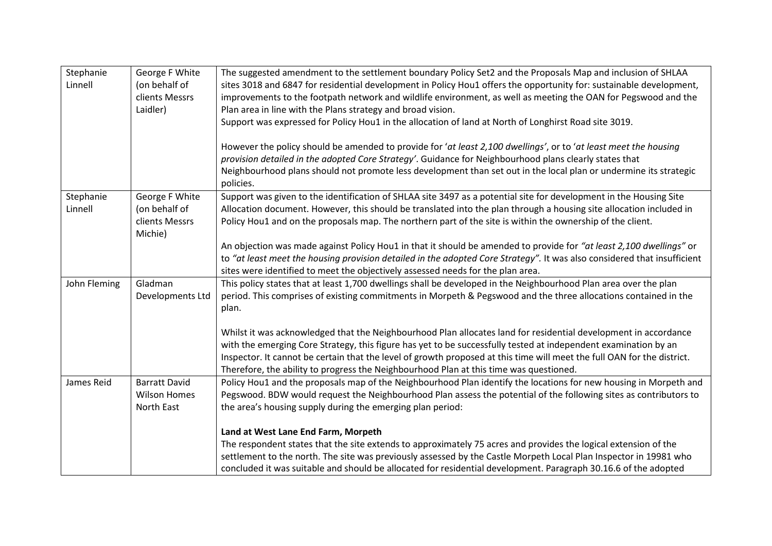| Stephanie<br>Linnell | George F White<br>(on behalf of<br>clients Messrs<br>Laidler) | The suggested amendment to the settlement boundary Policy Set2 and the Proposals Map and inclusion of SHLAA<br>sites 3018 and 6847 for residential development in Policy Hou1 offers the opportunity for: sustainable development,<br>improvements to the footpath network and wildlife environment, as well as meeting the OAN for Pegswood and the<br>Plan area in line with the Plans strategy and broad vision.<br>Support was expressed for Policy Hou1 in the allocation of land at North of Longhirst Road site 3019. |
|----------------------|---------------------------------------------------------------|------------------------------------------------------------------------------------------------------------------------------------------------------------------------------------------------------------------------------------------------------------------------------------------------------------------------------------------------------------------------------------------------------------------------------------------------------------------------------------------------------------------------------|
|                      |                                                               | However the policy should be amended to provide for 'at least 2,100 dwellings', or to 'at least meet the housing<br>provision detailed in the adopted Core Strategy'. Guidance for Neighbourhood plans clearly states that                                                                                                                                                                                                                                                                                                   |
|                      |                                                               | Neighbourhood plans should not promote less development than set out in the local plan or undermine its strategic<br>policies.                                                                                                                                                                                                                                                                                                                                                                                               |
| Stephanie<br>Linnell | George F White<br>(on behalf of<br>clients Messrs<br>Michie)  | Support was given to the identification of SHLAA site 3497 as a potential site for development in the Housing Site<br>Allocation document. However, this should be translated into the plan through a housing site allocation included in<br>Policy Hou1 and on the proposals map. The northern part of the site is within the ownership of the client.                                                                                                                                                                      |
|                      |                                                               | An objection was made against Policy Hou1 in that it should be amended to provide for "at least 2,100 dwellings" or<br>to "at least meet the housing provision detailed in the adopted Core Strategy". It was also considered that insufficient<br>sites were identified to meet the objectively assessed needs for the plan area.                                                                                                                                                                                           |
| John Fleming         | Gladman<br>Developments Ltd                                   | This policy states that at least 1,700 dwellings shall be developed in the Neighbourhood Plan area over the plan<br>period. This comprises of existing commitments in Morpeth & Pegswood and the three allocations contained in the<br>plan.                                                                                                                                                                                                                                                                                 |
|                      |                                                               | Whilst it was acknowledged that the Neighbourhood Plan allocates land for residential development in accordance<br>with the emerging Core Strategy, this figure has yet to be successfully tested at independent examination by an<br>Inspector. It cannot be certain that the level of growth proposed at this time will meet the full OAN for the district.<br>Therefore, the ability to progress the Neighbourhood Plan at this time was questioned.                                                                      |
| James Reid           | <b>Barratt David</b><br><b>Wilson Homes</b><br>North East     | Policy Hou1 and the proposals map of the Neighbourhood Plan identify the locations for new housing in Morpeth and<br>Pegswood. BDW would request the Neighbourhood Plan assess the potential of the following sites as contributors to<br>the area's housing supply during the emerging plan period:                                                                                                                                                                                                                         |
|                      |                                                               | Land at West Lane End Farm, Morpeth<br>The respondent states that the site extends to approximately 75 acres and provides the logical extension of the<br>settlement to the north. The site was previously assessed by the Castle Morpeth Local Plan Inspector in 19981 who<br>concluded it was suitable and should be allocated for residential development. Paragraph 30.16.6 of the adopted                                                                                                                               |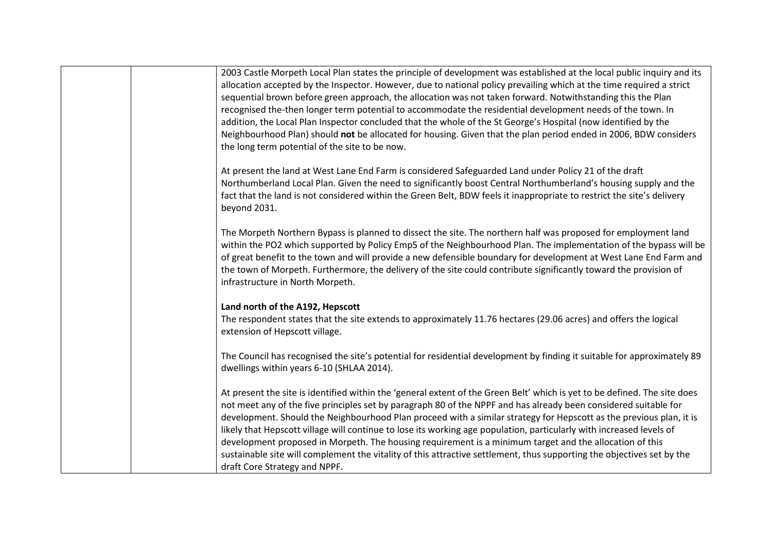| 2003 Castle Morpeth Local Plan states the principle of development was established at the local public inquiry and its<br>allocation accepted by the Inspector. However, due to national policy prevailing which at the time required a strict<br>sequential brown before green approach, the allocation was not taken forward. Notwithstanding this the Plan<br>recognised the-then longer term potential to accommodate the residential development needs of the town. In<br>addition, the Local Plan Inspector concluded that the whole of the St George's Hospital (now identified by the<br>Neighbourhood Plan) should not be allocated for housing. Given that the plan period ended in 2006, BDW considers<br>the long term potential of the site to be now. |
|---------------------------------------------------------------------------------------------------------------------------------------------------------------------------------------------------------------------------------------------------------------------------------------------------------------------------------------------------------------------------------------------------------------------------------------------------------------------------------------------------------------------------------------------------------------------------------------------------------------------------------------------------------------------------------------------------------------------------------------------------------------------|
| At present the land at West Lane End Farm is considered Safeguarded Land under Policy 21 of the draft<br>Northumberland Local Plan. Given the need to significantly boost Central Northumberland's housing supply and the<br>fact that the land is not considered within the Green Belt, BDW feels it inappropriate to restrict the site's delivery<br>beyond 2031.                                                                                                                                                                                                                                                                                                                                                                                                 |
| The Morpeth Northern Bypass is planned to dissect the site. The northern half was proposed for employment land<br>within the PO2 which supported by Policy Emp5 of the Neighbourhood Plan. The implementation of the bypass will be<br>of great benefit to the town and will provide a new defensible boundary for development at West Lane End Farm and<br>the town of Morpeth. Furthermore, the delivery of the site could contribute significantly toward the provision of<br>infrastructure in North Morpeth.                                                                                                                                                                                                                                                   |
| Land north of the A192, Hepscott<br>The respondent states that the site extends to approximately 11.76 hectares (29.06 acres) and offers the logical<br>extension of Hepscott village.                                                                                                                                                                                                                                                                                                                                                                                                                                                                                                                                                                              |
| The Council has recognised the site's potential for residential development by finding it suitable for approximately 89<br>dwellings within years 6-10 (SHLAA 2014).                                                                                                                                                                                                                                                                                                                                                                                                                                                                                                                                                                                                |
| At present the site is identified within the 'general extent of the Green Belt' which is yet to be defined. The site does<br>not meet any of the five principles set by paragraph 80 of the NPPF and has already been considered suitable for<br>development. Should the Neighbourhood Plan proceed with a similar strategy for Hepscott as the previous plan, it is<br>likely that Hepscott village will continue to lose its working age population, particularly with increased levels of<br>development proposed in Morpeth. The housing requirement is a minimum target and the allocation of this<br>sustainable site will complement the vitality of this attractive settlement, thus supporting the objectives set by the<br>draft Core Strategy and NPPF.  |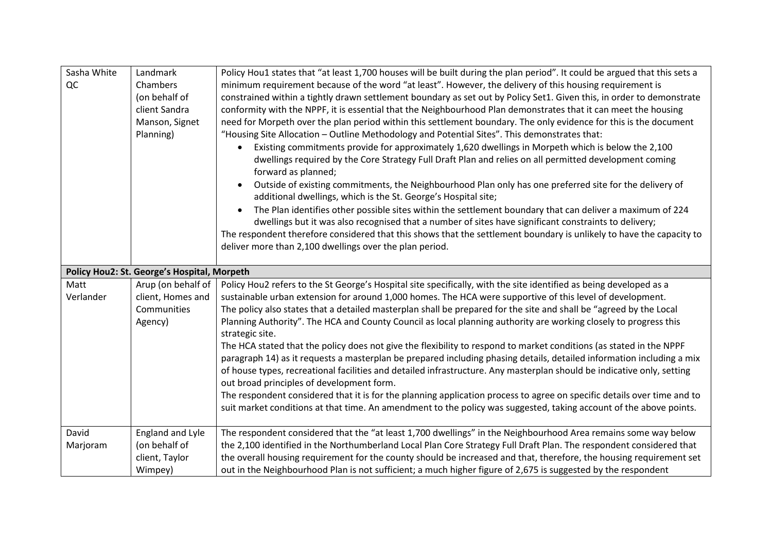| Sasha White<br>QC | Landmark<br>Chambers<br>(on behalf of<br>client Sandra<br>Manson, Signet<br>Planning) | Policy Hou1 states that "at least 1,700 houses will be built during the plan period". It could be argued that this sets a<br>minimum requirement because of the word "at least". However, the delivery of this housing requirement is<br>constrained within a tightly drawn settlement boundary as set out by Policy Set1. Given this, in order to demonstrate<br>conformity with the NPPF, it is essential that the Neighbourhood Plan demonstrates that it can meet the housing<br>need for Morpeth over the plan period within this settlement boundary. The only evidence for this is the document<br>"Housing Site Allocation - Outline Methodology and Potential Sites". This demonstrates that:<br>Existing commitments provide for approximately 1,620 dwellings in Morpeth which is below the 2,100<br>dwellings required by the Core Strategy Full Draft Plan and relies on all permitted development coming<br>forward as planned;<br>Outside of existing commitments, the Neighbourhood Plan only has one preferred site for the delivery of<br>$\bullet$<br>additional dwellings, which is the St. George's Hospital site; |
|-------------------|---------------------------------------------------------------------------------------|-----------------------------------------------------------------------------------------------------------------------------------------------------------------------------------------------------------------------------------------------------------------------------------------------------------------------------------------------------------------------------------------------------------------------------------------------------------------------------------------------------------------------------------------------------------------------------------------------------------------------------------------------------------------------------------------------------------------------------------------------------------------------------------------------------------------------------------------------------------------------------------------------------------------------------------------------------------------------------------------------------------------------------------------------------------------------------------------------------------------------------------------|
|                   |                                                                                       | The Plan identifies other possible sites within the settlement boundary that can deliver a maximum of 224<br>$\bullet$<br>dwellings but it was also recognised that a number of sites have significant constraints to delivery;<br>The respondent therefore considered that this shows that the settlement boundary is unlikely to have the capacity to<br>deliver more than 2,100 dwellings over the plan period.                                                                                                                                                                                                                                                                                                                                                                                                                                                                                                                                                                                                                                                                                                                      |
|                   | Policy Hou2: St. George's Hospital, Morpeth                                           |                                                                                                                                                                                                                                                                                                                                                                                                                                                                                                                                                                                                                                                                                                                                                                                                                                                                                                                                                                                                                                                                                                                                         |
| Matt<br>Verlander | Arup (on behalf of<br>client, Homes and                                               | Policy Hou2 refers to the St George's Hospital site specifically, with the site identified as being developed as a<br>sustainable urban extension for around 1,000 homes. The HCA were supportive of this level of development.                                                                                                                                                                                                                                                                                                                                                                                                                                                                                                                                                                                                                                                                                                                                                                                                                                                                                                         |
|                   | Communities<br>Agency)                                                                | The policy also states that a detailed masterplan shall be prepared for the site and shall be "agreed by the Local<br>Planning Authority". The HCA and County Council as local planning authority are working closely to progress this<br>strategic site.                                                                                                                                                                                                                                                                                                                                                                                                                                                                                                                                                                                                                                                                                                                                                                                                                                                                               |
|                   |                                                                                       | The HCA stated that the policy does not give the flexibility to respond to market conditions (as stated in the NPPF<br>paragraph 14) as it requests a masterplan be prepared including phasing details, detailed information including a mix<br>of house types, recreational facilities and detailed infrastructure. Any masterplan should be indicative only, setting<br>out broad principles of development form.                                                                                                                                                                                                                                                                                                                                                                                                                                                                                                                                                                                                                                                                                                                     |
|                   |                                                                                       | The respondent considered that it is for the planning application process to agree on specific details over time and to<br>suit market conditions at that time. An amendment to the policy was suggested, taking account of the above points.                                                                                                                                                                                                                                                                                                                                                                                                                                                                                                                                                                                                                                                                                                                                                                                                                                                                                           |
| David             | England and Lyle                                                                      | The respondent considered that the "at least 1,700 dwellings" in the Neighbourhood Area remains some way below                                                                                                                                                                                                                                                                                                                                                                                                                                                                                                                                                                                                                                                                                                                                                                                                                                                                                                                                                                                                                          |
| Marjoram          | (on behalf of                                                                         | the 2,100 identified in the Northumberland Local Plan Core Strategy Full Draft Plan. The respondent considered that                                                                                                                                                                                                                                                                                                                                                                                                                                                                                                                                                                                                                                                                                                                                                                                                                                                                                                                                                                                                                     |
|                   | client, Taylor                                                                        | the overall housing requirement for the county should be increased and that, therefore, the housing requirement set                                                                                                                                                                                                                                                                                                                                                                                                                                                                                                                                                                                                                                                                                                                                                                                                                                                                                                                                                                                                                     |
|                   | Wimpey)                                                                               | out in the Neighbourhood Plan is not sufficient; a much higher figure of 2,675 is suggested by the respondent                                                                                                                                                                                                                                                                                                                                                                                                                                                                                                                                                                                                                                                                                                                                                                                                                                                                                                                                                                                                                           |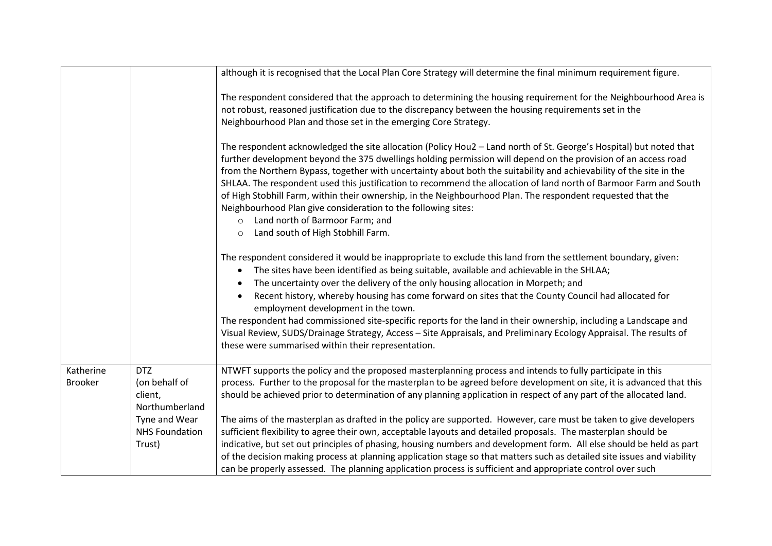|                |                           | although it is recognised that the Local Plan Core Strategy will determine the final minimum requirement figure.                                                                                                                         |
|----------------|---------------------------|------------------------------------------------------------------------------------------------------------------------------------------------------------------------------------------------------------------------------------------|
|                |                           |                                                                                                                                                                                                                                          |
|                |                           | The respondent considered that the approach to determining the housing requirement for the Neighbourhood Area is                                                                                                                         |
|                |                           | not robust, reasoned justification due to the discrepancy between the housing requirements set in the                                                                                                                                    |
|                |                           | Neighbourhood Plan and those set in the emerging Core Strategy.                                                                                                                                                                          |
|                |                           |                                                                                                                                                                                                                                          |
|                |                           | The respondent acknowledged the site allocation (Policy Hou2 - Land north of St. George's Hospital) but noted that                                                                                                                       |
|                |                           | further development beyond the 375 dwellings holding permission will depend on the provision of an access road                                                                                                                           |
|                |                           | from the Northern Bypass, together with uncertainty about both the suitability and achievability of the site in the<br>SHLAA. The respondent used this justification to recommend the allocation of land north of Barmoor Farm and South |
|                |                           | of High Stobhill Farm, within their ownership, in the Neighbourhood Plan. The respondent requested that the                                                                                                                              |
|                |                           | Neighbourhood Plan give consideration to the following sites:                                                                                                                                                                            |
|                |                           | Land north of Barmoor Farm; and<br>$\circ$                                                                                                                                                                                               |
|                |                           | Land south of High Stobhill Farm.<br>$\circ$                                                                                                                                                                                             |
|                |                           |                                                                                                                                                                                                                                          |
|                |                           | The respondent considered it would be inappropriate to exclude this land from the settlement boundary, given:                                                                                                                            |
|                |                           | The sites have been identified as being suitable, available and achievable in the SHLAA;<br>$\bullet$                                                                                                                                    |
|                |                           | The uncertainty over the delivery of the only housing allocation in Morpeth; and                                                                                                                                                         |
|                |                           | Recent history, whereby housing has come forward on sites that the County Council had allocated for<br>employment development in the town.                                                                                               |
|                |                           | The respondent had commissioned site-specific reports for the land in their ownership, including a Landscape and                                                                                                                         |
|                |                           | Visual Review, SUDS/Drainage Strategy, Access - Site Appraisals, and Preliminary Ecology Appraisal. The results of                                                                                                                       |
|                |                           | these were summarised within their representation.                                                                                                                                                                                       |
|                |                           |                                                                                                                                                                                                                                          |
| Katherine      | <b>DTZ</b>                | NTWFT supports the policy and the proposed masterplanning process and intends to fully participate in this                                                                                                                               |
| <b>Brooker</b> | (on behalf of             | process. Further to the proposal for the masterplan to be agreed before development on site, it is advanced that this                                                                                                                    |
|                | client,<br>Northumberland | should be achieved prior to determination of any planning application in respect of any part of the allocated land.                                                                                                                      |
|                | Tyne and Wear             | The aims of the masterplan as drafted in the policy are supported. However, care must be taken to give developers                                                                                                                        |
|                | <b>NHS Foundation</b>     | sufficient flexibility to agree their own, acceptable layouts and detailed proposals. The masterplan should be                                                                                                                           |
|                | Trust)                    | indicative, but set out principles of phasing, housing numbers and development form. All else should be held as part                                                                                                                     |
|                |                           | of the decision making process at planning application stage so that matters such as detailed site issues and viability                                                                                                                  |
|                |                           | can be properly assessed. The planning application process is sufficient and appropriate control over such                                                                                                                               |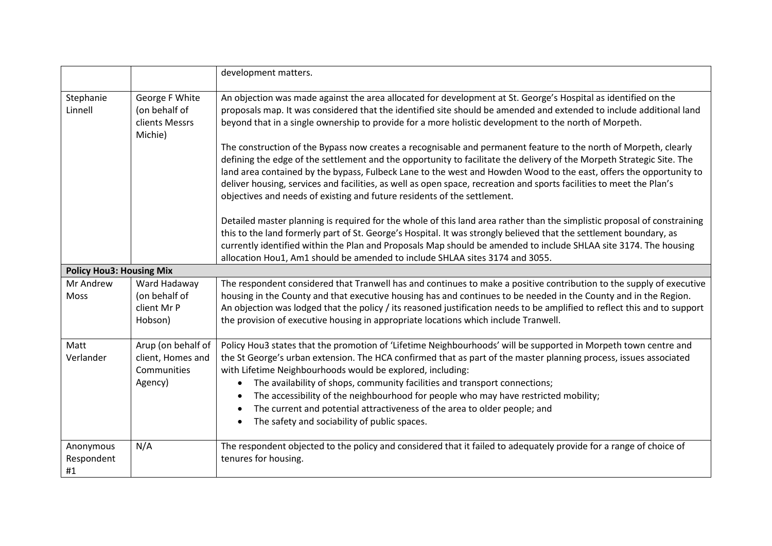|                                 |                                                                   | development matters.                                                                                                                                                                                                                                                                                                                                                                                                                                                                                                                                                                                              |
|---------------------------------|-------------------------------------------------------------------|-------------------------------------------------------------------------------------------------------------------------------------------------------------------------------------------------------------------------------------------------------------------------------------------------------------------------------------------------------------------------------------------------------------------------------------------------------------------------------------------------------------------------------------------------------------------------------------------------------------------|
| Stephanie<br>Linnell            | George F White<br>(on behalf of<br>clients Messrs<br>Michie)      | An objection was made against the area allocated for development at St. George's Hospital as identified on the<br>proposals map. It was considered that the identified site should be amended and extended to include additional land<br>beyond that in a single ownership to provide for a more holistic development to the north of Morpeth.                                                                                                                                                                                                                                                                    |
|                                 |                                                                   | The construction of the Bypass now creates a recognisable and permanent feature to the north of Morpeth, clearly<br>defining the edge of the settlement and the opportunity to facilitate the delivery of the Morpeth Strategic Site. The<br>land area contained by the bypass, Fulbeck Lane to the west and Howden Wood to the east, offers the opportunity to<br>deliver housing, services and facilities, as well as open space, recreation and sports facilities to meet the Plan's<br>objectives and needs of existing and future residents of the settlement.                                               |
|                                 |                                                                   | Detailed master planning is required for the whole of this land area rather than the simplistic proposal of constraining<br>this to the land formerly part of St. George's Hospital. It was strongly believed that the settlement boundary, as<br>currently identified within the Plan and Proposals Map should be amended to include SHLAA site 3174. The housing<br>allocation Hou1, Am1 should be amended to include SHLAA sites 3174 and 3055.                                                                                                                                                                |
| <b>Policy Hou3: Housing Mix</b> |                                                                   |                                                                                                                                                                                                                                                                                                                                                                                                                                                                                                                                                                                                                   |
| Mr Andrew<br><b>Moss</b>        | Ward Hadaway<br>(on behalf of<br>client Mr P<br>Hobson)           | The respondent considered that Tranwell has and continues to make a positive contribution to the supply of executive<br>housing in the County and that executive housing has and continues to be needed in the County and in the Region.<br>An objection was lodged that the policy / its reasoned justification needs to be amplified to reflect this and to support<br>the provision of executive housing in appropriate locations which include Tranwell.                                                                                                                                                      |
| Matt<br>Verlander               | Arup (on behalf of<br>client, Homes and<br>Communities<br>Agency) | Policy Hou3 states that the promotion of 'Lifetime Neighbourhoods' will be supported in Morpeth town centre and<br>the St George's urban extension. The HCA confirmed that as part of the master planning process, issues associated<br>with Lifetime Neighbourhoods would be explored, including:<br>The availability of shops, community facilities and transport connections;<br>$\bullet$<br>The accessibility of the neighbourhood for people who may have restricted mobility;<br>The current and potential attractiveness of the area to older people; and<br>The safety and sociability of public spaces. |
| Anonymous<br>Respondent<br>#1   | N/A                                                               | The respondent objected to the policy and considered that it failed to adequately provide for a range of choice of<br>tenures for housing.                                                                                                                                                                                                                                                                                                                                                                                                                                                                        |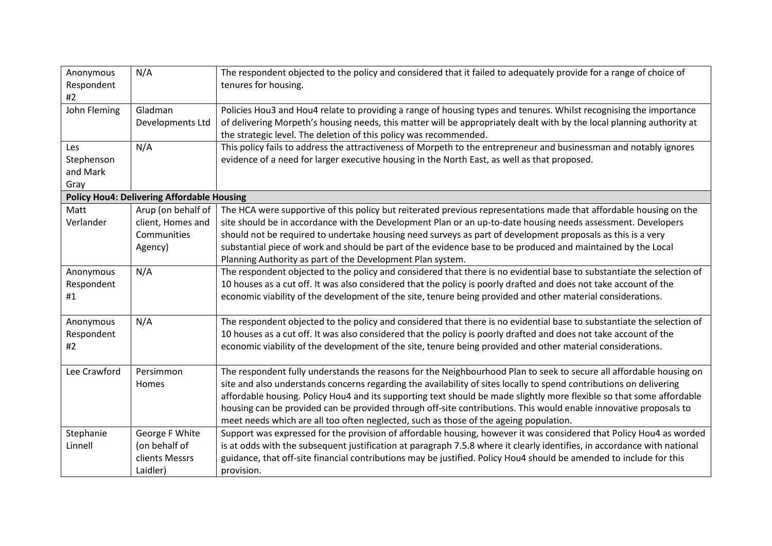| Anonymous<br>Respondent<br>#2         | N/A                                                               | The respondent objected to the policy and considered that it failed to adequately provide for a range of choice of<br>tenures for housing.                                                                                                                                                                                                                                                                                                                                                                                                                                        |
|---------------------------------------|-------------------------------------------------------------------|-----------------------------------------------------------------------------------------------------------------------------------------------------------------------------------------------------------------------------------------------------------------------------------------------------------------------------------------------------------------------------------------------------------------------------------------------------------------------------------------------------------------------------------------------------------------------------------|
| John Fleming                          | Gladman<br>Developments Ltd                                       | Policies Hou3 and Hou4 relate to providing a range of housing types and tenures. Whilst recognising the importance<br>of delivering Morpeth's housing needs, this matter will be appropriately dealt with by the local planning authority at<br>the strategic level. The deletion of this policy was recommended.                                                                                                                                                                                                                                                                 |
| Les<br>Stephenson<br>and Mark<br>Gray | N/A                                                               | This policy fails to address the attractiveness of Morpeth to the entrepreneur and businessman and notably ignores<br>evidence of a need for larger executive housing in the North East, as well as that proposed.                                                                                                                                                                                                                                                                                                                                                                |
|                                       | <b>Policy Hou4: Delivering Affordable Housing</b>                 |                                                                                                                                                                                                                                                                                                                                                                                                                                                                                                                                                                                   |
| Matt<br>Verlander                     | Arup (on behalf of<br>client, Homes and<br>Communities<br>Agency) | The HCA were supportive of this policy but reiterated previous representations made that affordable housing on the<br>site should be in accordance with the Development Plan or an up-to-date housing needs assessment. Developers<br>should not be required to undertake housing need surveys as part of development proposals as this is a very<br>substantial piece of work and should be part of the evidence base to be produced and maintained by the Local<br>Planning Authority as part of the Development Plan system.                                                   |
| Anonymous<br>Respondent<br>#1         | N/A                                                               | The respondent objected to the policy and considered that there is no evidential base to substantiate the selection of<br>10 houses as a cut off. It was also considered that the policy is poorly drafted and does not take account of the<br>economic viability of the development of the site, tenure being provided and other material considerations.                                                                                                                                                                                                                        |
| Anonymous<br>Respondent<br>#2         | N/A                                                               | The respondent objected to the policy and considered that there is no evidential base to substantiate the selection of<br>10 houses as a cut off. It was also considered that the policy is poorly drafted and does not take account of the<br>economic viability of the development of the site, tenure being provided and other material considerations.                                                                                                                                                                                                                        |
| Lee Crawford                          | Persimmon<br>Homes                                                | The respondent fully understands the reasons for the Neighbourhood Plan to seek to secure all affordable housing on<br>site and also understands concerns regarding the availability of sites locally to spend contributions on delivering<br>affordable housing. Policy Hou4 and its supporting text should be made slightly more flexible so that some affordable<br>housing can be provided can be provided through off-site contributions. This would enable innovative proposals to<br>meet needs which are all too often neglected, such as those of the ageing population. |
| Stephanie<br>Linnell                  | George F White<br>(on behalf of<br>clients Messrs<br>Laidler)     | Support was expressed for the provision of affordable housing, however it was considered that Policy Hou4 as worded<br>is at odds with the subsequent justification at paragraph 7.5.8 where it clearly identifies, in accordance with national<br>guidance, that off-site financial contributions may be justified. Policy Hou4 should be amended to include for this<br>provision.                                                                                                                                                                                              |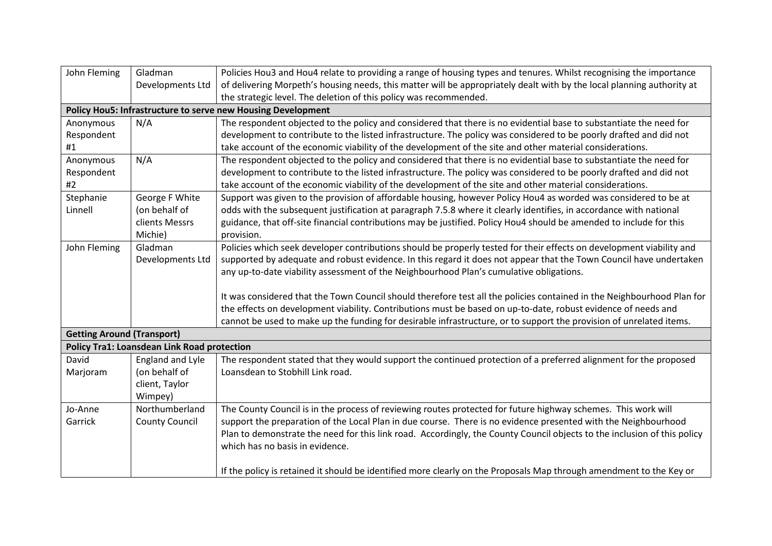| John Fleming                      | Gladman                                            | Policies Hou3 and Hou4 relate to providing a range of housing types and tenures. Whilst recognising the importance       |
|-----------------------------------|----------------------------------------------------|--------------------------------------------------------------------------------------------------------------------------|
|                                   | Developments Ltd                                   | of delivering Morpeth's housing needs, this matter will be appropriately dealt with by the local planning authority at   |
|                                   |                                                    | the strategic level. The deletion of this policy was recommended.                                                        |
|                                   |                                                    | Policy Hou5: Infrastructure to serve new Housing Development                                                             |
| Anonymous                         | N/A                                                | The respondent objected to the policy and considered that there is no evidential base to substantiate the need for       |
| Respondent                        |                                                    | development to contribute to the listed infrastructure. The policy was considered to be poorly drafted and did not       |
| #1                                |                                                    | take account of the economic viability of the development of the site and other material considerations.                 |
| Anonymous                         | N/A                                                | The respondent objected to the policy and considered that there is no evidential base to substantiate the need for       |
| Respondent                        |                                                    | development to contribute to the listed infrastructure. The policy was considered to be poorly drafted and did not       |
| #2                                |                                                    | take account of the economic viability of the development of the site and other material considerations.                 |
| Stephanie                         | George F White                                     | Support was given to the provision of affordable housing, however Policy Hou4 as worded was considered to be at          |
| Linnell                           | (on behalf of                                      | odds with the subsequent justification at paragraph 7.5.8 where it clearly identifies, in accordance with national       |
|                                   | clients Messrs                                     | guidance, that off-site financial contributions may be justified. Policy Hou4 should be amended to include for this      |
|                                   | Michie)                                            | provision.                                                                                                               |
| John Fleming                      | Gladman                                            | Policies which seek developer contributions should be properly tested for their effects on development viability and     |
|                                   | Developments Ltd                                   | supported by adequate and robust evidence. In this regard it does not appear that the Town Council have undertaken       |
|                                   |                                                    | any up-to-date viability assessment of the Neighbourhood Plan's cumulative obligations.                                  |
|                                   |                                                    |                                                                                                                          |
|                                   |                                                    | It was considered that the Town Council should therefore test all the policies contained in the Neighbourhood Plan for   |
|                                   |                                                    | the effects on development viability. Contributions must be based on up-to-date, robust evidence of needs and            |
|                                   |                                                    | cannot be used to make up the funding for desirable infrastructure, or to support the provision of unrelated items.      |
| <b>Getting Around (Transport)</b> |                                                    |                                                                                                                          |
|                                   | <b>Policy Tra1: Loansdean Link Road protection</b> |                                                                                                                          |
| David                             | <b>England and Lyle</b>                            | The respondent stated that they would support the continued protection of a preferred alignment for the proposed         |
| Marjoram                          | (on behalf of                                      | Loansdean to Stobhill Link road.                                                                                         |
|                                   | client, Taylor                                     |                                                                                                                          |
|                                   | Wimpey)                                            |                                                                                                                          |
| Jo-Anne                           | Northumberland                                     | The County Council is in the process of reviewing routes protected for future highway schemes. This work will            |
| Garrick                           | <b>County Council</b>                              | support the preparation of the Local Plan in due course. There is no evidence presented with the Neighbourhood           |
|                                   |                                                    | Plan to demonstrate the need for this link road. Accordingly, the County Council objects to the inclusion of this policy |
|                                   |                                                    | which has no basis in evidence.                                                                                          |
|                                   |                                                    |                                                                                                                          |
|                                   |                                                    | If the policy is retained it should be identified more clearly on the Proposals Map through amendment to the Key or      |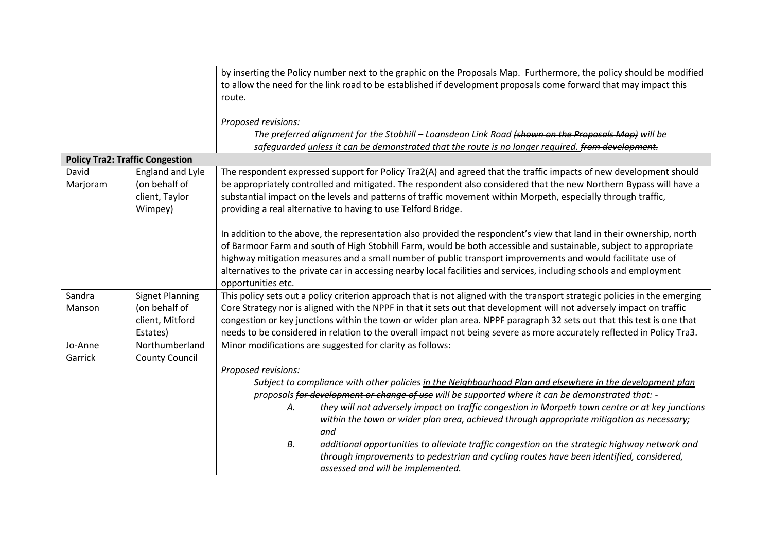|          |                                            | by inserting the Policy number next to the graphic on the Proposals Map. Furthermore, the policy should be modified<br>to allow the need for the link road to be established if development proposals come forward that may impact this<br>route.                                                                                                                                                                                                                                                     |
|----------|--------------------------------------------|-------------------------------------------------------------------------------------------------------------------------------------------------------------------------------------------------------------------------------------------------------------------------------------------------------------------------------------------------------------------------------------------------------------------------------------------------------------------------------------------------------|
|          |                                            | Proposed revisions:                                                                                                                                                                                                                                                                                                                                                                                                                                                                                   |
|          |                                            | The preferred alignment for the Stobhill - Loansdean Link Road (shown on the Proposals Map) will be                                                                                                                                                                                                                                                                                                                                                                                                   |
|          | <b>Policy Tra2: Traffic Congestion</b>     | safeguarded unless it can be demonstrated that the route is no longer required. from development.                                                                                                                                                                                                                                                                                                                                                                                                     |
| David    | England and Lyle                           | The respondent expressed support for Policy Tra2(A) and agreed that the traffic impacts of new development should                                                                                                                                                                                                                                                                                                                                                                                     |
| Marjoram | (on behalf of<br>client, Taylor<br>Wimpey) | be appropriately controlled and mitigated. The respondent also considered that the new Northern Bypass will have a<br>substantial impact on the levels and patterns of traffic movement within Morpeth, especially through traffic,<br>providing a real alternative to having to use Telford Bridge.                                                                                                                                                                                                  |
|          |                                            | In addition to the above, the representation also provided the respondent's view that land in their ownership, north<br>of Barmoor Farm and south of High Stobhill Farm, would be both accessible and sustainable, subject to appropriate<br>highway mitigation measures and a small number of public transport improvements and would facilitate use of<br>alternatives to the private car in accessing nearby local facilities and services, including schools and employment<br>opportunities etc. |
| Sandra   | <b>Signet Planning</b>                     | This policy sets out a policy criterion approach that is not aligned with the transport strategic policies in the emerging                                                                                                                                                                                                                                                                                                                                                                            |
| Manson   | (on behalf of                              | Core Strategy nor is aligned with the NPPF in that it sets out that development will not adversely impact on traffic                                                                                                                                                                                                                                                                                                                                                                                  |
|          | client, Mitford                            | congestion or key junctions within the town or wider plan area. NPPF paragraph 32 sets out that this test is one that                                                                                                                                                                                                                                                                                                                                                                                 |
| Jo-Anne  | Estates)<br>Northumberland                 | needs to be considered in relation to the overall impact not being severe as more accurately reflected in Policy Tra3.                                                                                                                                                                                                                                                                                                                                                                                |
| Garrick  | <b>County Council</b>                      | Minor modifications are suggested for clarity as follows:                                                                                                                                                                                                                                                                                                                                                                                                                                             |
|          |                                            | Proposed revisions:                                                                                                                                                                                                                                                                                                                                                                                                                                                                                   |
|          |                                            | Subject to compliance with other policies in the Neighbourhood Plan and elsewhere in the development plan                                                                                                                                                                                                                                                                                                                                                                                             |
|          |                                            | proposals for development or change of use will be supported where it can be demonstrated that: -                                                                                                                                                                                                                                                                                                                                                                                                     |
|          |                                            | they will not adversely impact on traffic congestion in Morpeth town centre or at key junctions<br>А.<br>within the town or wider plan area, achieved through appropriate mitigation as necessary;<br>and                                                                                                                                                                                                                                                                                             |
|          |                                            | additional opportunities to alleviate traffic congestion on the strategic highway network and<br>В.<br>through improvements to pedestrian and cycling routes have been identified, considered,<br>assessed and will be implemented.                                                                                                                                                                                                                                                                   |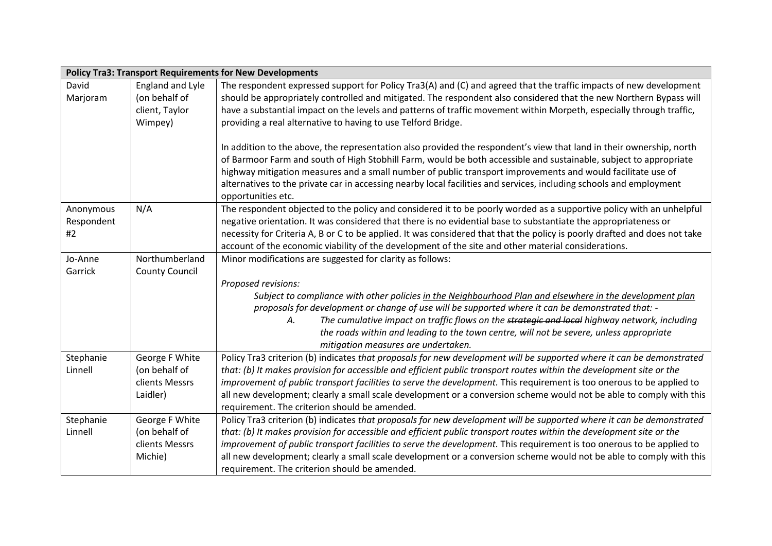| <b>Policy Tra3: Transport Requirements for New Developments</b> |                       |                                                                                                                                |  |
|-----------------------------------------------------------------|-----------------------|--------------------------------------------------------------------------------------------------------------------------------|--|
| David                                                           | England and Lyle      | The respondent expressed support for Policy Tra3(A) and (C) and agreed that the traffic impacts of new development             |  |
| Marjoram                                                        | (on behalf of         | should be appropriately controlled and mitigated. The respondent also considered that the new Northern Bypass will             |  |
|                                                                 | client, Taylor        | have a substantial impact on the levels and patterns of traffic movement within Morpeth, especially through traffic,           |  |
|                                                                 | Wimpey)               | providing a real alternative to having to use Telford Bridge.                                                                  |  |
|                                                                 |                       |                                                                                                                                |  |
|                                                                 |                       | In addition to the above, the representation also provided the respondent's view that land in their ownership, north           |  |
|                                                                 |                       | of Barmoor Farm and south of High Stobhill Farm, would be both accessible and sustainable, subject to appropriate              |  |
|                                                                 |                       | highway mitigation measures and a small number of public transport improvements and would facilitate use of                    |  |
|                                                                 |                       | alternatives to the private car in accessing nearby local facilities and services, including schools and employment            |  |
|                                                                 |                       | opportunities etc.                                                                                                             |  |
| Anonymous                                                       | N/A                   | The respondent objected to the policy and considered it to be poorly worded as a supportive policy with an unhelpful           |  |
| Respondent                                                      |                       | negative orientation. It was considered that there is no evidential base to substantiate the appropriateness or                |  |
| #2                                                              |                       | necessity for Criteria A, B or C to be applied. It was considered that that the policy is poorly drafted and does not take     |  |
|                                                                 |                       | account of the economic viability of the development of the site and other material considerations.                            |  |
| Jo-Anne                                                         | Northumberland        | Minor modifications are suggested for clarity as follows:                                                                      |  |
| Garrick                                                         | <b>County Council</b> |                                                                                                                                |  |
|                                                                 |                       | Proposed revisions:                                                                                                            |  |
|                                                                 |                       | Subject to compliance with other policies in the Neighbourhood Plan and elsewhere in the development plan                      |  |
|                                                                 |                       | proposals for development or change of use will be supported where it can be demonstrated that: -                              |  |
|                                                                 |                       | The cumulative impact on traffic flows on the strategic and local highway network, including<br>А.                             |  |
|                                                                 |                       | the roads within and leading to the town centre, will not be severe, unless appropriate<br>mitigation measures are undertaken. |  |
| Stephanie                                                       | George F White        | Policy Tra3 criterion (b) indicates that proposals for new development will be supported where it can be demonstrated          |  |
| Linnell                                                         | (on behalf of         | that: (b) It makes provision for accessible and efficient public transport routes within the development site or the           |  |
|                                                                 | clients Messrs        | improvement of public transport facilities to serve the development. This requirement is too onerous to be applied to          |  |
|                                                                 | Laidler)              | all new development; clearly a small scale development or a conversion scheme would not be able to comply with this            |  |
|                                                                 |                       | requirement. The criterion should be amended.                                                                                  |  |
| Stephanie                                                       | George F White        | Policy Tra3 criterion (b) indicates that proposals for new development will be supported where it can be demonstrated          |  |
| Linnell                                                         | (on behalf of         | that: (b) It makes provision for accessible and efficient public transport routes within the development site or the           |  |
|                                                                 | clients Messrs        | improvement of public transport facilities to serve the development. This requirement is too onerous to be applied to          |  |
|                                                                 | Michie)               | all new development; clearly a small scale development or a conversion scheme would not be able to comply with this            |  |
|                                                                 |                       | requirement. The criterion should be amended.                                                                                  |  |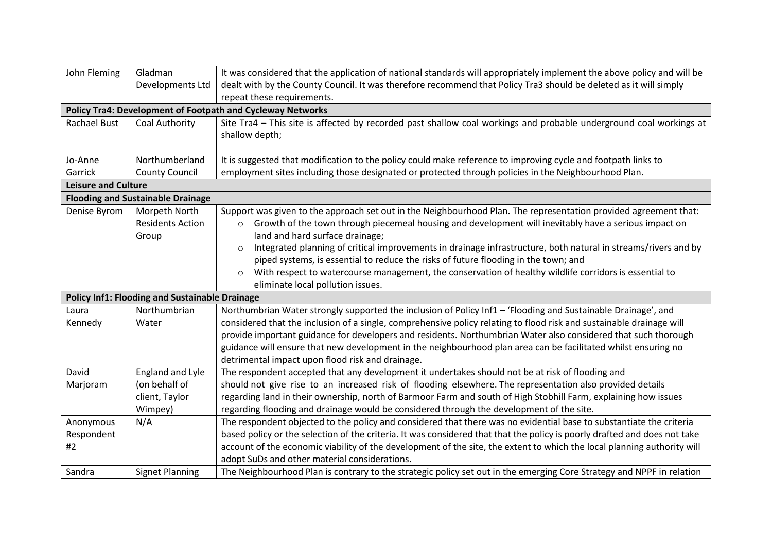| John Fleming               | Gladman                                               | It was considered that the application of national standards will appropriately implement the above policy and will be    |
|----------------------------|-------------------------------------------------------|---------------------------------------------------------------------------------------------------------------------------|
|                            |                                                       |                                                                                                                           |
|                            | Developments Ltd                                      | dealt with by the County Council. It was therefore recommend that Policy Tra3 should be deleted as it will simply         |
|                            |                                                       | repeat these requirements.                                                                                                |
|                            |                                                       | Policy Tra4: Development of Footpath and Cycleway Networks                                                                |
| <b>Rachael Bust</b>        | Coal Authority                                        | Site Tra4 - This site is affected by recorded past shallow coal workings and probable underground coal workings at        |
|                            |                                                       | shallow depth;                                                                                                            |
|                            |                                                       |                                                                                                                           |
| Jo-Anne                    | Northumberland                                        | It is suggested that modification to the policy could make reference to improving cycle and footpath links to             |
| Garrick                    | <b>County Council</b>                                 | employment sites including those designated or protected through policies in the Neighbourhood Plan.                      |
| <b>Leisure and Culture</b> |                                                       |                                                                                                                           |
|                            | <b>Flooding and Sustainable Drainage</b>              |                                                                                                                           |
| Denise Byrom               | Morpeth North                                         | Support was given to the approach set out in the Neighbourhood Plan. The representation provided agreement that:          |
|                            | <b>Residents Action</b>                               | Growth of the town through piecemeal housing and development will inevitably have a serious impact on<br>$\circ$          |
|                            | Group                                                 | land and hard surface drainage;                                                                                           |
|                            |                                                       | Integrated planning of critical improvements in drainage infrastructure, both natural in streams/rivers and by<br>$\circ$ |
|                            |                                                       | piped systems, is essential to reduce the risks of future flooding in the town; and                                       |
|                            |                                                       | With respect to watercourse management, the conservation of healthy wildlife corridors is essential to<br>$\circ$         |
|                            |                                                       | eliminate local pollution issues.                                                                                         |
|                            | <b>Policy Inf1: Flooding and Sustainable Drainage</b> |                                                                                                                           |
| Laura                      | Northumbrian                                          | Northumbrian Water strongly supported the inclusion of Policy Inf1 - 'Flooding and Sustainable Drainage', and             |
| Kennedy                    | Water                                                 | considered that the inclusion of a single, comprehensive policy relating to flood risk and sustainable drainage will      |
|                            |                                                       | provide important guidance for developers and residents. Northumbrian Water also considered that such thorough            |
|                            |                                                       | guidance will ensure that new development in the neighbourhood plan area can be facilitated whilst ensuring no            |
|                            |                                                       | detrimental impact upon flood risk and drainage.                                                                          |
| David                      | <b>England and Lyle</b>                               | The respondent accepted that any development it undertakes should not be at risk of flooding and                          |
| Marjoram                   | (on behalf of                                         | should not give rise to an increased risk of flooding elsewhere. The representation also provided details                 |
|                            | client, Taylor                                        | regarding land in their ownership, north of Barmoor Farm and south of High Stobhill Farm, explaining how issues           |
|                            | Wimpey)                                               | regarding flooding and drainage would be considered through the development of the site.                                  |
| Anonymous                  | N/A                                                   | The respondent objected to the policy and considered that there was no evidential base to substantiate the criteria       |
| Respondent                 |                                                       | based policy or the selection of the criteria. It was considered that that the policy is poorly drafted and does not take |
| #2                         |                                                       | account of the economic viability of the development of the site, the extent to which the local planning authority will   |
|                            |                                                       | adopt SuDs and other material considerations.                                                                             |
|                            |                                                       |                                                                                                                           |
| Sandra                     | <b>Signet Planning</b>                                | The Neighbourhood Plan is contrary to the strategic policy set out in the emerging Core Strategy and NPPF in relation     |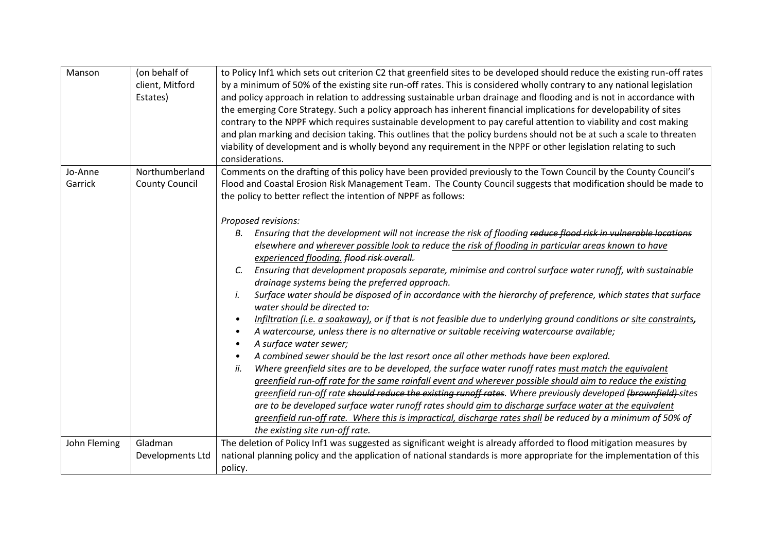| Manson             | (on behalf of<br>client, Mitford<br>Estates) | to Policy Inf1 which sets out criterion C2 that greenfield sites to be developed should reduce the existing run-off rates<br>by a minimum of 50% of the existing site run-off rates. This is considered wholly contrary to any national legislation<br>and policy approach in relation to addressing sustainable urban drainage and flooding and is not in accordance with<br>the emerging Core Strategy. Such a policy approach has inherent financial implications for developability of sites<br>contrary to the NPPF which requires sustainable development to pay careful attention to viability and cost making                                                                                                                                                                                                                                                                                                                                                                                                                                                                                                                                                                                                                                                                                                                                                                                                                                                                                                                                                                                                                 |
|--------------------|----------------------------------------------|---------------------------------------------------------------------------------------------------------------------------------------------------------------------------------------------------------------------------------------------------------------------------------------------------------------------------------------------------------------------------------------------------------------------------------------------------------------------------------------------------------------------------------------------------------------------------------------------------------------------------------------------------------------------------------------------------------------------------------------------------------------------------------------------------------------------------------------------------------------------------------------------------------------------------------------------------------------------------------------------------------------------------------------------------------------------------------------------------------------------------------------------------------------------------------------------------------------------------------------------------------------------------------------------------------------------------------------------------------------------------------------------------------------------------------------------------------------------------------------------------------------------------------------------------------------------------------------------------------------------------------------|
|                    |                                              | and plan marking and decision taking. This outlines that the policy burdens should not be at such a scale to threaten<br>viability of development and is wholly beyond any requirement in the NPPF or other legislation relating to such<br>considerations.                                                                                                                                                                                                                                                                                                                                                                                                                                                                                                                                                                                                                                                                                                                                                                                                                                                                                                                                                                                                                                                                                                                                                                                                                                                                                                                                                                           |
| Jo-Anne<br>Garrick | Northumberland<br><b>County Council</b>      | Comments on the drafting of this policy have been provided previously to the Town Council by the County Council's<br>Flood and Coastal Erosion Risk Management Team. The County Council suggests that modification should be made to<br>the policy to better reflect the intention of NPPF as follows:                                                                                                                                                                                                                                                                                                                                                                                                                                                                                                                                                                                                                                                                                                                                                                                                                                                                                                                                                                                                                                                                                                                                                                                                                                                                                                                                |
|                    |                                              | Proposed revisions:<br>Ensuring that the development will not increase the risk of flooding reduce flood risk in vulnerable locations<br>В.<br>elsewhere and wherever possible look to reduce the risk of flooding in particular areas known to have<br>experienced flooding. flood risk overall.<br>Ensuring that development proposals separate, minimise and control surface water runoff, with sustainable<br>C.<br>drainage systems being the preferred approach.<br>Surface water should be disposed of in accordance with the hierarchy of preference, which states that surface<br>İ.<br>water should be directed to:<br>Infiltration (i.e. a soakaway), or if that is not feasible due to underlying ground conditions or site constraints,<br>$\bullet$<br>A watercourse, unless there is no alternative or suitable receiving watercourse available;<br>$\bullet$<br>A surface water sewer;<br>$\bullet$<br>A combined sewer should be the last resort once all other methods have been explored.<br>$\bullet$<br>Where greenfield sites are to be developed, the surface water runoff rates must match the equivalent<br>ii.<br>greenfield run-off rate for the same rainfall event and wherever possible should aim to reduce the existing<br>greenfield run-off rate should reduce the existing runoff rates. Where previously developed (brownfield)-sites<br>are to be developed surface water runoff rates should aim to discharge surface water at the equivalent<br>greenfield run-off rate. Where this is impractical, discharge rates shall be reduced by a minimum of 50% of<br>the existing site run-off rate. |
| John Fleming       | Gladman<br>Developments Ltd                  | The deletion of Policy Inf1 was suggested as significant weight is already afforded to flood mitigation measures by<br>national planning policy and the application of national standards is more appropriate for the implementation of this<br>policy.                                                                                                                                                                                                                                                                                                                                                                                                                                                                                                                                                                                                                                                                                                                                                                                                                                                                                                                                                                                                                                                                                                                                                                                                                                                                                                                                                                               |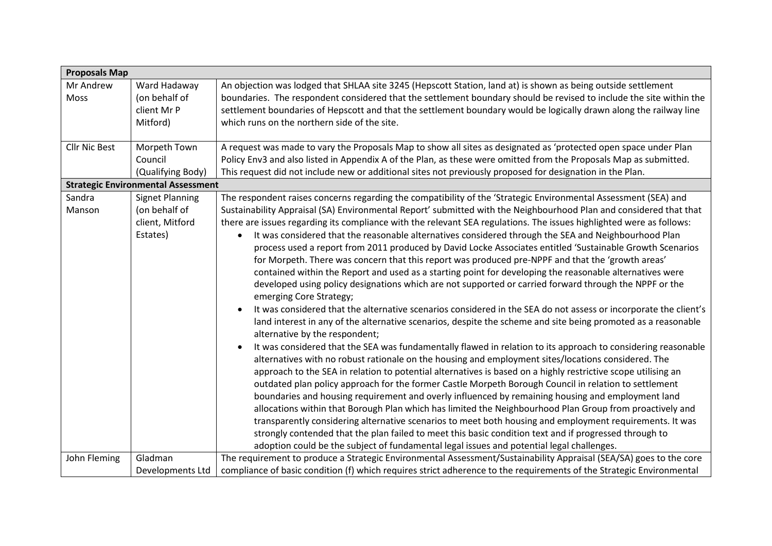| <b>Proposals Map</b> |                                              |                                                                                                                                                                                                                                                                                                                                                            |
|----------------------|----------------------------------------------|------------------------------------------------------------------------------------------------------------------------------------------------------------------------------------------------------------------------------------------------------------------------------------------------------------------------------------------------------------|
| Mr Andrew<br>Moss    | Ward Hadaway<br>(on behalf of<br>client Mr P | An objection was lodged that SHLAA site 3245 (Hepscott Station, land at) is shown as being outside settlement<br>boundaries. The respondent considered that the settlement boundary should be revised to include the site within the<br>settlement boundaries of Hepscott and that the settlement boundary would be logically drawn along the railway line |
|                      | Mitford)                                     | which runs on the northern side of the site.                                                                                                                                                                                                                                                                                                               |
| <b>Cllr Nic Best</b> | Morpeth Town                                 | A request was made to vary the Proposals Map to show all sites as designated as 'protected open space under Plan                                                                                                                                                                                                                                           |
|                      | Council                                      | Policy Env3 and also listed in Appendix A of the Plan, as these were omitted from the Proposals Map as submitted.                                                                                                                                                                                                                                          |
|                      | (Qualifying Body)                            | This request did not include new or additional sites not previously proposed for designation in the Plan.                                                                                                                                                                                                                                                  |
|                      | <b>Strategic Environmental Assessment</b>    |                                                                                                                                                                                                                                                                                                                                                            |
| Sandra               | <b>Signet Planning</b>                       | The respondent raises concerns regarding the compatibility of the 'Strategic Environmental Assessment (SEA) and                                                                                                                                                                                                                                            |
| Manson               | (on behalf of                                | Sustainability Appraisal (SA) Environmental Report' submitted with the Neighbourhood Plan and considered that that                                                                                                                                                                                                                                         |
|                      | client, Mitford                              | there are issues regarding its compliance with the relevant SEA regulations. The issues highlighted were as follows:                                                                                                                                                                                                                                       |
|                      | Estates)                                     | It was considered that the reasonable alternatives considered through the SEA and Neighbourhood Plan                                                                                                                                                                                                                                                       |
|                      |                                              | process used a report from 2011 produced by David Locke Associates entitled 'Sustainable Growth Scenarios                                                                                                                                                                                                                                                  |
|                      |                                              | for Morpeth. There was concern that this report was produced pre-NPPF and that the 'growth areas'                                                                                                                                                                                                                                                          |
|                      |                                              | contained within the Report and used as a starting point for developing the reasonable alternatives were<br>developed using policy designations which are not supported or carried forward through the NPPF or the                                                                                                                                         |
|                      |                                              | emerging Core Strategy;                                                                                                                                                                                                                                                                                                                                    |
|                      |                                              | It was considered that the alternative scenarios considered in the SEA do not assess or incorporate the client's<br>$\bullet$                                                                                                                                                                                                                              |
|                      |                                              | land interest in any of the alternative scenarios, despite the scheme and site being promoted as a reasonable<br>alternative by the respondent;                                                                                                                                                                                                            |
|                      |                                              | It was considered that the SEA was fundamentally flawed in relation to its approach to considering reasonable<br>$\bullet$                                                                                                                                                                                                                                 |
|                      |                                              | alternatives with no robust rationale on the housing and employment sites/locations considered. The<br>approach to the SEA in relation to potential alternatives is based on a highly restrictive scope utilising an                                                                                                                                       |
|                      |                                              | outdated plan policy approach for the former Castle Morpeth Borough Council in relation to settlement                                                                                                                                                                                                                                                      |
|                      |                                              | boundaries and housing requirement and overly influenced by remaining housing and employment land                                                                                                                                                                                                                                                          |
|                      |                                              | allocations within that Borough Plan which has limited the Neighbourhood Plan Group from proactively and                                                                                                                                                                                                                                                   |
|                      |                                              | transparently considering alternative scenarios to meet both housing and employment requirements. It was                                                                                                                                                                                                                                                   |
|                      |                                              | strongly contended that the plan failed to meet this basic condition text and if progressed through to                                                                                                                                                                                                                                                     |
|                      |                                              | adoption could be the subject of fundamental legal issues and potential legal challenges.                                                                                                                                                                                                                                                                  |
| John Fleming         | Gladman                                      | The requirement to produce a Strategic Environmental Assessment/Sustainability Appraisal (SEA/SA) goes to the core                                                                                                                                                                                                                                         |
|                      | Developments Ltd                             | compliance of basic condition (f) which requires strict adherence to the requirements of the Strategic Environmental                                                                                                                                                                                                                                       |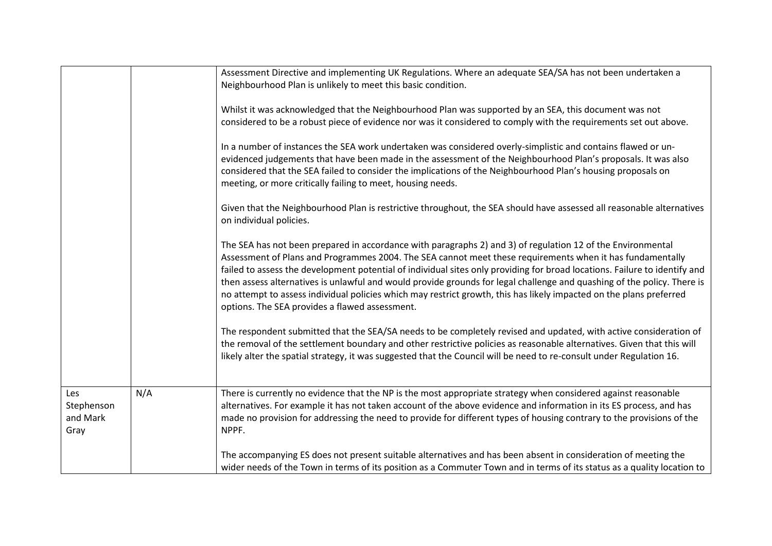|                                       |     | Assessment Directive and implementing UK Regulations. Where an adequate SEA/SA has not been undertaken a<br>Neighbourhood Plan is unlikely to meet this basic condition.<br>Whilst it was acknowledged that the Neighbourhood Plan was supported by an SEA, this document was not<br>considered to be a robust piece of evidence nor was it considered to comply with the requirements set out above.<br>In a number of instances the SEA work undertaken was considered overly-simplistic and contains flawed or un-<br>evidenced judgements that have been made in the assessment of the Neighbourhood Plan's proposals. It was also<br>considered that the SEA failed to consider the implications of the Neighbourhood Plan's housing proposals on<br>meeting, or more critically failing to meet, housing needs.<br>Given that the Neighbourhood Plan is restrictive throughout, the SEA should have assessed all reasonable alternatives<br>on individual policies.<br>The SEA has not been prepared in accordance with paragraphs 2) and 3) of regulation 12 of the Environmental<br>Assessment of Plans and Programmes 2004. The SEA cannot meet these requirements when it has fundamentally<br>failed to assess the development potential of individual sites only providing for broad locations. Failure to identify and<br>then assess alternatives is unlawful and would provide grounds for legal challenge and quashing of the policy. There is<br>no attempt to assess individual policies which may restrict growth, this has likely impacted on the plans preferred<br>options. The SEA provides a flawed assessment.<br>The respondent submitted that the SEA/SA needs to be completely revised and updated, with active consideration of<br>the removal of the settlement boundary and other restrictive policies as reasonable alternatives. Given that this will<br>likely alter the spatial strategy, it was suggested that the Council will be need to re-consult under Regulation 16. |
|---------------------------------------|-----|----------------------------------------------------------------------------------------------------------------------------------------------------------------------------------------------------------------------------------------------------------------------------------------------------------------------------------------------------------------------------------------------------------------------------------------------------------------------------------------------------------------------------------------------------------------------------------------------------------------------------------------------------------------------------------------------------------------------------------------------------------------------------------------------------------------------------------------------------------------------------------------------------------------------------------------------------------------------------------------------------------------------------------------------------------------------------------------------------------------------------------------------------------------------------------------------------------------------------------------------------------------------------------------------------------------------------------------------------------------------------------------------------------------------------------------------------------------------------------------------------------------------------------------------------------------------------------------------------------------------------------------------------------------------------------------------------------------------------------------------------------------------------------------------------------------------------------------------------------------------------------------------------------------------------------------------------------------------------------------------------------------|
| Les<br>Stephenson<br>and Mark<br>Gray | N/A | There is currently no evidence that the NP is the most appropriate strategy when considered against reasonable<br>alternatives. For example it has not taken account of the above evidence and information in its ES process, and has<br>made no provision for addressing the need to provide for different types of housing contrary to the provisions of the<br>NPPF.<br>The accompanying ES does not present suitable alternatives and has been absent in consideration of meeting the                                                                                                                                                                                                                                                                                                                                                                                                                                                                                                                                                                                                                                                                                                                                                                                                                                                                                                                                                                                                                                                                                                                                                                                                                                                                                                                                                                                                                                                                                                                      |
|                                       |     | wider needs of the Town in terms of its position as a Commuter Town and in terms of its status as a quality location to                                                                                                                                                                                                                                                                                                                                                                                                                                                                                                                                                                                                                                                                                                                                                                                                                                                                                                                                                                                                                                                                                                                                                                                                                                                                                                                                                                                                                                                                                                                                                                                                                                                                                                                                                                                                                                                                                        |